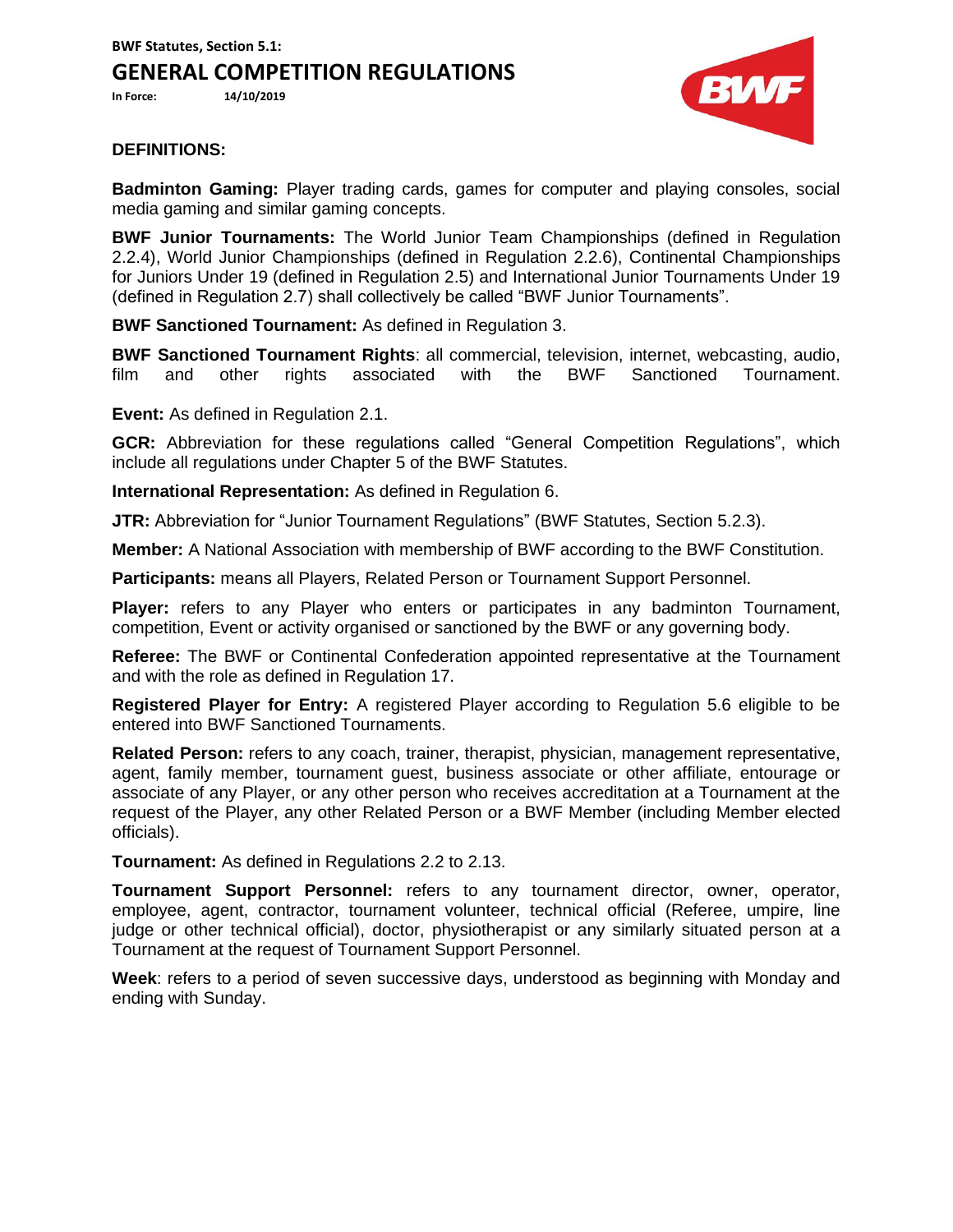**BWF Statutes, Section 5.1: GENERAL COMPETITION REGULATIONS**

**In Force: 14/10/2019**



## **DEFINITIONS:**

**Badminton Gaming:** Player trading cards, games for computer and playing consoles, social media gaming and similar gaming concepts.

**BWF Junior Tournaments:** The World Junior Team Championships (defined in Regulation 2.2.4), World Junior Championships (defined in Regulation 2.2.6), Continental Championships for Juniors Under 19 (defined in Regulation 2.5) and International Junior Tournaments Under 19 (defined in Regulation 2.7) shall collectively be called "BWF Junior Tournaments".

**BWF Sanctioned Tournament:** As defined in Regulation 3.

**BWF Sanctioned Tournament Rights**: all commercial, television, internet, webcasting, audio, film and other rights associated with the BWF Sanctioned Tournament.

**Event:** As defined in Regulation 2.1.

**GCR:** Abbreviation for these regulations called "General Competition Regulations", which include all regulations under Chapter 5 of the BWF Statutes.

**International Representation:** As defined in Regulation 6.

**JTR:** Abbreviation for "Junior Tournament Regulations" (BWF Statutes, Section 5.2.3).

**Member:** A National Association with membership of BWF according to the BWF Constitution.

**Participants:** means all Players, Related Person or Tournament Support Personnel.

**Player:** refers to any Player who enters or participates in any badminton Tournament, competition, Event or activity organised or sanctioned by the BWF or any governing body.

**Referee:** The BWF or Continental Confederation appointed representative at the Tournament and with the role as defined in Regulation 17.

**Registered Player for Entry:** A registered Player according to Regulation 5.6 eligible to be entered into BWF Sanctioned Tournaments.

**Related Person:** refers to any coach, trainer, therapist, physician, management representative, agent, family member, tournament guest, business associate or other affiliate, entourage or associate of any Player, or any other person who receives accreditation at a Tournament at the request of the Player, any other Related Person or a BWF Member (including Member elected officials).

**Tournament:** As defined in Regulations 2.2 to 2.13.

**Tournament Support Personnel:** refers to any tournament director, owner, operator, employee, agent, contractor, tournament volunteer, technical official (Referee, umpire, line judge or other technical official), doctor, physiotherapist or any similarly situated person at a Tournament at the request of Tournament Support Personnel.

**Week**: refers to a period of seven successive days, understood as beginning with Monday and ending with Sunday.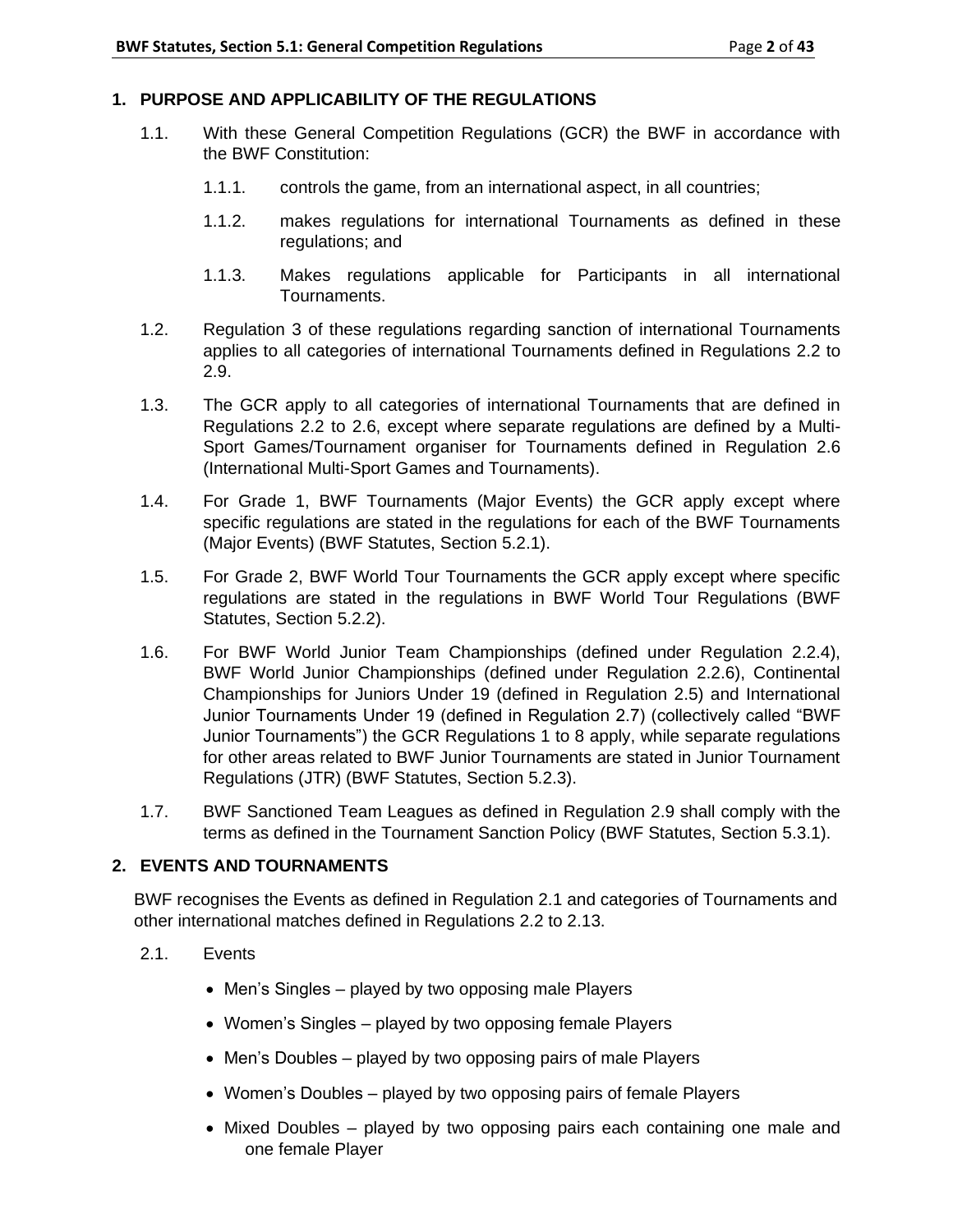# **1. PURPOSE AND APPLICABILITY OF THE REGULATIONS**

- 1.1. With these General Competition Regulations (GCR) the BWF in accordance with the BWF Constitution:
	- 1.1.1. controls the game, from an international aspect, in all countries;
	- 1.1.2. makes regulations for international Tournaments as defined in these regulations; and
	- 1.1.3. Makes regulations applicable for Participants in all international Tournaments.
- 1.2. Regulation 3 of these regulations regarding sanction of international Tournaments applies to all categories of international Tournaments defined in Regulations 2.2 to 2.9.
- 1.3. The GCR apply to all categories of international Tournaments that are defined in Regulations 2.2 to 2.6, except where separate regulations are defined by a Multi-Sport Games/Tournament organiser for Tournaments defined in Regulation 2.6 (International Multi-Sport Games and Tournaments).
- 1.4. For Grade 1, BWF Tournaments (Major Events) the GCR apply except where specific regulations are stated in the regulations for each of the BWF Tournaments (Major Events) (BWF Statutes, Section 5.2.1).
- 1.5. For Grade 2, BWF World Tour Tournaments the GCR apply except where specific regulations are stated in the regulations in BWF World Tour Regulations (BWF Statutes, Section 5.2.2).
- 1.6. For BWF World Junior Team Championships (defined under Regulation 2.2.4), BWF World Junior Championships (defined under Regulation 2.2.6), Continental Championships for Juniors Under 19 (defined in Regulation 2.5) and International Junior Tournaments Under 19 (defined in Regulation 2.7) (collectively called "BWF Junior Tournaments") the GCR Regulations 1 to 8 apply, while separate regulations for other areas related to BWF Junior Tournaments are stated in Junior Tournament Regulations (JTR) (BWF Statutes, Section 5.2.3).
- 1.7. BWF Sanctioned Team Leagues as defined in Regulation 2.9 shall comply with the terms as defined in the Tournament Sanction Policy (BWF Statutes, Section 5.3.1).

# **2. EVENTS AND TOURNAMENTS**

BWF recognises the Events as defined in Regulation 2.1 and categories of Tournaments and other international matches defined in Regulations 2.2 to 2.13.

- 2.1. Events
	- Men's Singles played by two opposing male Players
	- Women's Singles played by two opposing female Players
	- Men's Doubles played by two opposing pairs of male Players
	- Women's Doubles played by two opposing pairs of female Players
	- Mixed Doubles played by two opposing pairs each containing one male and one female Player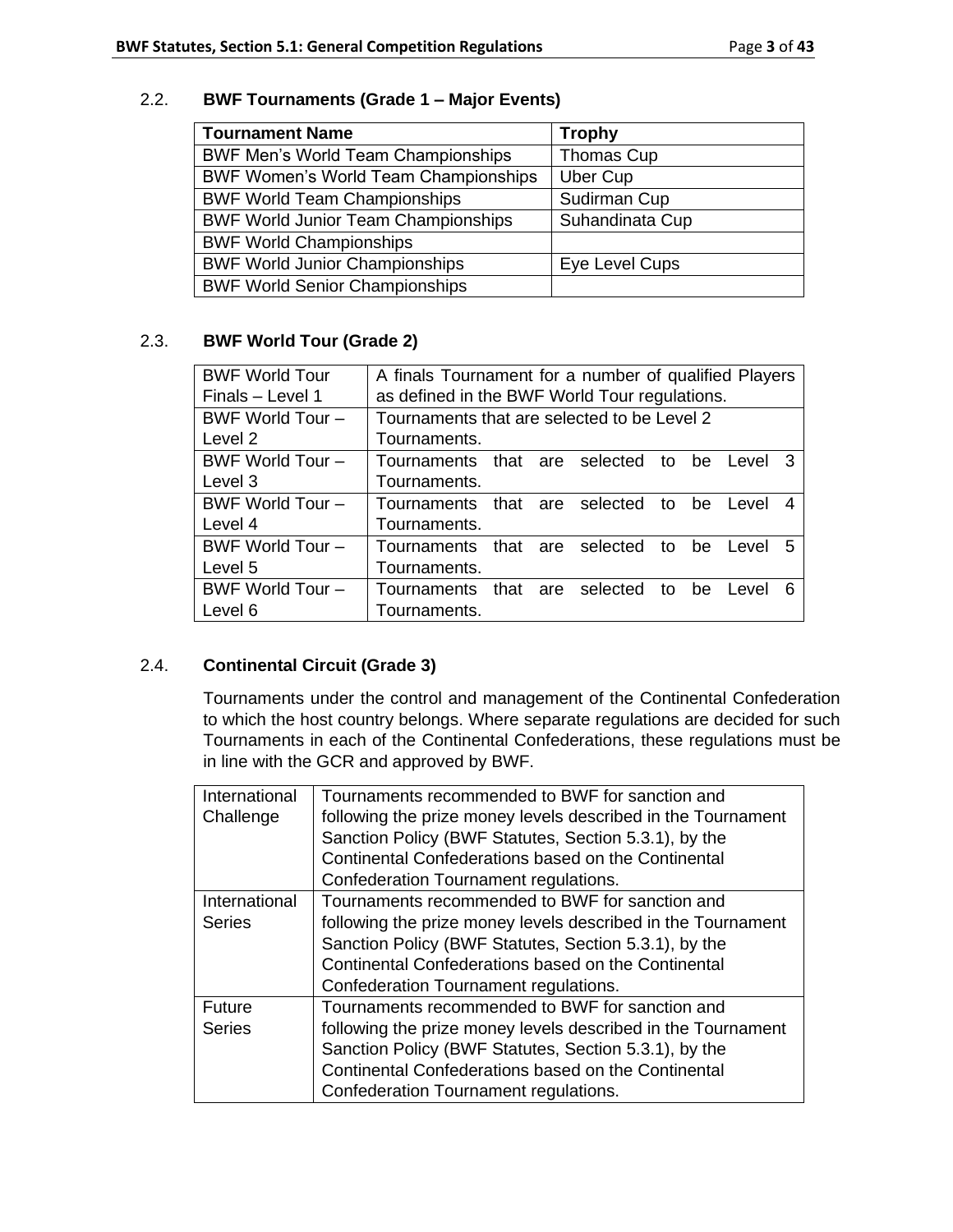## 2.2. **BWF Tournaments (Grade 1 – Major Events)**

| <b>Tournament Name</b>                      | <b>Trophy</b>   |
|---------------------------------------------|-----------------|
| <b>BWF Men's World Team Championships</b>   | Thomas Cup      |
| <b>BWF Women's World Team Championships</b> | Uber Cup        |
| <b>BWF World Team Championships</b>         | Sudirman Cup    |
| <b>BWF World Junior Team Championships</b>  | Suhandinata Cup |
| <b>BWF World Championships</b>              |                 |
| <b>BWF World Junior Championships</b>       | Eye Level Cups  |
| <b>BWF World Senior Championships</b>       |                 |

# 2.3. **BWF World Tour (Grade 2)**

| <b>BWF World Tour</b> | A finals Tournament for a number of qualified Players   |  |  |  |
|-----------------------|---------------------------------------------------------|--|--|--|
| Finals - Level 1      | as defined in the BWF World Tour regulations.           |  |  |  |
| BWF World Tour -      | Tournaments that are selected to be Level 2             |  |  |  |
| Level 2               | Tournaments.                                            |  |  |  |
| BWF World Tour -      | Tournaments that are selected to be<br>3<br>Level       |  |  |  |
| Level 3               | Tournaments.                                            |  |  |  |
| BWF World Tour -      | Tournaments that are selected<br>to<br>be<br>Level<br>4 |  |  |  |
| Level 4               | Tournaments.                                            |  |  |  |
| BWF World Tour -      | Tournaments that are selected<br>5<br>to<br>be<br>Level |  |  |  |
| Level 5               | Tournaments.                                            |  |  |  |
| BWF World Tour -      | Tournaments that are selected<br>to<br>6<br>be<br>Level |  |  |  |
| Level 6               | Tournaments.                                            |  |  |  |

# 2.4. **Continental Circuit (Grade 3)**

Tournaments under the control and management of the Continental Confederation to which the host country belongs. Where separate regulations are decided for such Tournaments in each of the Continental Confederations, these regulations must be in line with the GCR and approved by BWF.

| International | Tournaments recommended to BWF for sanction and              |
|---------------|--------------------------------------------------------------|
| Challenge     | following the prize money levels described in the Tournament |
|               | Sanction Policy (BWF Statutes, Section 5.3.1), by the        |
|               | Continental Confederations based on the Continental          |
|               | Confederation Tournament regulations.                        |
| International | Tournaments recommended to BWF for sanction and              |
| <b>Series</b> | following the prize money levels described in the Tournament |
|               | Sanction Policy (BWF Statutes, Section 5.3.1), by the        |
|               | Continental Confederations based on the Continental          |
|               | Confederation Tournament regulations.                        |
| Future        | Tournaments recommended to BWF for sanction and              |
| <b>Series</b> | following the prize money levels described in the Tournament |
|               | Sanction Policy (BWF Statutes, Section 5.3.1), by the        |
|               | Continental Confederations based on the Continental          |
|               | Confederation Tournament regulations.                        |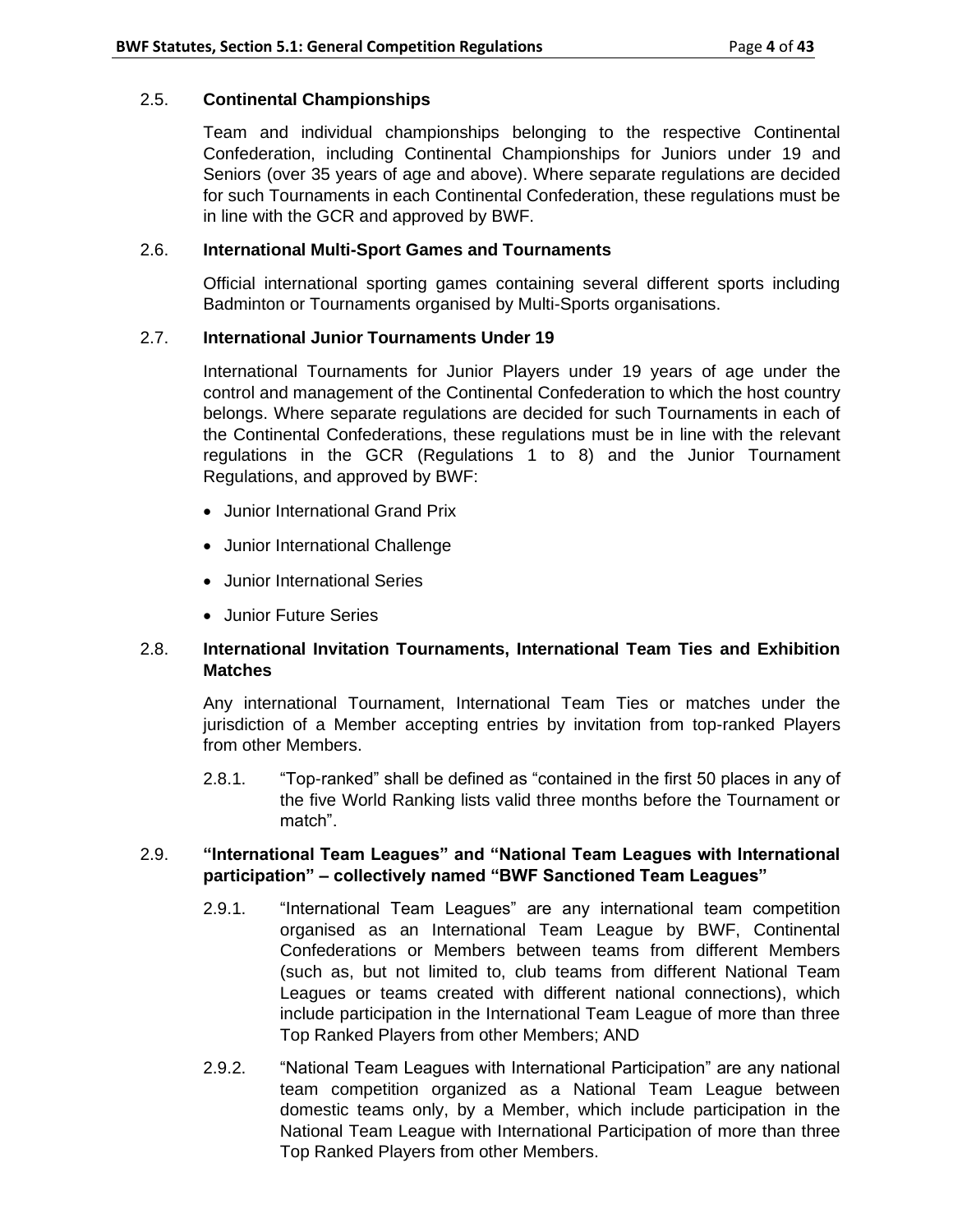### 2.5. **Continental Championships**

Team and individual championships belonging to the respective Continental Confederation, including Continental Championships for Juniors under 19 and Seniors (over 35 years of age and above). Where separate regulations are decided for such Tournaments in each Continental Confederation, these regulations must be in line with the GCR and approved by BWF.

## 2.6. **International Multi-Sport Games and Tournaments**

Official international sporting games containing several different sports including Badminton or Tournaments organised by Multi-Sports organisations.

## 2.7. **International Junior Tournaments Under 19**

International Tournaments for Junior Players under 19 years of age under the control and management of the Continental Confederation to which the host country belongs. Where separate regulations are decided for such Tournaments in each of the Continental Confederations, these regulations must be in line with the relevant regulations in the GCR (Regulations 1 to 8) and the Junior Tournament Regulations, and approved by BWF:

- Junior International Grand Prix
- Junior International Challenge
- Junior International Series
- Junior Future Series

## 2.8. **International Invitation Tournaments, International Team Ties and Exhibition Matches**

Any international Tournament, International Team Ties or matches under the jurisdiction of a Member accepting entries by invitation from top-ranked Players from other Members.

2.8.1. "Top-ranked" shall be defined as "contained in the first 50 places in any of the five World Ranking lists valid three months before the Tournament or match".

## 2.9. **"International Team Leagues" and "National Team Leagues with International participation" – collectively named "BWF Sanctioned Team Leagues"**

- 2.9.1. "International Team Leagues" are any international team competition organised as an International Team League by BWF, Continental Confederations or Members between teams from different Members (such as, but not limited to, club teams from different National Team Leagues or teams created with different national connections), which include participation in the International Team League of more than three Top Ranked Players from other Members; AND
- 2.9.2. "National Team Leagues with International Participation" are any national team competition organized as a National Team League between domestic teams only, by a Member, which include participation in the National Team League with International Participation of more than three Top Ranked Players from other Members.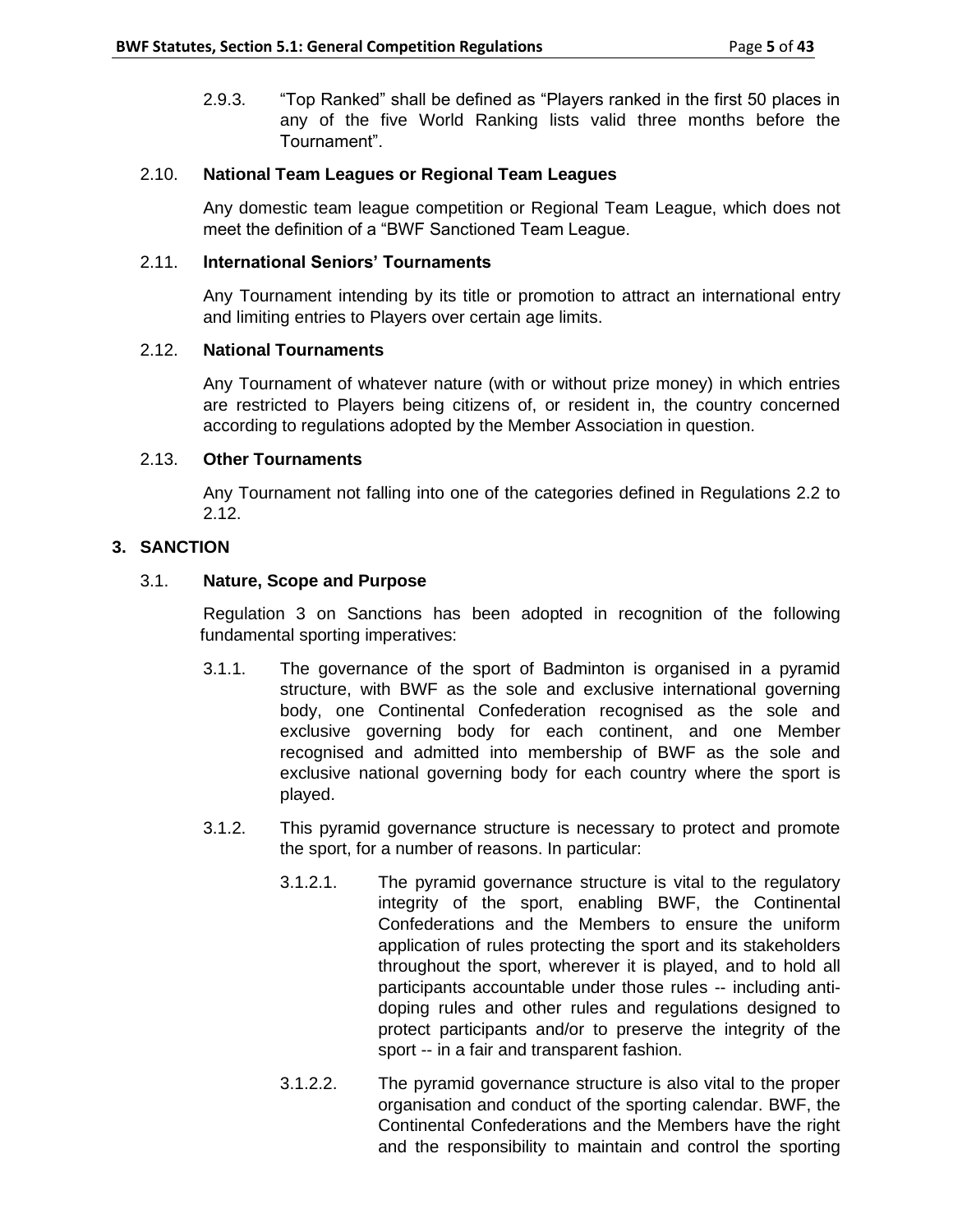2.9.3. "Top Ranked" shall be defined as "Players ranked in the first 50 places in any of the five World Ranking lists valid three months before the Tournament".

## 2.10. **National Team Leagues or Regional Team Leagues**

Any domestic team league competition or Regional Team League, which does not meet the definition of a "BWF Sanctioned Team League.

## 2.11. **International Seniors' Tournaments**

Any Tournament intending by its title or promotion to attract an international entry and limiting entries to Players over certain age limits.

## 2.12. **National Tournaments**

Any Tournament of whatever nature (with or without prize money) in which entries are restricted to Players being citizens of, or resident in, the country concerned according to regulations adopted by the Member Association in question.

## 2.13. **Other Tournaments**

Any Tournament not falling into one of the categories defined in Regulations 2.2 to 2.12.

# **3. SANCTION**

# 3.1. **Nature, Scope and Purpose**

Regulation 3 on Sanctions has been adopted in recognition of the following fundamental sporting imperatives:

- 3.1.1. The governance of the sport of Badminton is organised in a pyramid structure, with BWF as the sole and exclusive international governing body, one Continental Confederation recognised as the sole and exclusive governing body for each continent, and one Member recognised and admitted into membership of BWF as the sole and exclusive national governing body for each country where the sport is played.
- 3.1.2. This pyramid governance structure is necessary to protect and promote the sport, for a number of reasons. In particular:
	- 3.1.2.1. The pyramid governance structure is vital to the regulatory integrity of the sport, enabling BWF, the Continental Confederations and the Members to ensure the uniform application of rules protecting the sport and its stakeholders throughout the sport, wherever it is played, and to hold all participants accountable under those rules -- including antidoping rules and other rules and regulations designed to protect participants and/or to preserve the integrity of the sport -- in a fair and transparent fashion.
	- 3.1.2.2. The pyramid governance structure is also vital to the proper organisation and conduct of the sporting calendar. BWF, the Continental Confederations and the Members have the right and the responsibility to maintain and control the sporting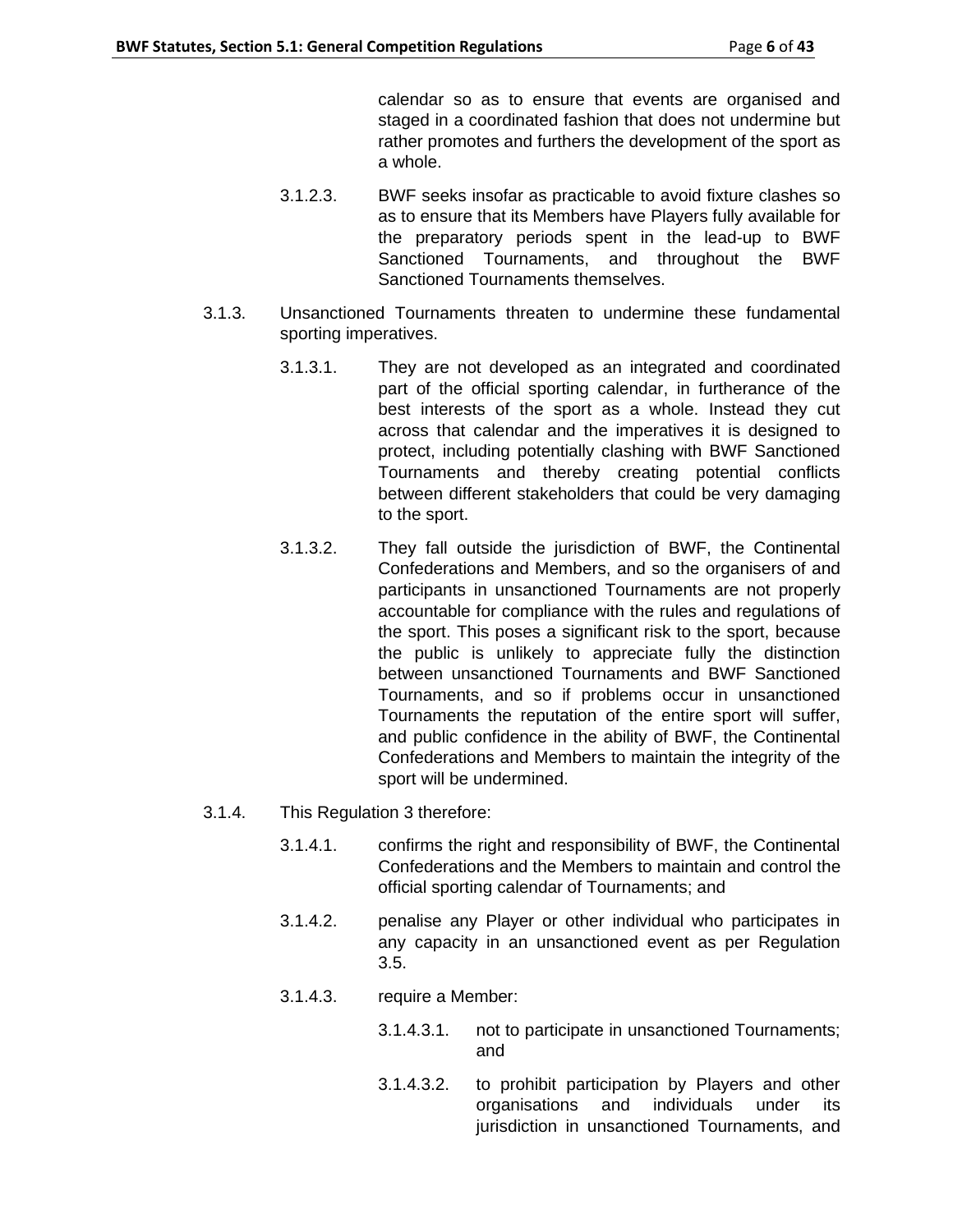calendar so as to ensure that events are organised and staged in a coordinated fashion that does not undermine but rather promotes and furthers the development of the sport as a whole.

- 3.1.2.3. BWF seeks insofar as practicable to avoid fixture clashes so as to ensure that its Members have Players fully available for the preparatory periods spent in the lead-up to BWF Sanctioned Tournaments, and throughout the BWF Sanctioned Tournaments themselves.
- 3.1.3. Unsanctioned Tournaments threaten to undermine these fundamental sporting imperatives.
	- 3.1.3.1. They are not developed as an integrated and coordinated part of the official sporting calendar, in furtherance of the best interests of the sport as a whole. Instead they cut across that calendar and the imperatives it is designed to protect, including potentially clashing with BWF Sanctioned Tournaments and thereby creating potential conflicts between different stakeholders that could be very damaging to the sport.
	- 3.1.3.2. They fall outside the jurisdiction of BWF, the Continental Confederations and Members, and so the organisers of and participants in unsanctioned Tournaments are not properly accountable for compliance with the rules and regulations of the sport. This poses a significant risk to the sport, because the public is unlikely to appreciate fully the distinction between unsanctioned Tournaments and BWF Sanctioned Tournaments, and so if problems occur in unsanctioned Tournaments the reputation of the entire sport will suffer, and public confidence in the ability of BWF, the Continental Confederations and Members to maintain the integrity of the sport will be undermined.
- 3.1.4. This Regulation 3 therefore:
	- 3.1.4.1. confirms the right and responsibility of BWF, the Continental Confederations and the Members to maintain and control the official sporting calendar of Tournaments; and
	- 3.1.4.2. penalise any Player or other individual who participates in any capacity in an unsanctioned event as per Regulation 3.5.
	- 3.1.4.3. require a Member:
		- 3.1.4.3.1. not to participate in unsanctioned Tournaments; and
		- 3.1.4.3.2. to prohibit participation by Players and other organisations and individuals under its jurisdiction in unsanctioned Tournaments, and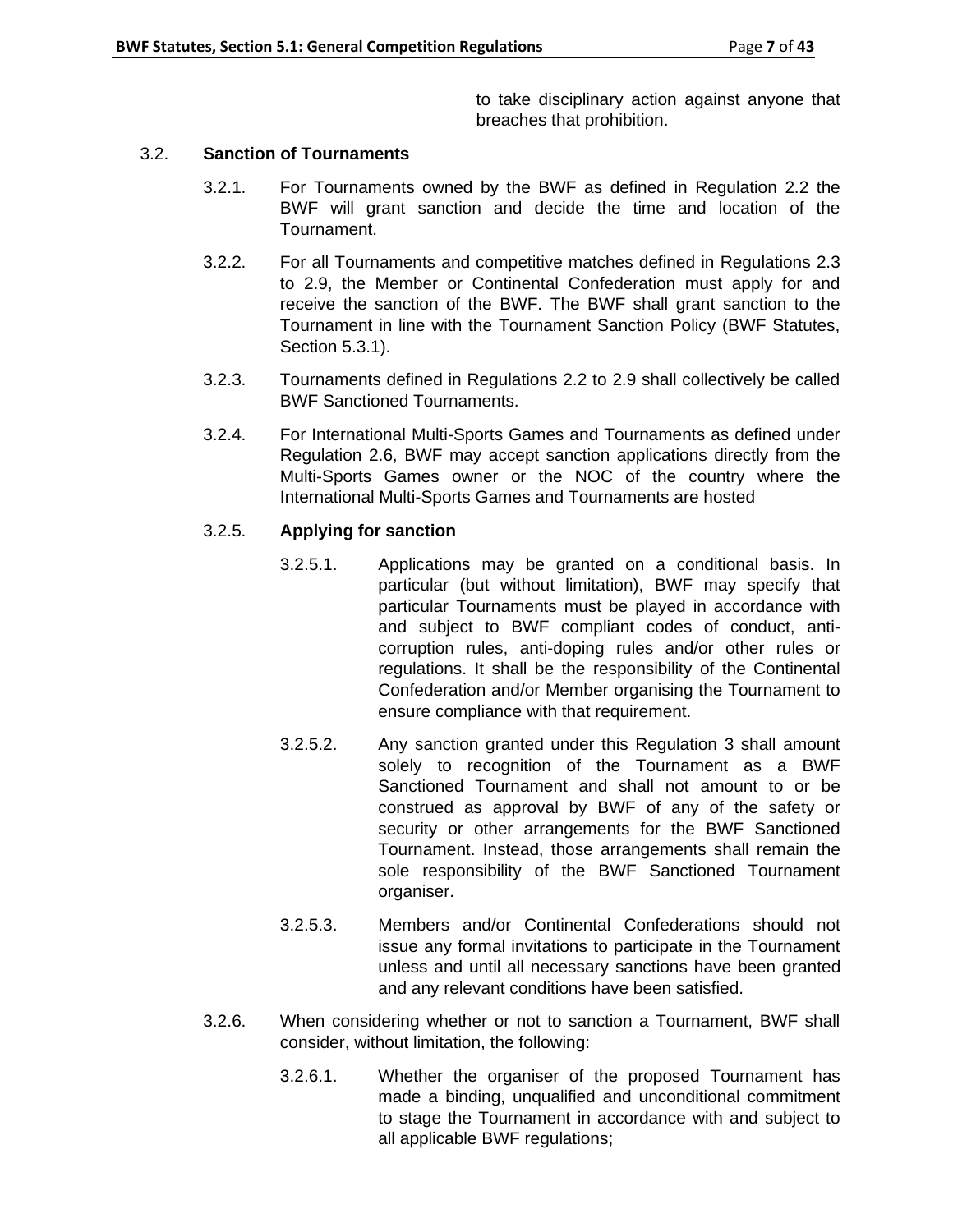to take disciplinary action against anyone that breaches that prohibition.

## 3.2. **Sanction of Tournaments**

- 3.2.1. For Tournaments owned by the BWF as defined in Regulation 2.2 the BWF will grant sanction and decide the time and location of the Tournament.
- 3.2.2. For all Tournaments and competitive matches defined in Regulations 2.3 to 2.9, the Member or Continental Confederation must apply for and receive the sanction of the BWF. The BWF shall grant sanction to the Tournament in line with the Tournament Sanction Policy (BWF Statutes, Section 5.3.1).
- 3.2.3. Tournaments defined in Regulations 2.2 to 2.9 shall collectively be called BWF Sanctioned Tournaments.
- 3.2.4. For International Multi-Sports Games and Tournaments as defined under Regulation 2.6, BWF may accept sanction applications directly from the Multi-Sports Games owner or the NOC of the country where the International Multi-Sports Games and Tournaments are hosted

## 3.2.5. **Applying for sanction**

- 3.2.5.1. Applications may be granted on a conditional basis. In particular (but without limitation), BWF may specify that particular Tournaments must be played in accordance with and subject to BWF compliant codes of conduct, anticorruption rules, anti-doping rules and/or other rules or regulations. It shall be the responsibility of the Continental Confederation and/or Member organising the Tournament to ensure compliance with that requirement.
- 3.2.5.2. Any sanction granted under this Regulation 3 shall amount solely to recognition of the Tournament as a BWF Sanctioned Tournament and shall not amount to or be construed as approval by BWF of any of the safety or security or other arrangements for the BWF Sanctioned Tournament. Instead, those arrangements shall remain the sole responsibility of the BWF Sanctioned Tournament organiser.
- 3.2.5.3. Members and/or Continental Confederations should not issue any formal invitations to participate in the Tournament unless and until all necessary sanctions have been granted and any relevant conditions have been satisfied.
- 3.2.6. When considering whether or not to sanction a Tournament, BWF shall consider, without limitation, the following:
	- 3.2.6.1. Whether the organiser of the proposed Tournament has made a binding, unqualified and unconditional commitment to stage the Tournament in accordance with and subject to all applicable BWF regulations;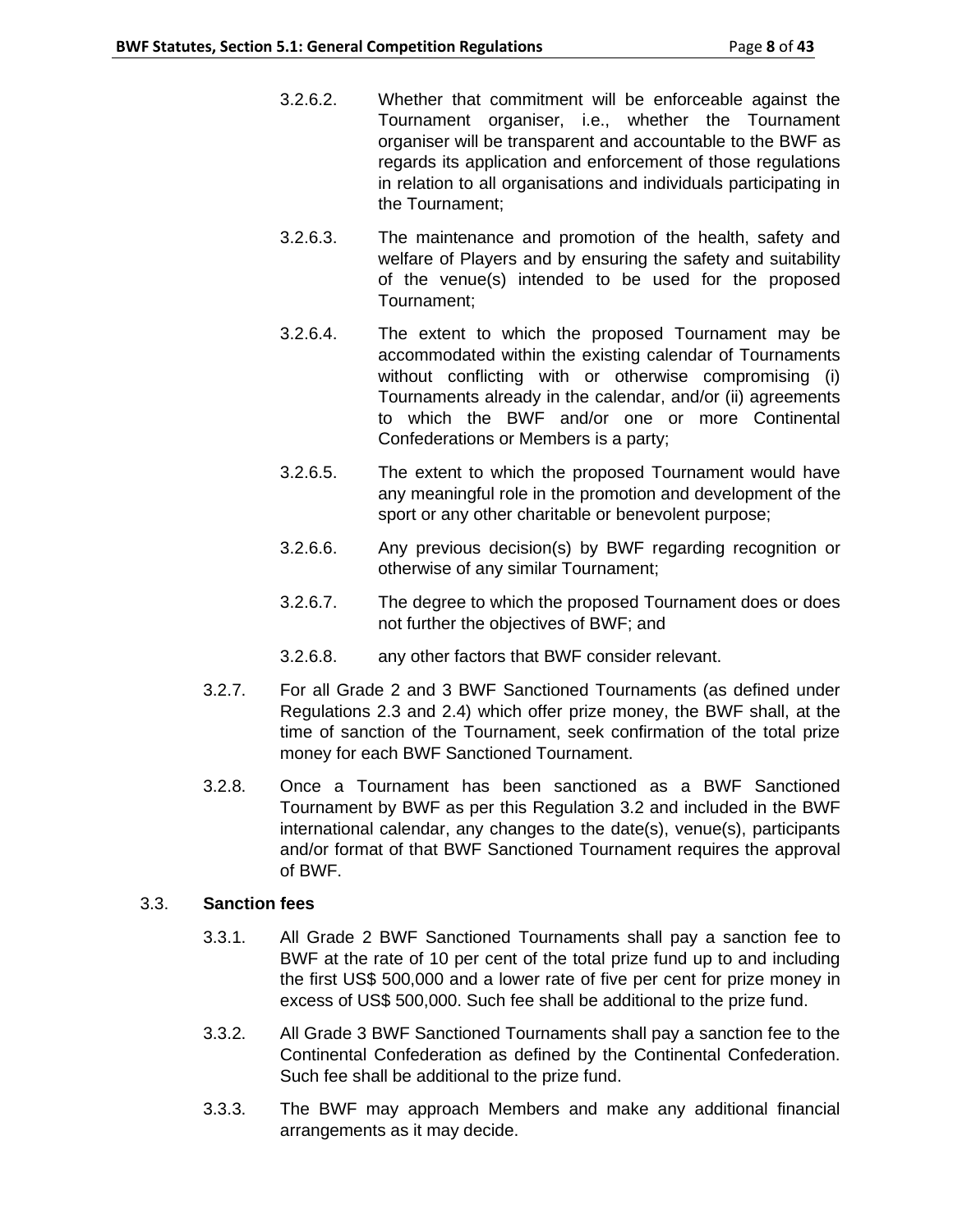- 3.2.6.2. Whether that commitment will be enforceable against the Tournament organiser, i.e., whether the Tournament organiser will be transparent and accountable to the BWF as regards its application and enforcement of those regulations in relation to all organisations and individuals participating in the Tournament;
- 3.2.6.3. The maintenance and promotion of the health, safety and welfare of Players and by ensuring the safety and suitability of the venue(s) intended to be used for the proposed Tournament;
- 3.2.6.4. The extent to which the proposed Tournament may be accommodated within the existing calendar of Tournaments without conflicting with or otherwise compromising (i) Tournaments already in the calendar, and/or (ii) agreements to which the BWF and/or one or more Continental Confederations or Members is a party;
- 3.2.6.5. The extent to which the proposed Tournament would have any meaningful role in the promotion and development of the sport or any other charitable or benevolent purpose;
- 3.2.6.6. Any previous decision(s) by BWF regarding recognition or otherwise of any similar Tournament;
- 3.2.6.7. The degree to which the proposed Tournament does or does not further the objectives of BWF; and
- 3.2.6.8. any other factors that BWF consider relevant.
- 3.2.7. For all Grade 2 and 3 BWF Sanctioned Tournaments (as defined under Regulations 2.3 and 2.4) which offer prize money, the BWF shall, at the time of sanction of the Tournament, seek confirmation of the total prize money for each BWF Sanctioned Tournament.
- 3.2.8. Once a Tournament has been sanctioned as a BWF Sanctioned Tournament by BWF as per this Regulation 3.2 and included in the BWF international calendar, any changes to the date(s), venue(s), participants and/or format of that BWF Sanctioned Tournament requires the approval of BWF.

# 3.3. **Sanction fees**

- 3.3.1. All Grade 2 BWF Sanctioned Tournaments shall pay a sanction fee to BWF at the rate of 10 per cent of the total prize fund up to and including the first US\$ 500,000 and a lower rate of five per cent for prize money in excess of US\$ 500,000. Such fee shall be additional to the prize fund.
- 3.3.2. All Grade 3 BWF Sanctioned Tournaments shall pay a sanction fee to the Continental Confederation as defined by the Continental Confederation. Such fee shall be additional to the prize fund.
- 3.3.3. The BWF may approach Members and make any additional financial arrangements as it may decide.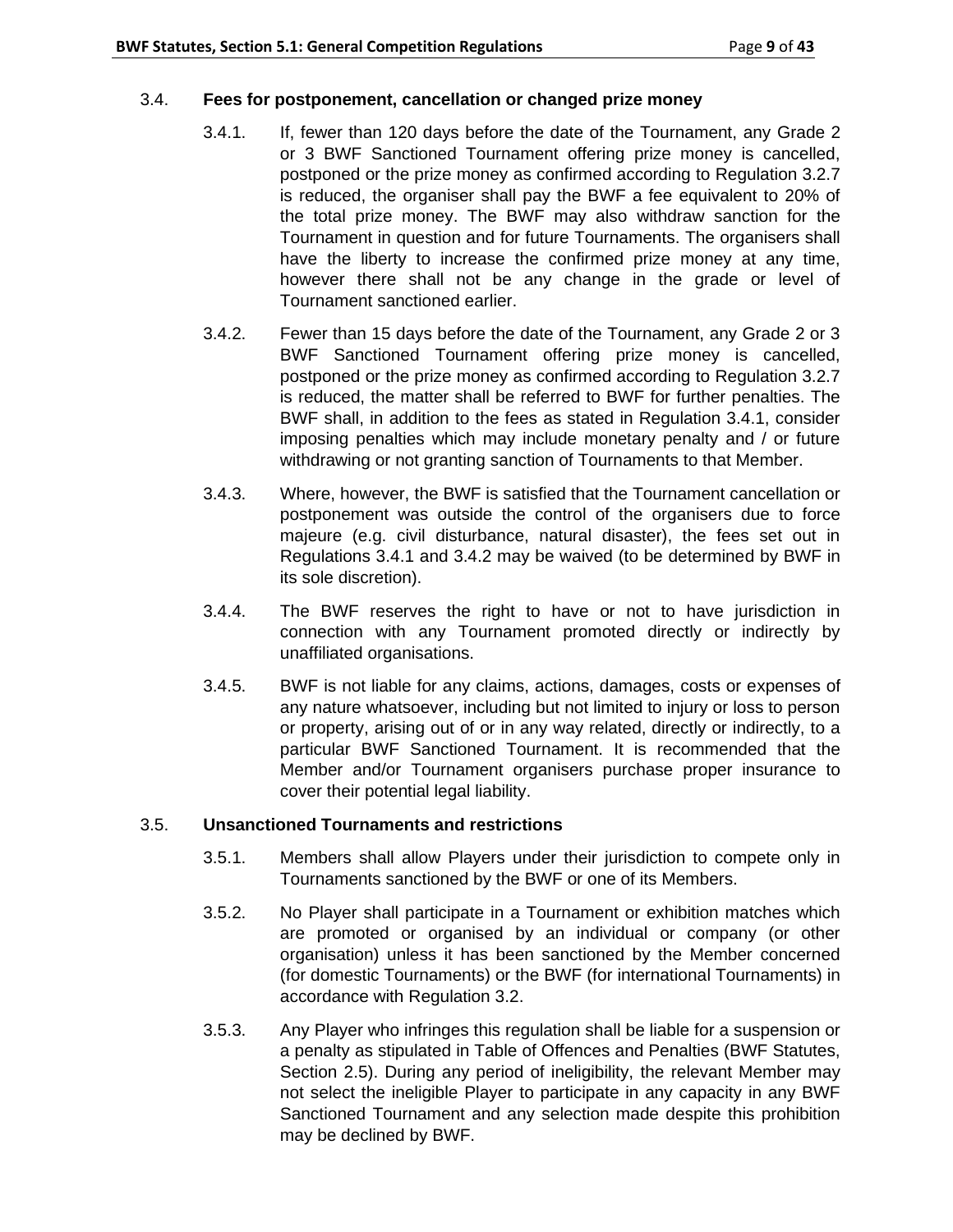### 3.4. **Fees for postponement, cancellation or changed prize money**

- 3.4.1. If, fewer than 120 days before the date of the Tournament, any Grade 2 or 3 BWF Sanctioned Tournament offering prize money is cancelled, postponed or the prize money as confirmed according to Regulation 3.2.7 is reduced, the organiser shall pay the BWF a fee equivalent to 20% of the total prize money. The BWF may also withdraw sanction for the Tournament in question and for future Tournaments. The organisers shall have the liberty to increase the confirmed prize money at any time, however there shall not be any change in the grade or level of Tournament sanctioned earlier.
- 3.4.2. Fewer than 15 days before the date of the Tournament, any Grade 2 or 3 BWF Sanctioned Tournament offering prize money is cancelled, postponed or the prize money as confirmed according to Regulation 3.2.7 is reduced, the matter shall be referred to BWF for further penalties. The BWF shall, in addition to the fees as stated in Regulation 3.4.1, consider imposing penalties which may include monetary penalty and / or future withdrawing or not granting sanction of Tournaments to that Member.
- 3.4.3. Where, however, the BWF is satisfied that the Tournament cancellation or postponement was outside the control of the organisers due to force majeure (e.g. civil disturbance, natural disaster), the fees set out in Regulations 3.4.1 and 3.4.2 may be waived (to be determined by BWF in its sole discretion).
- 3.4.4. The BWF reserves the right to have or not to have jurisdiction in connection with any Tournament promoted directly or indirectly by unaffiliated organisations.
- 3.4.5. BWF is not liable for any claims, actions, damages, costs or expenses of any nature whatsoever, including but not limited to injury or loss to person or property, arising out of or in any way related, directly or indirectly, to a particular BWF Sanctioned Tournament. It is recommended that the Member and/or Tournament organisers purchase proper insurance to cover their potential legal liability.

### 3.5. **Unsanctioned Tournaments and restrictions**

- 3.5.1. Members shall allow Players under their jurisdiction to compete only in Tournaments sanctioned by the BWF or one of its Members.
- 3.5.2. No Player shall participate in a Tournament or exhibition matches which are promoted or organised by an individual or company (or other organisation) unless it has been sanctioned by the Member concerned (for domestic Tournaments) or the BWF (for international Tournaments) in accordance with Regulation 3.2.
- 3.5.3. Any Player who infringes this regulation shall be liable for a suspension or a penalty as stipulated in Table of Offences and Penalties (BWF Statutes, Section 2.5). During any period of ineligibility, the relevant Member may not select the ineligible Player to participate in any capacity in any BWF Sanctioned Tournament and any selection made despite this prohibition may be declined by BWF.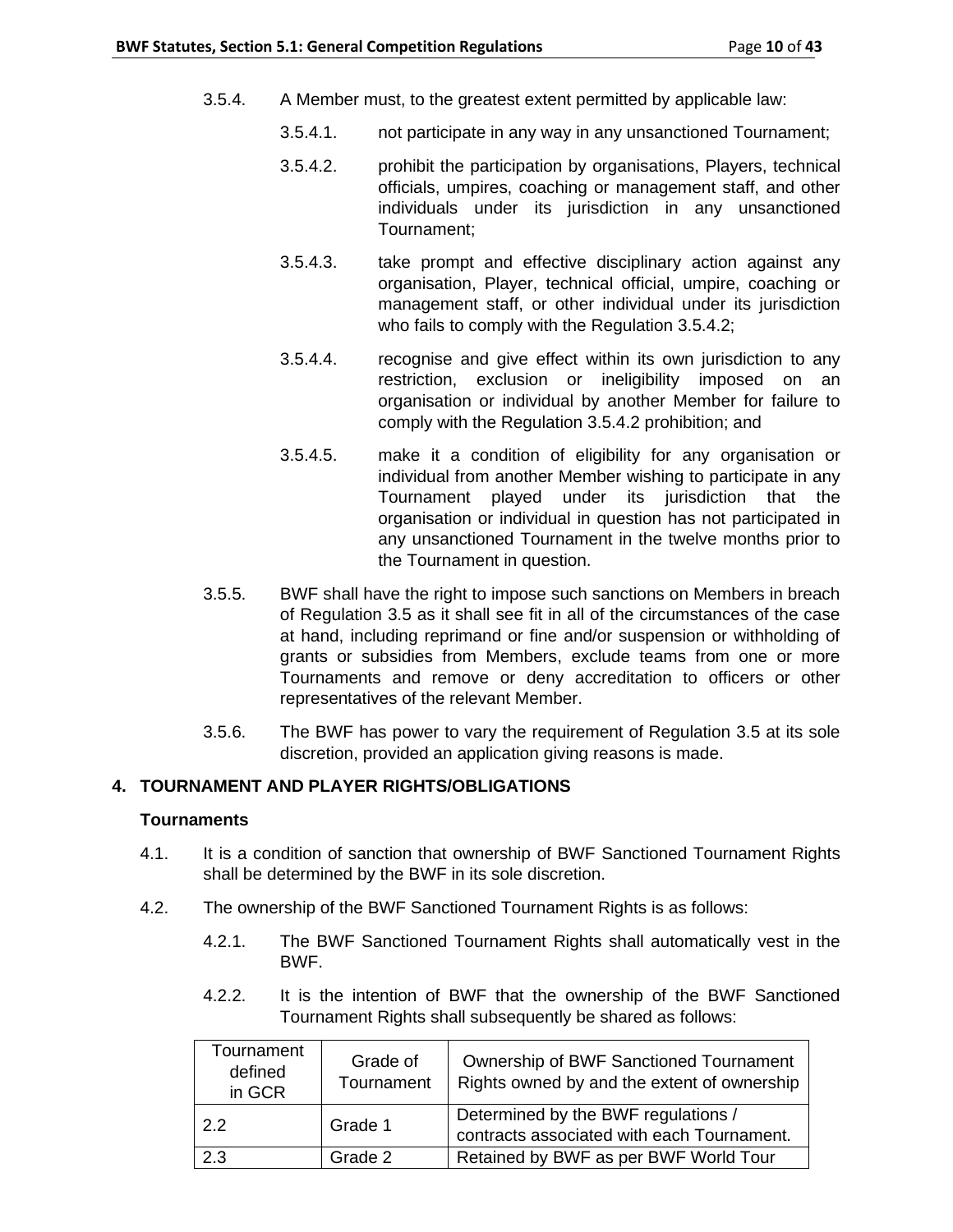- 3.5.4. A Member must, to the greatest extent permitted by applicable law:
	- 3.5.4.1. not participate in any way in any unsanctioned Tournament;
	- 3.5.4.2. prohibit the participation by organisations, Players, technical officials, umpires, coaching or management staff, and other individuals under its jurisdiction in any unsanctioned Tournament;
	- 3.5.4.3. take prompt and effective disciplinary action against any organisation, Player, technical official, umpire, coaching or management staff, or other individual under its jurisdiction who fails to comply with the Regulation 3.5.4.2;
	- 3.5.4.4. recognise and give effect within its own jurisdiction to any restriction, exclusion or ineligibility imposed on an organisation or individual by another Member for failure to comply with the Regulation 3.5.4.2 prohibition; and
	- 3.5.4.5. make it a condition of eligibility for any organisation or individual from another Member wishing to participate in any Tournament played under its jurisdiction that the organisation or individual in question has not participated in any unsanctioned Tournament in the twelve months prior to the Tournament in question.
- 3.5.5. BWF shall have the right to impose such sanctions on Members in breach of Regulation 3.5 as it shall see fit in all of the circumstances of the case at hand, including reprimand or fine and/or suspension or withholding of grants or subsidies from Members, exclude teams from one or more Tournaments and remove or deny accreditation to officers or other representatives of the relevant Member.
- 3.5.6. The BWF has power to vary the requirement of Regulation 3.5 at its sole discretion, provided an application giving reasons is made.

### **4. TOURNAMENT AND PLAYER RIGHTS/OBLIGATIONS**

### **Tournaments**

- 4.1. It is a condition of sanction that ownership of BWF Sanctioned Tournament Rights shall be determined by the BWF in its sole discretion.
- 4.2. The ownership of the BWF Sanctioned Tournament Rights is as follows:
	- 4.2.1. The BWF Sanctioned Tournament Rights shall automatically vest in the BWF.
	- 4.2.2. It is the intention of BWF that the ownership of the BWF Sanctioned Tournament Rights shall subsequently be shared as follows:

| Tournament<br>defined<br>in GCR | Grade of<br>Tournament | Ownership of BWF Sanctioned Tournament<br>Rights owned by and the extent of ownership |
|---------------------------------|------------------------|---------------------------------------------------------------------------------------|
| 2.2                             | Grade 1                | Determined by the BWF regulations /<br>contracts associated with each Tournament.     |
| 2.3                             | Grade 2                | Retained by BWF as per BWF World Tour                                                 |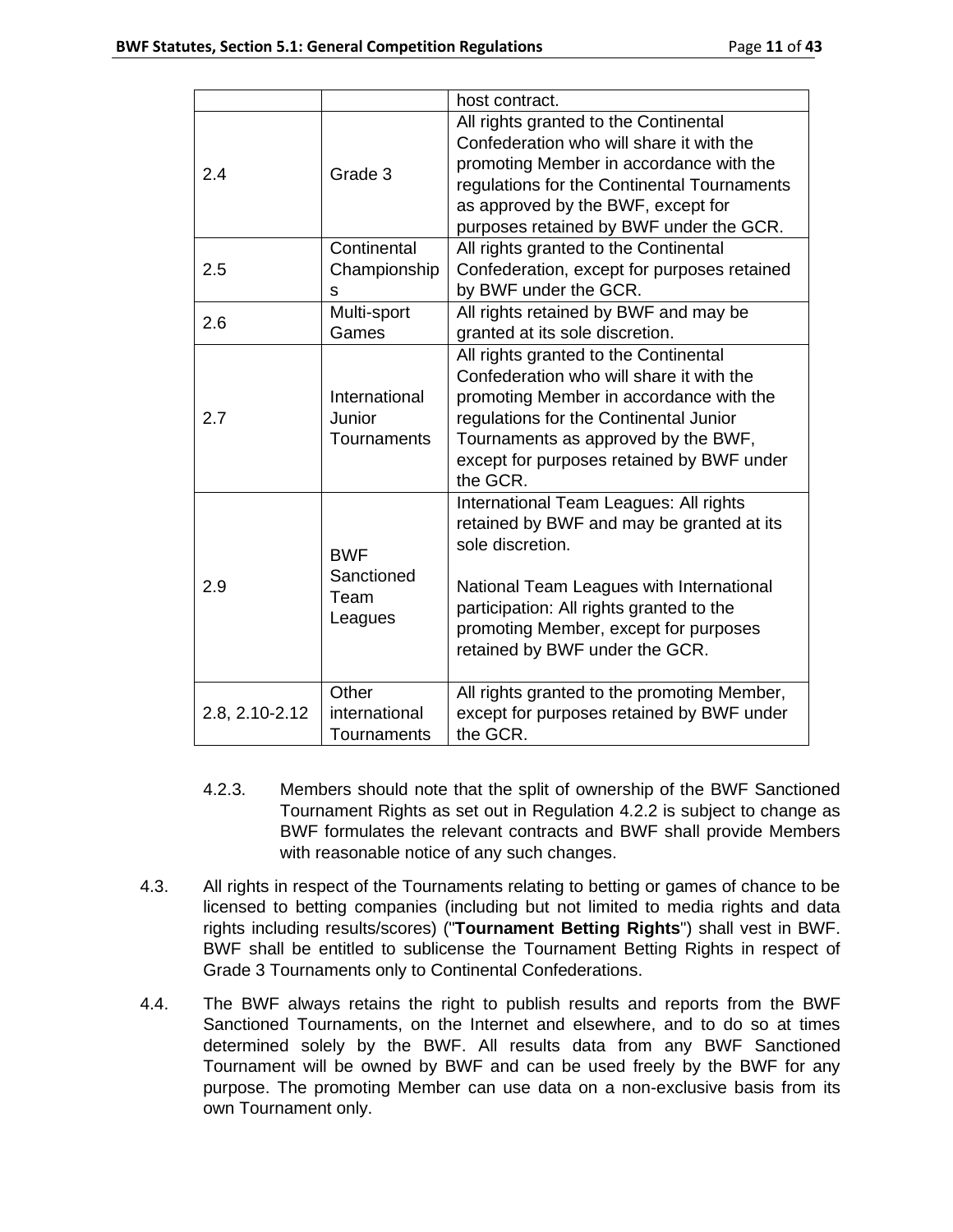|                |               | host contract.                                                                    |  |
|----------------|---------------|-----------------------------------------------------------------------------------|--|
| 2.4            | Grade 3       | All rights granted to the Continental<br>Confederation who will share it with the |  |
|                |               | promoting Member in accordance with the                                           |  |
|                |               | regulations for the Continental Tournaments                                       |  |
|                |               | as approved by the BWF, except for                                                |  |
|                |               | purposes retained by BWF under the GCR.                                           |  |
|                | Continental   | All rights granted to the Continental                                             |  |
| 2.5            | Championship  | Confederation, except for purposes retained                                       |  |
|                | S             | by BWF under the GCR.                                                             |  |
| 2.6            | Multi-sport   | All rights retained by BWF and may be                                             |  |
|                | Games         | granted at its sole discretion.                                                   |  |
|                |               | All rights granted to the Continental                                             |  |
|                |               | Confederation who will share it with the                                          |  |
|                | International | promoting Member in accordance with the                                           |  |
| 2.7            | Junior        | regulations for the Continental Junior                                            |  |
|                | Tournaments   | Tournaments as approved by the BWF,                                               |  |
|                |               | except for purposes retained by BWF under<br>the GCR.                             |  |
|                |               | International Team Leagues: All rights                                            |  |
|                |               | retained by BWF and may be granted at its                                         |  |
| 2.9            | <b>BWF</b>    | sole discretion.                                                                  |  |
|                | Sanctioned    |                                                                                   |  |
|                | Team          | National Team Leagues with International                                          |  |
|                | Leagues       | participation: All rights granted to the                                          |  |
|                |               | promoting Member, except for purposes                                             |  |
|                |               | retained by BWF under the GCR.                                                    |  |
|                | Other         | All rights granted to the promoting Member,                                       |  |
| 2.8, 2.10-2.12 | international | except for purposes retained by BWF under                                         |  |
|                | Tournaments   | the GCR.                                                                          |  |

- 4.2.3. Members should note that the split of ownership of the BWF Sanctioned Tournament Rights as set out in Regulation 4.2.2 is subject to change as BWF formulates the relevant contracts and BWF shall provide Members with reasonable notice of any such changes.
- 4.3. All rights in respect of the Tournaments relating to betting or games of chance to be licensed to betting companies (including but not limited to media rights and data rights including results/scores) ("**Tournament Betting Rights**") shall vest in BWF. BWF shall be entitled to sublicense the Tournament Betting Rights in respect of Grade 3 Tournaments only to Continental Confederations.
- 4.4. The BWF always retains the right to publish results and reports from the BWF Sanctioned Tournaments, on the Internet and elsewhere, and to do so at times determined solely by the BWF. All results data from any BWF Sanctioned Tournament will be owned by BWF and can be used freely by the BWF for any purpose. The promoting Member can use data on a non-exclusive basis from its own Tournament only.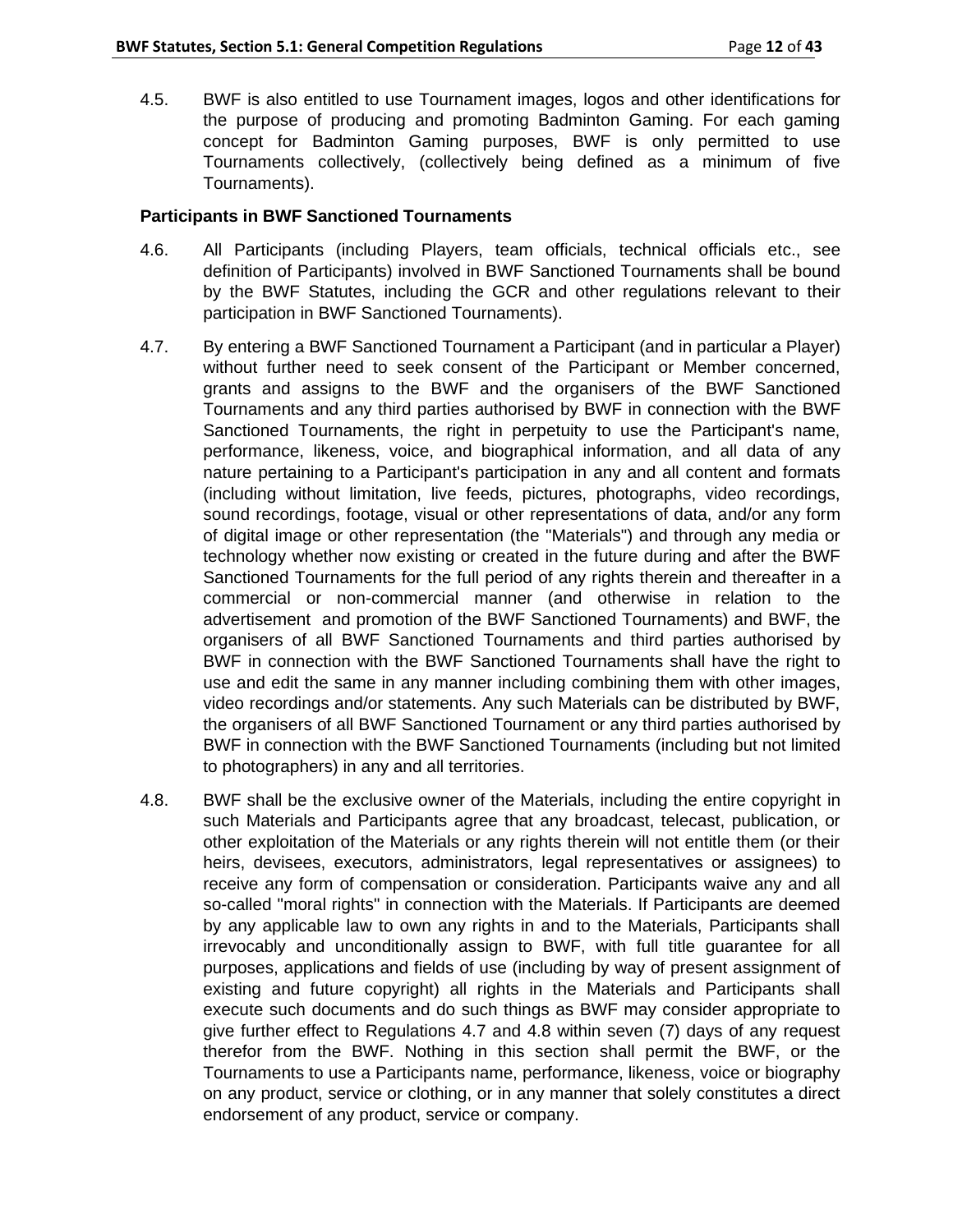4.5. BWF is also entitled to use Tournament images, logos and other identifications for the purpose of producing and promoting Badminton Gaming. For each gaming concept for Badminton Gaming purposes, BWF is only permitted to use Tournaments collectively, (collectively being defined as a minimum of five Tournaments).

### **Participants in BWF Sanctioned Tournaments**

- 4.6. All Participants (including Players, team officials, technical officials etc., see definition of Participants) involved in BWF Sanctioned Tournaments shall be bound by the BWF Statutes, including the GCR and other regulations relevant to their participation in BWF Sanctioned Tournaments).
- 4.7. By entering a BWF Sanctioned Tournament a Participant (and in particular a Player) without further need to seek consent of the Participant or Member concerned, grants and assigns to the BWF and the organisers of the BWF Sanctioned Tournaments and any third parties authorised by BWF in connection with the BWF Sanctioned Tournaments, the right in perpetuity to use the Participant's name, performance, likeness, voice, and biographical information, and all data of any nature pertaining to a Participant's participation in any and all content and formats (including without limitation, live feeds, pictures, photographs, video recordings, sound recordings, footage, visual or other representations of data, and/or any form of digital image or other representation (the "Materials") and through any media or technology whether now existing or created in the future during and after the BWF Sanctioned Tournaments for the full period of any rights therein and thereafter in a commercial or non-commercial manner (and otherwise in relation to the advertisement and promotion of the BWF Sanctioned Tournaments) and BWF, the organisers of all BWF Sanctioned Tournaments and third parties authorised by BWF in connection with the BWF Sanctioned Tournaments shall have the right to use and edit the same in any manner including combining them with other images, video recordings and/or statements. Any such Materials can be distributed by BWF, the organisers of all BWF Sanctioned Tournament or any third parties authorised by BWF in connection with the BWF Sanctioned Tournaments (including but not limited to photographers) in any and all territories.
- 4.8. BWF shall be the exclusive owner of the Materials, including the entire copyright in such Materials and Participants agree that any broadcast, telecast, publication, or other exploitation of the Materials or any rights therein will not entitle them (or their heirs, devisees, executors, administrators, legal representatives or assignees) to receive any form of compensation or consideration. Participants waive any and all so-called "moral rights" in connection with the Materials. If Participants are deemed by any applicable law to own any rights in and to the Materials, Participants shall irrevocably and unconditionally assign to BWF, with full title guarantee for all purposes, applications and fields of use (including by way of present assignment of existing and future copyright) all rights in the Materials and Participants shall execute such documents and do such things as BWF may consider appropriate to give further effect to Regulations 4.7 and 4.8 within seven (7) days of any request therefor from the BWF. Nothing in this section shall permit the BWF, or the Tournaments to use a Participants name, performance, likeness, voice or biography on any product, service or clothing, or in any manner that solely constitutes a direct endorsement of any product, service or company.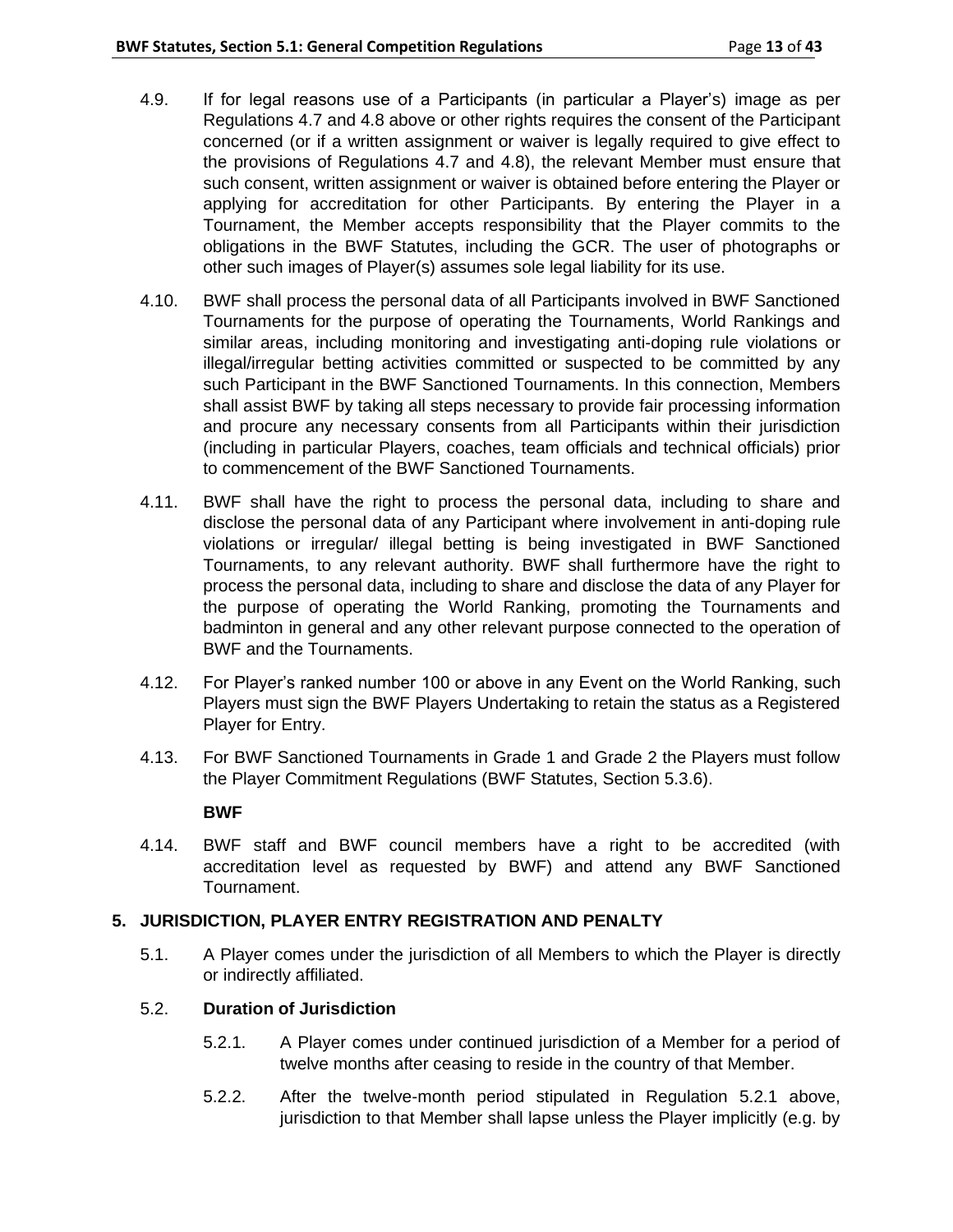- 4.9. If for legal reasons use of a Participants (in particular a Player's) image as per Regulations 4.7 and 4.8 above or other rights requires the consent of the Participant concerned (or if a written assignment or waiver is legally required to give effect to the provisions of Regulations 4.7 and 4.8), the relevant Member must ensure that such consent, written assignment or waiver is obtained before entering the Player or applying for accreditation for other Participants. By entering the Player in a Tournament, the Member accepts responsibility that the Player commits to the obligations in the BWF Statutes, including the GCR. The user of photographs or other such images of Player(s) assumes sole legal liability for its use.
- 4.10. BWF shall process the personal data of all Participants involved in BWF Sanctioned Tournaments for the purpose of operating the Tournaments, World Rankings and similar areas, including monitoring and investigating anti-doping rule violations or illegal/irregular betting activities committed or suspected to be committed by any such Participant in the BWF Sanctioned Tournaments. In this connection, Members shall assist BWF by taking all steps necessary to provide fair processing information and procure any necessary consents from all Participants within their jurisdiction (including in particular Players, coaches, team officials and technical officials) prior to commencement of the BWF Sanctioned Tournaments.
- 4.11. BWF shall have the right to process the personal data, including to share and disclose the personal data of any Participant where involvement in anti-doping rule violations or irregular/ illegal betting is being investigated in BWF Sanctioned Tournaments, to any relevant authority. BWF shall furthermore have the right to process the personal data, including to share and disclose the data of any Player for the purpose of operating the World Ranking, promoting the Tournaments and badminton in general and any other relevant purpose connected to the operation of BWF and the Tournaments.
- 4.12. For Player's ranked number 100 or above in any Event on the World Ranking, such Players must sign the BWF Players Undertaking to retain the status as a Registered Player for Entry.
- 4.13. For BWF Sanctioned Tournaments in Grade 1 and Grade 2 the Players must follow the Player Commitment Regulations (BWF Statutes, Section 5.3.6).

### **BWF**

4.14. BWF staff and BWF council members have a right to be accredited (with accreditation level as requested by BWF) and attend any BWF Sanctioned Tournament.

### **5. JURISDICTION, PLAYER ENTRY REGISTRATION AND PENALTY**

5.1. A Player comes under the jurisdiction of all Members to which the Player is directly or indirectly affiliated.

### 5.2. **Duration of Jurisdiction**

- 5.2.1. A Player comes under continued jurisdiction of a Member for a period of twelve months after ceasing to reside in the country of that Member.
- 5.2.2. After the twelve-month period stipulated in Regulation 5.2.1 above, jurisdiction to that Member shall lapse unless the Player implicitly (e.g. by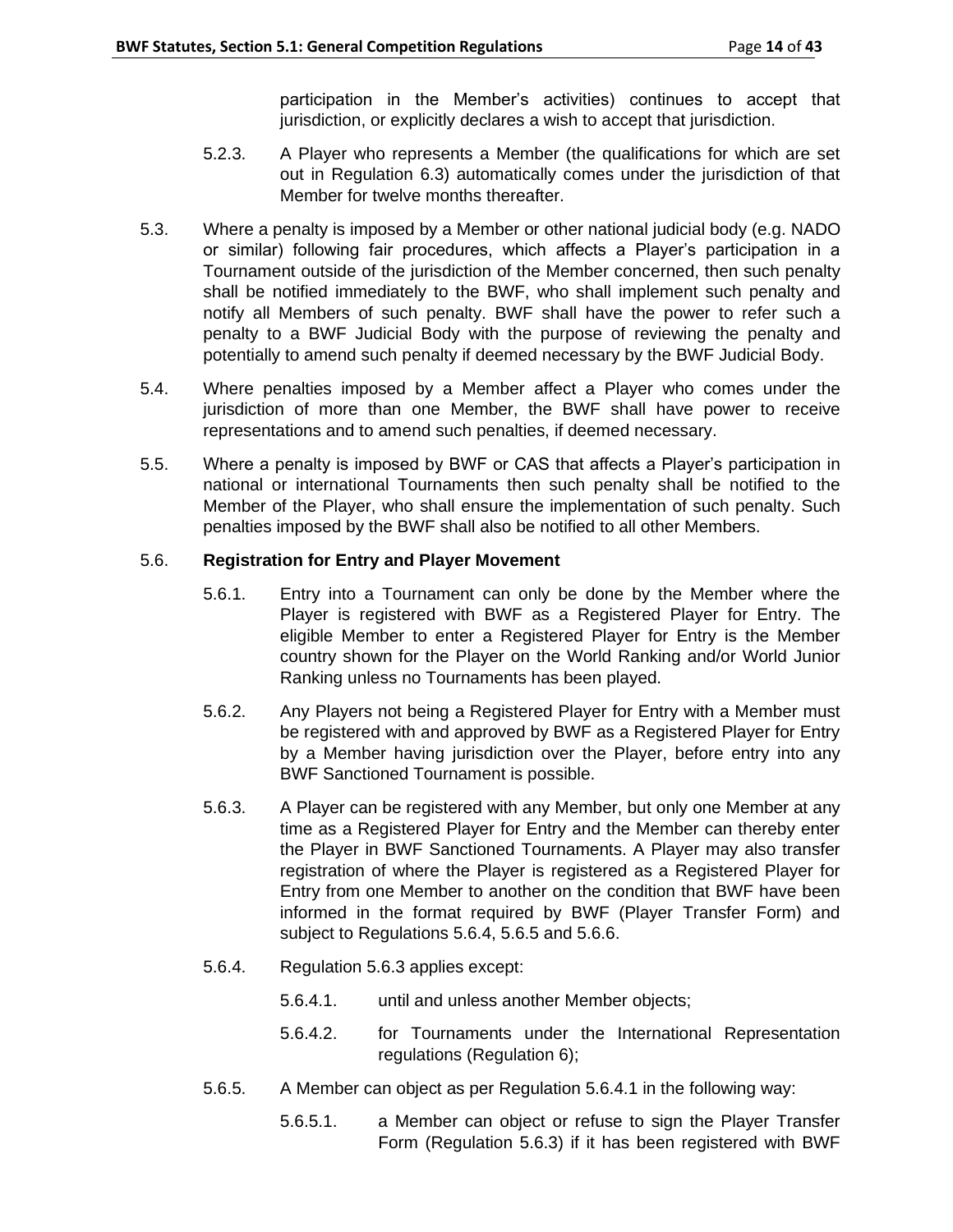participation in the Member's activities) continues to accept that jurisdiction, or explicitly declares a wish to accept that jurisdiction.

- 5.2.3. A Player who represents a Member (the qualifications for which are set out in Regulation 6.3) automatically comes under the jurisdiction of that Member for twelve months thereafter.
- 5.3. Where a penalty is imposed by a Member or other national judicial body (e.g. NADO or similar) following fair procedures, which affects a Player's participation in a Tournament outside of the jurisdiction of the Member concerned, then such penalty shall be notified immediately to the BWF, who shall implement such penalty and notify all Members of such penalty. BWF shall have the power to refer such a penalty to a BWF Judicial Body with the purpose of reviewing the penalty and potentially to amend such penalty if deemed necessary by the BWF Judicial Body.
- 5.4. Where penalties imposed by a Member affect a Player who comes under the jurisdiction of more than one Member, the BWF shall have power to receive representations and to amend such penalties, if deemed necessary.
- 5.5. Where a penalty is imposed by BWF or CAS that affects a Player's participation in national or international Tournaments then such penalty shall be notified to the Member of the Player, who shall ensure the implementation of such penalty. Such penalties imposed by the BWF shall also be notified to all other Members.

# 5.6. **Registration for Entry and Player Movement**

- 5.6.1. Entry into a Tournament can only be done by the Member where the Player is registered with BWF as a Registered Player for Entry. The eligible Member to enter a Registered Player for Entry is the Member country shown for the Player on the World Ranking and/or World Junior Ranking unless no Tournaments has been played.
- 5.6.2. Any Players not being a Registered Player for Entry with a Member must be registered with and approved by BWF as a Registered Player for Entry by a Member having jurisdiction over the Player, before entry into any BWF Sanctioned Tournament is possible.
- 5.6.3. A Player can be registered with any Member, but only one Member at any time as a Registered Player for Entry and the Member can thereby enter the Player in BWF Sanctioned Tournaments. A Player may also transfer registration of where the Player is registered as a Registered Player for Entry from one Member to another on the condition that BWF have been informed in the format required by BWF (Player Transfer Form) and subject to Regulations 5.6.4, 5.6.5 and 5.6.6.
- 5.6.4. Regulation 5.6.3 applies except:
	- 5.6.4.1. until and unless another Member objects;
	- 5.6.4.2. for Tournaments under the International Representation regulations (Regulation 6);
- 5.6.5. A Member can object as per Regulation 5.6.4.1 in the following way:
	- 5.6.5.1. a Member can object or refuse to sign the Player Transfer Form (Regulation 5.6.3) if it has been registered with BWF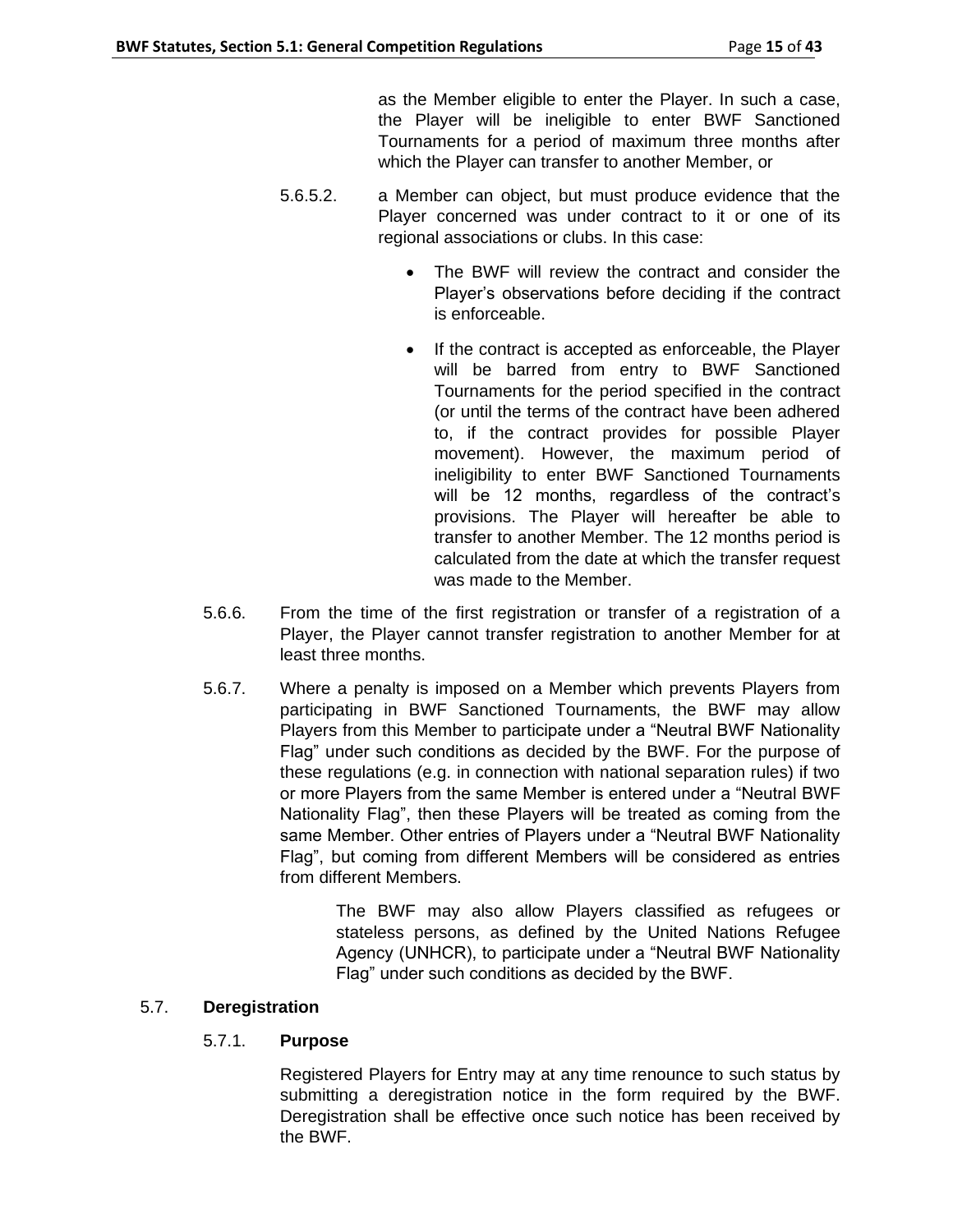as the Member eligible to enter the Player. In such a case, the Player will be ineligible to enter BWF Sanctioned Tournaments for a period of maximum three months after which the Player can transfer to another Member, or

- 5.6.5.2. a Member can object, but must produce evidence that the Player concerned was under contract to it or one of its regional associations or clubs. In this case:
	- The BWF will review the contract and consider the Player's observations before deciding if the contract is enforceable.
	- If the contract is accepted as enforceable, the Player will be barred from entry to BWF Sanctioned Tournaments for the period specified in the contract (or until the terms of the contract have been adhered to, if the contract provides for possible Player movement). However, the maximum period of ineligibility to enter BWF Sanctioned Tournaments will be 12 months, regardless of the contract's provisions. The Player will hereafter be able to transfer to another Member. The 12 months period is calculated from the date at which the transfer request was made to the Member.
- 5.6.6. From the time of the first registration or transfer of a registration of a Player, the Player cannot transfer registration to another Member for at least three months.
- 5.6.7. Where a penalty is imposed on a Member which prevents Players from participating in BWF Sanctioned Tournaments, the BWF may allow Players from this Member to participate under a "Neutral BWF Nationality Flag" under such conditions as decided by the BWF. For the purpose of these regulations (e.g. in connection with national separation rules) if two or more Players from the same Member is entered under a "Neutral BWF Nationality Flag", then these Players will be treated as coming from the same Member. Other entries of Players under a "Neutral BWF Nationality Flag", but coming from different Members will be considered as entries from different Members.

The BWF may also allow Players classified as refugees or stateless persons, as defined by the United Nations Refugee Agency (UNHCR), to participate under a "Neutral BWF Nationality Flag" under such conditions as decided by the BWF.

# 5.7. **Deregistration**

# 5.7.1. **Purpose**

Registered Players for Entry may at any time renounce to such status by submitting a deregistration notice in the form required by the BWF. Deregistration shall be effective once such notice has been received by the BWF.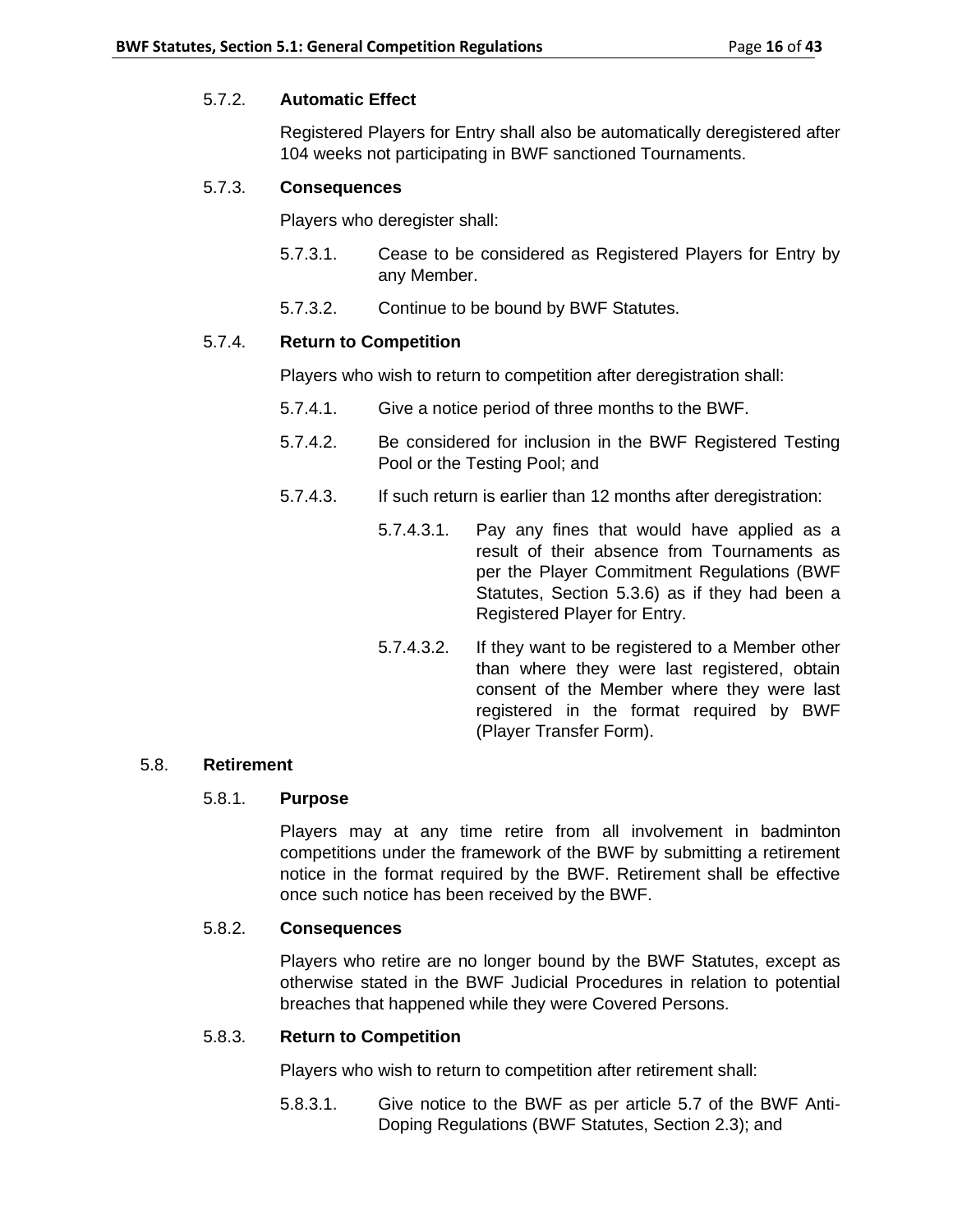## 5.7.2. **Automatic Effect**

Registered Players for Entry shall also be automatically deregistered after 104 weeks not participating in BWF sanctioned Tournaments.

## 5.7.3. **Consequences**

Players who deregister shall:

- 5.7.3.1. Cease to be considered as Registered Players for Entry by any Member.
- 5.7.3.2. Continue to be bound by BWF Statutes.

## 5.7.4. **Return to Competition**

Players who wish to return to competition after deregistration shall:

- 5.7.4.1. Give a notice period of three months to the BWF.
- 5.7.4.2. Be considered for inclusion in the BWF Registered Testing Pool or the Testing Pool; and
- 5.7.4.3. If such return is earlier than 12 months after deregistration:
	- 5.7.4.3.1. Pay any fines that would have applied as a result of their absence from Tournaments as per the Player Commitment Regulations (BWF Statutes, Section 5.3.6) as if they had been a Registered Player for Entry.
	- 5.7.4.3.2. If they want to be registered to a Member other than where they were last registered, obtain consent of the Member where they were last registered in the format required by BWF (Player Transfer Form).

### 5.8. **Retirement**

# 5.8.1. **Purpose**

Players may at any time retire from all involvement in badminton competitions under the framework of the BWF by submitting a retirement notice in the format required by the BWF. Retirement shall be effective once such notice has been received by the BWF.

## 5.8.2. **Consequences**

Players who retire are no longer bound by the BWF Statutes, except as otherwise stated in the BWF Judicial Procedures in relation to potential breaches that happened while they were Covered Persons.

### 5.8.3. **Return to Competition**

Players who wish to return to competition after retirement shall:

5.8.3.1. Give notice to the BWF as per article 5.7 of the BWF Anti-Doping Regulations (BWF Statutes, Section 2.3); and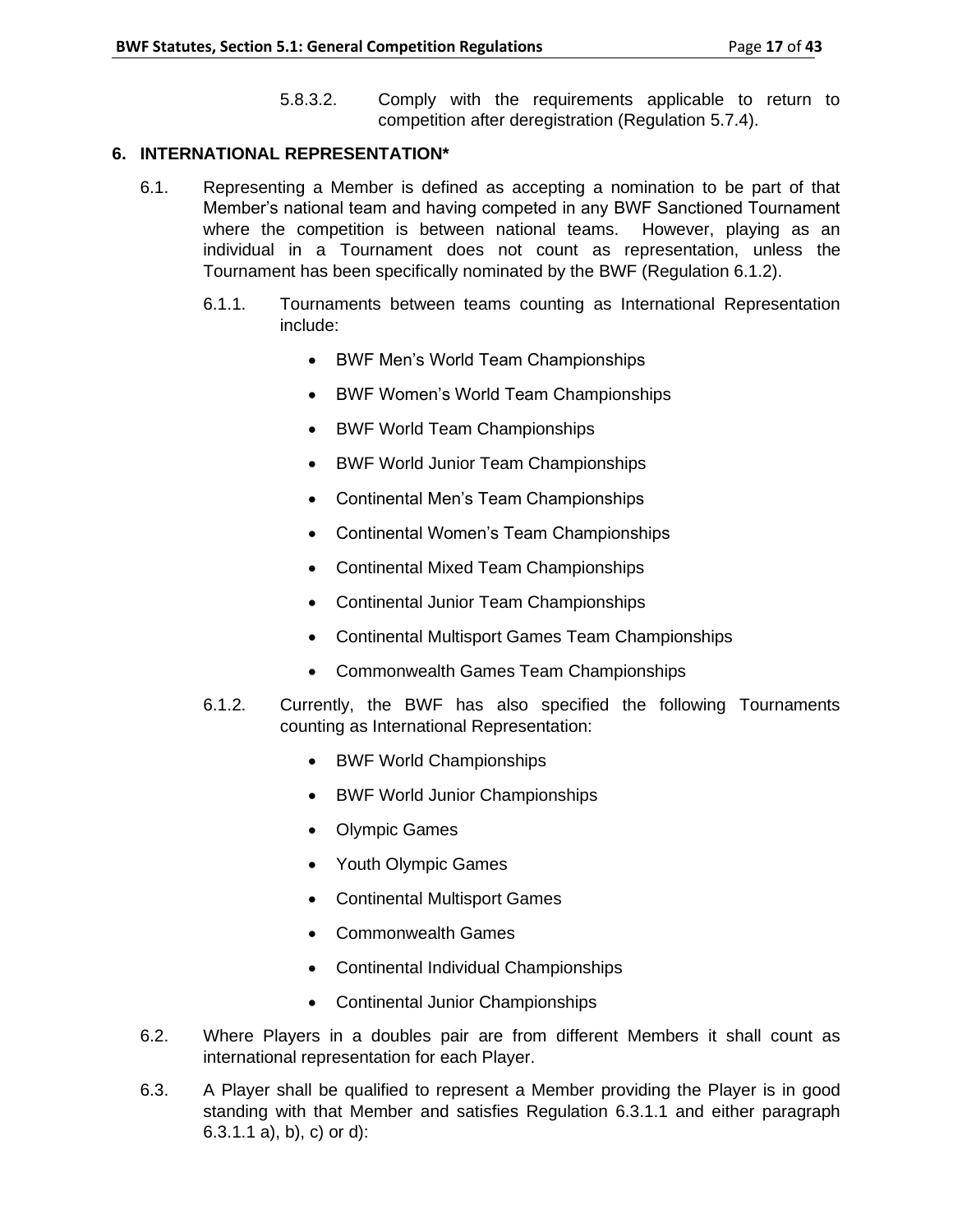5.8.3.2. Comply with the requirements applicable to return to competition after deregistration (Regulation 5.7.4).

## **6. INTERNATIONAL REPRESENTATION\***

- 6.1. Representing a Member is defined as accepting a nomination to be part of that Member's national team and having competed in any BWF Sanctioned Tournament where the competition is between national teams. However, playing as an individual in a Tournament does not count as representation, unless the Tournament has been specifically nominated by the BWF (Regulation 6.1.2).
	- 6.1.1. Tournaments between teams counting as International Representation include:
		- BWF Men's World Team Championships
		- BWF Women's World Team Championships
		- BWF World Team Championships
		- BWF World Junior Team Championships
		- Continental Men's Team Championships
		- Continental Women's Team Championships
		- Continental Mixed Team Championships
		- Continental Junior Team Championships
		- Continental Multisport Games Team Championships
		- Commonwealth Games Team Championships
	- 6.1.2. Currently, the BWF has also specified the following Tournaments counting as International Representation:
		- BWF World Championships
		- BWF World Junior Championships
		- Olympic Games
		- Youth Olympic Games
		- Continental Multisport Games
		- Commonwealth Games
		- Continental Individual Championships
		- Continental Junior Championships
- 6.2. Where Players in a doubles pair are from different Members it shall count as international representation for each Player.
- 6.3. A Player shall be qualified to represent a Member providing the Player is in good standing with that Member and satisfies Regulation 6.3.1.1 and either paragraph 6.3.1.1 a), b), c) or d):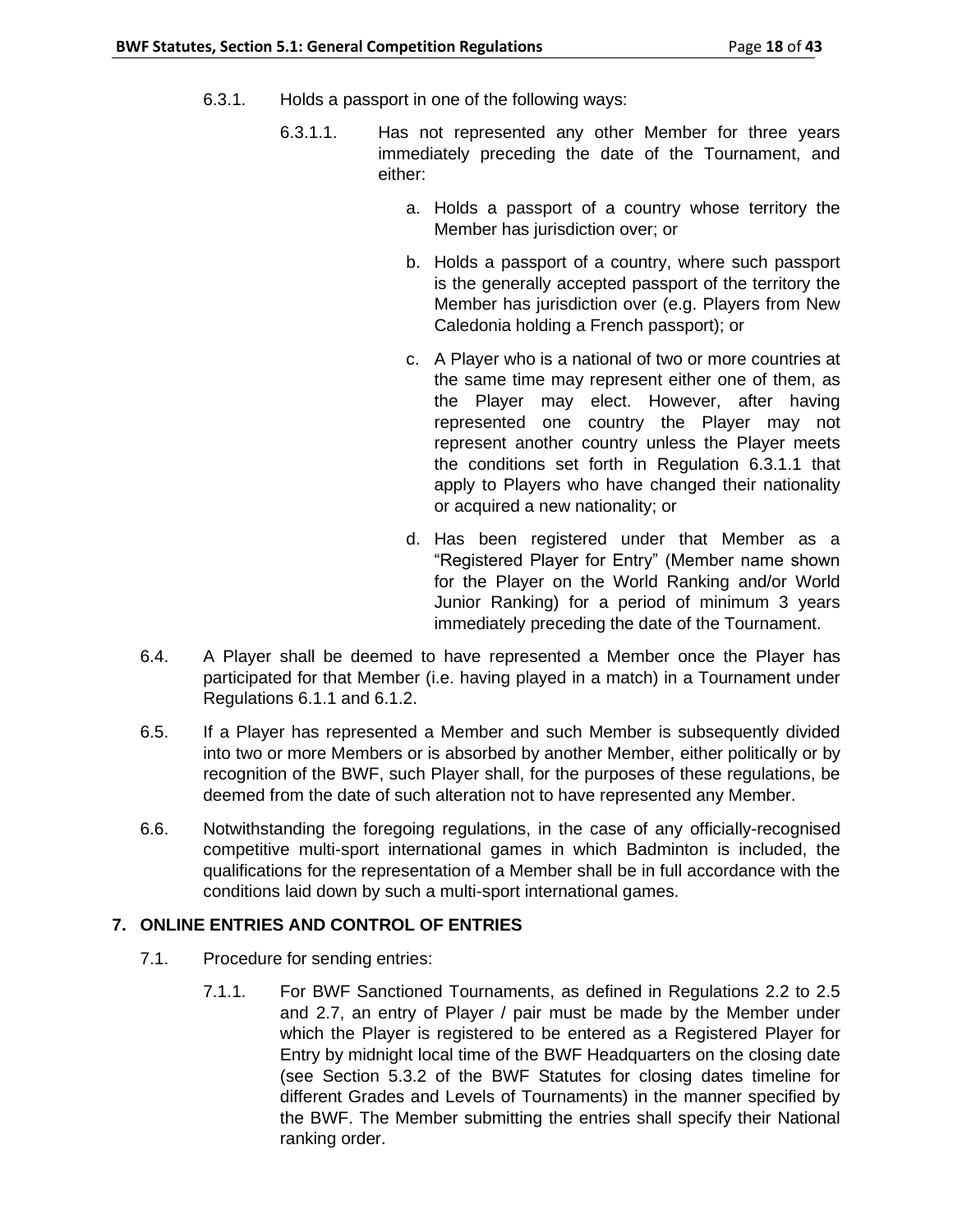- 6.3.1. Holds a passport in one of the following ways:
	- 6.3.1.1. Has not represented any other Member for three years immediately preceding the date of the Tournament, and either:
		- a. Holds a passport of a country whose territory the Member has jurisdiction over; or
		- b. Holds a passport of a country, where such passport is the generally accepted passport of the territory the Member has jurisdiction over (e.g. Players from New Caledonia holding a French passport); or
		- c. A Player who is a national of two or more countries at the same time may represent either one of them, as the Player may elect. However, after having represented one country the Player may not represent another country unless the Player meets the conditions set forth in Regulation 6.3.1.1 that apply to Players who have changed their nationality or acquired a new nationality; or
		- d. Has been registered under that Member as a "Registered Player for Entry" (Member name shown for the Player on the World Ranking and/or World Junior Ranking) for a period of minimum 3 years immediately preceding the date of the Tournament.
- 6.4. A Player shall be deemed to have represented a Member once the Player has participated for that Member (i.e. having played in a match) in a Tournament under Regulations 6.1.1 and 6.1.2.
- 6.5. If a Player has represented a Member and such Member is subsequently divided into two or more Members or is absorbed by another Member, either politically or by recognition of the BWF, such Player shall, for the purposes of these regulations, be deemed from the date of such alteration not to have represented any Member.
- 6.6. Notwithstanding the foregoing regulations, in the case of any officially-recognised competitive multi-sport international games in which Badminton is included, the qualifications for the representation of a Member shall be in full accordance with the conditions laid down by such a multi-sport international games.

# **7. ONLINE ENTRIES AND CONTROL OF ENTRIES**

- 7.1. Procedure for sending entries:
	- 7.1.1. For BWF Sanctioned Tournaments, as defined in Regulations 2.2 to 2.5 and 2.7, an entry of Player / pair must be made by the Member under which the Player is registered to be entered as a Registered Player for Entry by midnight local time of the BWF Headquarters on the closing date (see Section 5.3.2 of the BWF Statutes for closing dates timeline for different Grades and Levels of Tournaments) in the manner specified by the BWF. The Member submitting the entries shall specify their National ranking order.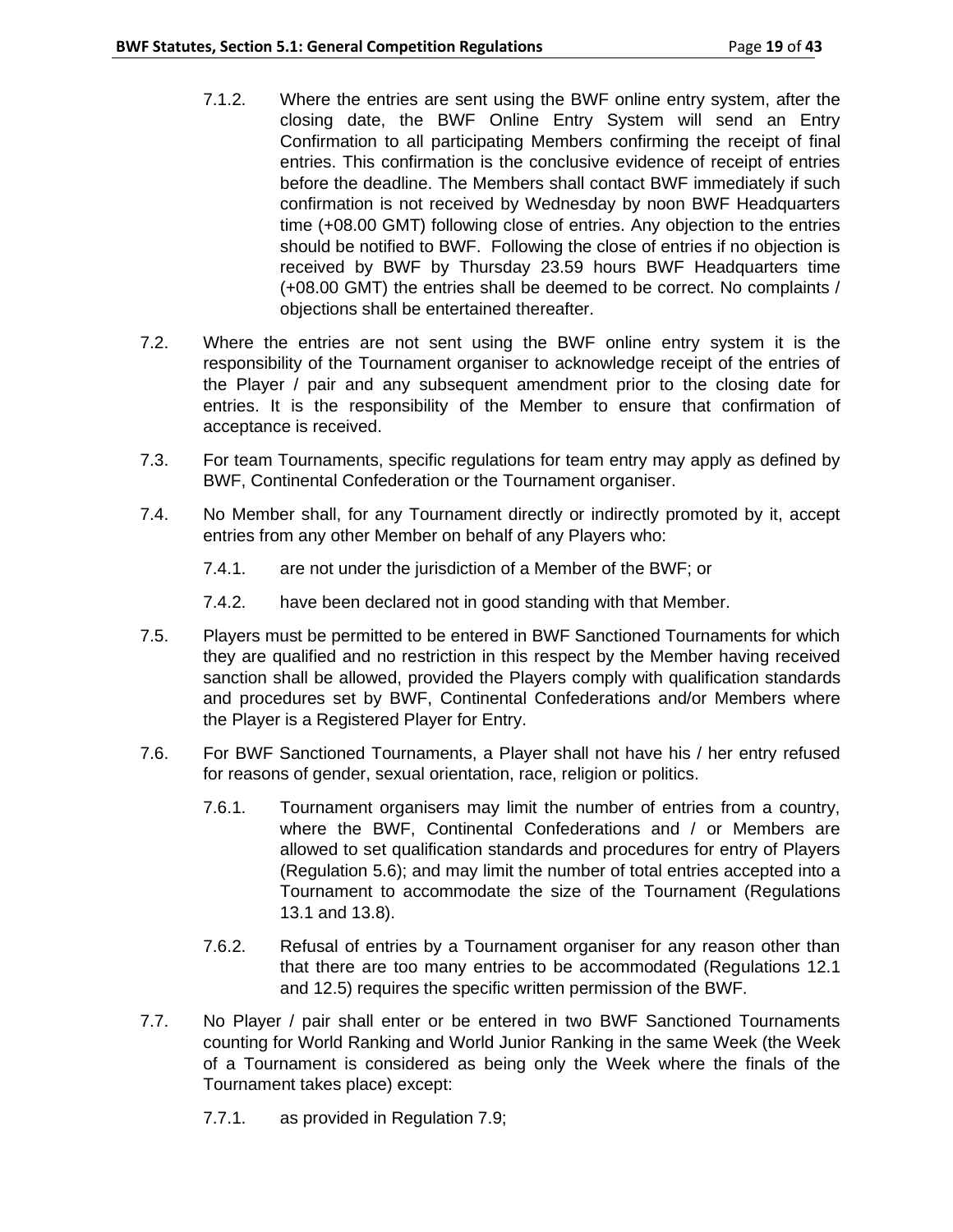- 7.1.2. Where the entries are sent using the BWF online entry system, after the closing date, the BWF Online Entry System will send an Entry Confirmation to all participating Members confirming the receipt of final entries. This confirmation is the conclusive evidence of receipt of entries before the deadline. The Members shall contact BWF immediately if such confirmation is not received by Wednesday by noon BWF Headquarters time (+08.00 GMT) following close of entries. Any objection to the entries should be notified to BWF. Following the close of entries if no objection is received by BWF by Thursday 23.59 hours BWF Headquarters time (+08.00 GMT) the entries shall be deemed to be correct. No complaints / objections shall be entertained thereafter.
- 7.2. Where the entries are not sent using the BWF online entry system it is the responsibility of the Tournament organiser to acknowledge receipt of the entries of the Player / pair and any subsequent amendment prior to the closing date for entries. It is the responsibility of the Member to ensure that confirmation of acceptance is received.
- 7.3. For team Tournaments, specific regulations for team entry may apply as defined by BWF, Continental Confederation or the Tournament organiser.
- 7.4. No Member shall, for any Tournament directly or indirectly promoted by it, accept entries from any other Member on behalf of any Players who:
	- 7.4.1. are not under the jurisdiction of a Member of the BWF; or
	- 7.4.2. have been declared not in good standing with that Member.
- 7.5. Players must be permitted to be entered in BWF Sanctioned Tournaments for which they are qualified and no restriction in this respect by the Member having received sanction shall be allowed, provided the Players comply with qualification standards and procedures set by BWF, Continental Confederations and/or Members where the Player is a Registered Player for Entry.
- 7.6. For BWF Sanctioned Tournaments, a Player shall not have his / her entry refused for reasons of gender, sexual orientation, race, religion or politics.
	- 7.6.1. Tournament organisers may limit the number of entries from a country, where the BWF, Continental Confederations and / or Members are allowed to set qualification standards and procedures for entry of Players (Regulation 5.6); and may limit the number of total entries accepted into a Tournament to accommodate the size of the Tournament (Regulations 13.1 and 13.8).
	- 7.6.2. Refusal of entries by a Tournament organiser for any reason other than that there are too many entries to be accommodated (Regulations 12.1 and 12.5) requires the specific written permission of the BWF.
- 7.7. No Player / pair shall enter or be entered in two BWF Sanctioned Tournaments counting for World Ranking and World Junior Ranking in the same Week (the Week of a Tournament is considered as being only the Week where the finals of the Tournament takes place) except:
	- 7.7.1. as provided in Regulation 7.9;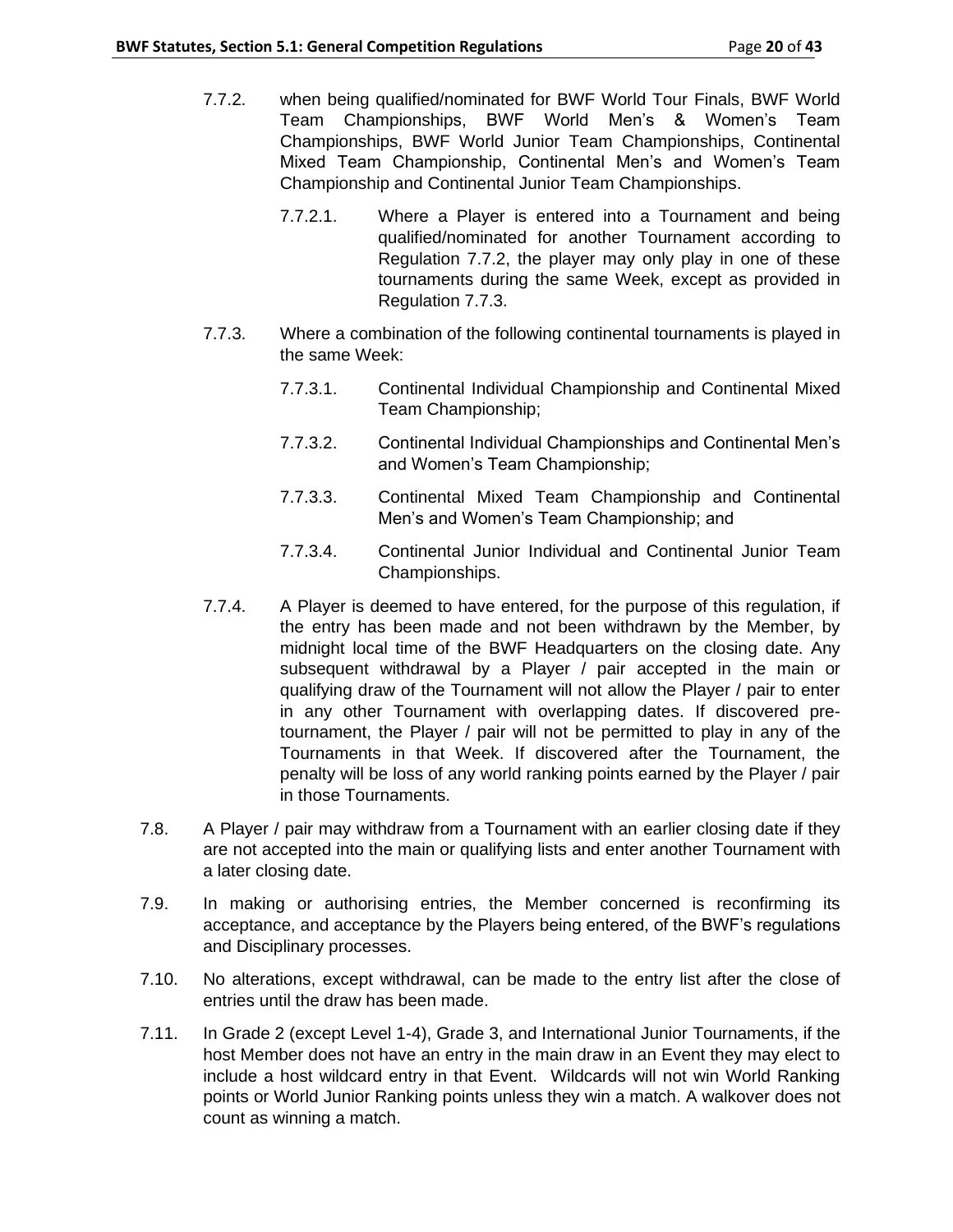- 7.7.2. when being qualified/nominated for BWF World Tour Finals, BWF World Team Championships, BWF World Men's & Women's Team Championships, BWF World Junior Team Championships, Continental Mixed Team Championship, Continental Men's and Women's Team Championship and Continental Junior Team Championships.
	- 7.7.2.1. Where a Player is entered into a Tournament and being qualified/nominated for another Tournament according to Regulation 7.7.2, the player may only play in one of these tournaments during the same Week, except as provided in Regulation 7.7.3.
- 7.7.3. Where a combination of the following continental tournaments is played in the same Week:
	- 7.7.3.1. Continental Individual Championship and Continental Mixed Team Championship;
	- 7.7.3.2. Continental Individual Championships and Continental Men's and Women's Team Championship;
	- 7.7.3.3. Continental Mixed Team Championship and Continental Men's and Women's Team Championship; and
	- 7.7.3.4. Continental Junior Individual and Continental Junior Team Championships.
- 7.7.4. A Player is deemed to have entered, for the purpose of this regulation, if the entry has been made and not been withdrawn by the Member, by midnight local time of the BWF Headquarters on the closing date. Any subsequent withdrawal by a Player / pair accepted in the main or qualifying draw of the Tournament will not allow the Player / pair to enter in any other Tournament with overlapping dates. If discovered pretournament, the Player / pair will not be permitted to play in any of the Tournaments in that Week. If discovered after the Tournament, the penalty will be loss of any world ranking points earned by the Player / pair in those Tournaments.
- 7.8. A Player / pair may withdraw from a Tournament with an earlier closing date if they are not accepted into the main or qualifying lists and enter another Tournament with a later closing date.
- 7.9. In making or authorising entries, the Member concerned is reconfirming its acceptance, and acceptance by the Players being entered, of the BWF's regulations and Disciplinary processes.
- 7.10. No alterations, except withdrawal, can be made to the entry list after the close of entries until the draw has been made.
- 7.11. In Grade 2 (except Level 1-4), Grade 3, and International Junior Tournaments, if the host Member does not have an entry in the main draw in an Event they may elect to include a host wildcard entry in that Event. Wildcards will not win World Ranking points or World Junior Ranking points unless they win a match. A walkover does not count as winning a match.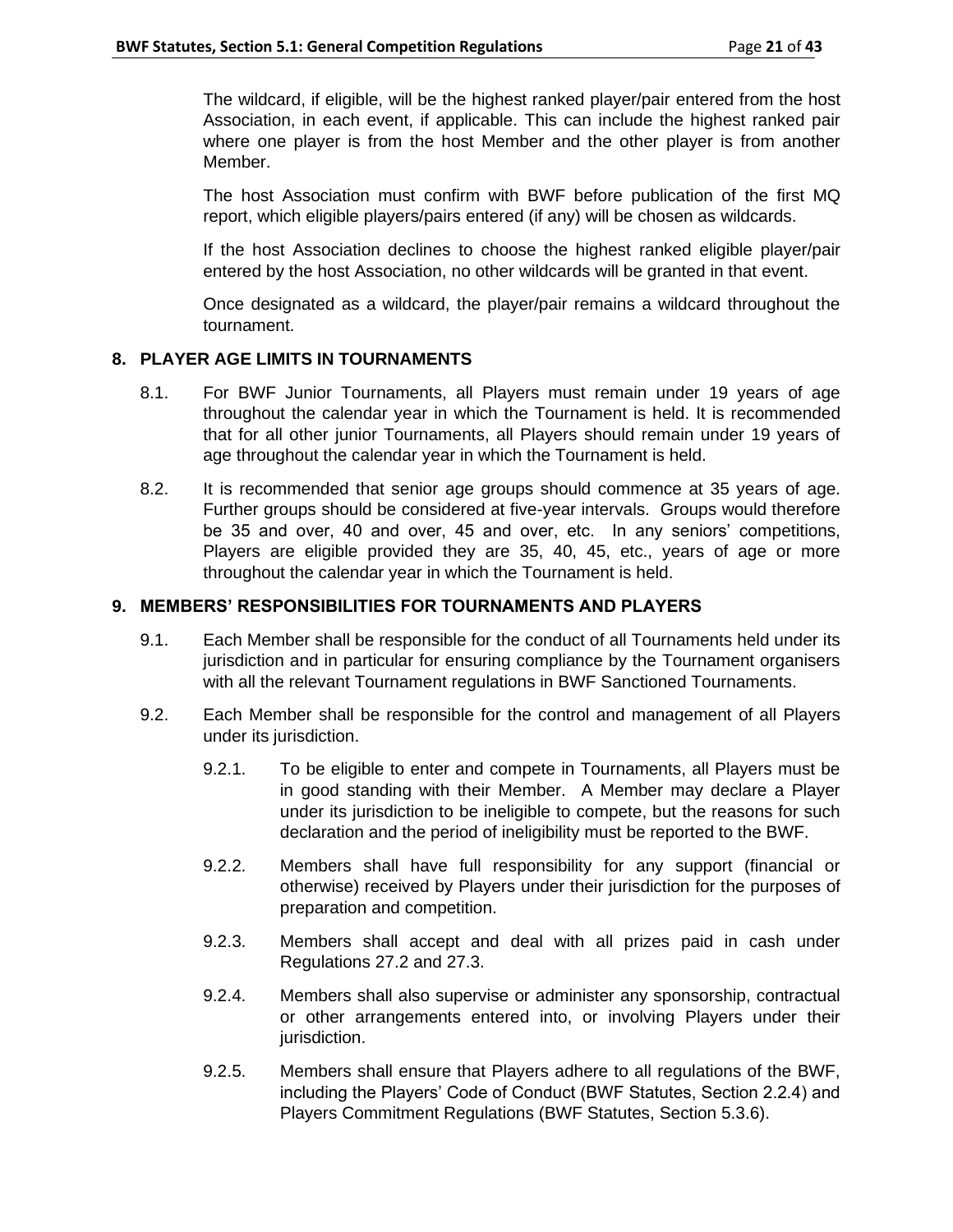The wildcard, if eligible, will be the highest ranked player/pair entered from the host Association, in each event, if applicable. This can include the highest ranked pair where one player is from the host Member and the other player is from another Member.

The host Association must confirm with BWF before publication of the first MQ report, which eligible players/pairs entered (if any) will be chosen as wildcards.

If the host Association declines to choose the highest ranked eligible player/pair entered by the host Association, no other wildcards will be granted in that event.

Once designated as a wildcard, the player/pair remains a wildcard throughout the tournament.

# **8. PLAYER AGE LIMITS IN TOURNAMENTS**

- 8.1. For BWF Junior Tournaments, all Players must remain under 19 years of age throughout the calendar year in which the Tournament is held. It is recommended that for all other junior Tournaments, all Players should remain under 19 years of age throughout the calendar year in which the Tournament is held.
- 8.2. It is recommended that senior age groups should commence at 35 years of age. Further groups should be considered at five-year intervals. Groups would therefore be 35 and over, 40 and over, 45 and over, etc. In any seniors' competitions, Players are eligible provided they are 35, 40, 45, etc., years of age or more throughout the calendar year in which the Tournament is held.

# **9. MEMBERS' RESPONSIBILITIES FOR TOURNAMENTS AND PLAYERS**

- 9.1. Each Member shall be responsible for the conduct of all Tournaments held under its jurisdiction and in particular for ensuring compliance by the Tournament organisers with all the relevant Tournament regulations in BWF Sanctioned Tournaments.
- 9.2. Each Member shall be responsible for the control and management of all Players under its jurisdiction.
	- 9.2.1. To be eligible to enter and compete in Tournaments, all Players must be in good standing with their Member. A Member may declare a Player under its jurisdiction to be ineligible to compete, but the reasons for such declaration and the period of ineligibility must be reported to the BWF.
	- 9.2.2. Members shall have full responsibility for any support (financial or otherwise) received by Players under their jurisdiction for the purposes of preparation and competition.
	- 9.2.3. Members shall accept and deal with all prizes paid in cash under Regulations 27.2 and 27.3.
	- 9.2.4. Members shall also supervise or administer any sponsorship, contractual or other arrangements entered into, or involving Players under their jurisdiction.
	- 9.2.5. Members shall ensure that Players adhere to all regulations of the BWF, including the Players' Code of Conduct (BWF Statutes, Section 2.2.4) and Players Commitment Regulations (BWF Statutes, Section 5.3.6).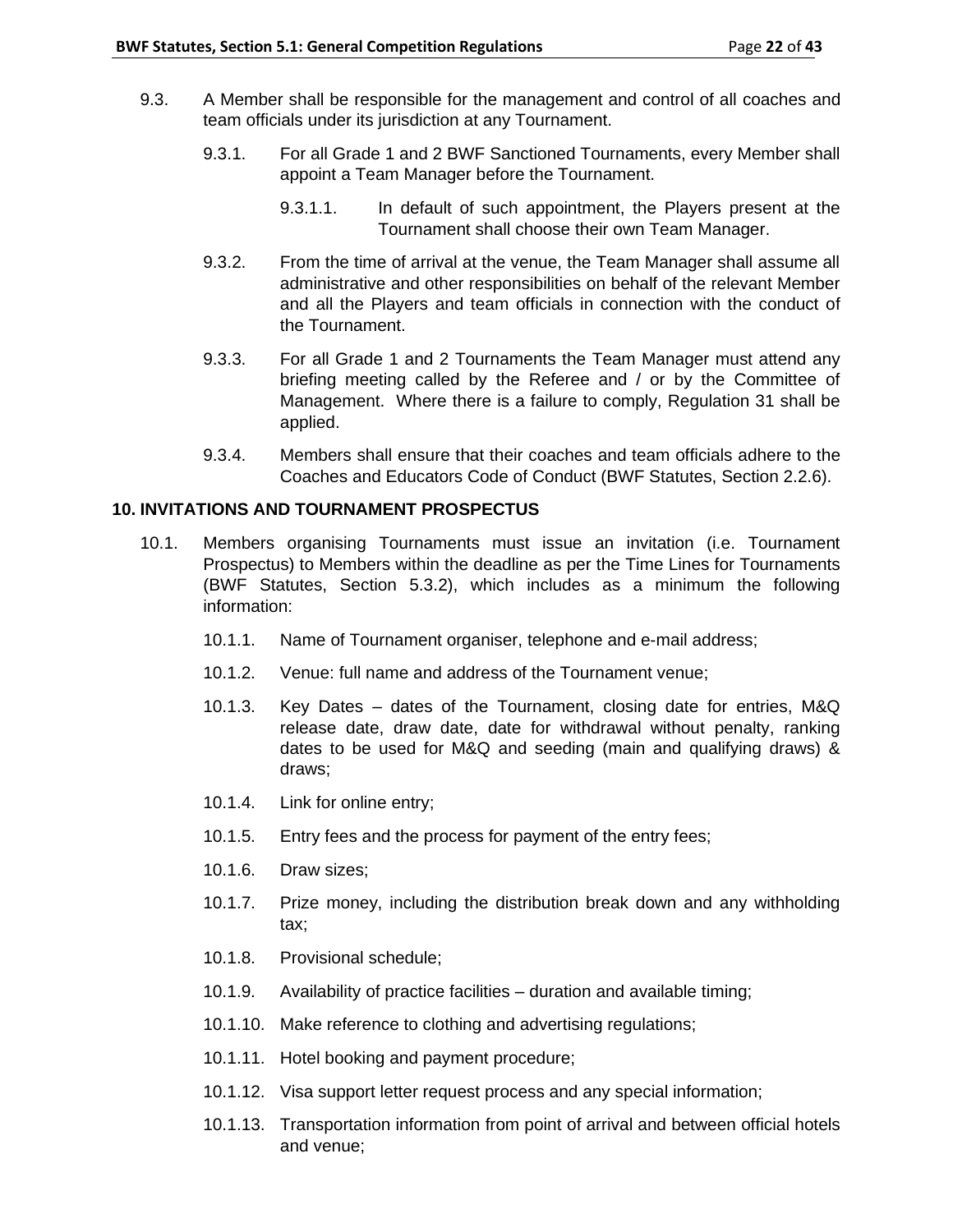- 9.3. A Member shall be responsible for the management and control of all coaches and team officials under its jurisdiction at any Tournament.
	- 9.3.1. For all Grade 1 and 2 BWF Sanctioned Tournaments, every Member shall appoint a Team Manager before the Tournament.
		- 9.3.1.1. In default of such appointment, the Players present at the Tournament shall choose their own Team Manager.
	- 9.3.2. From the time of arrival at the venue, the Team Manager shall assume all administrative and other responsibilities on behalf of the relevant Member and all the Players and team officials in connection with the conduct of the Tournament.
	- 9.3.3. For all Grade 1 and 2 Tournaments the Team Manager must attend any briefing meeting called by the Referee and / or by the Committee of Management. Where there is a failure to comply, Regulation 31 shall be applied.
	- 9.3.4. Members shall ensure that their coaches and team officials adhere to the Coaches and Educators Code of Conduct (BWF Statutes, Section 2.2.6).

## **10. INVITATIONS AND TOURNAMENT PROSPECTUS**

- 10.1. Members organising Tournaments must issue an invitation (i.e. Tournament Prospectus) to Members within the deadline as per the Time Lines for Tournaments (BWF Statutes, Section 5.3.2), which includes as a minimum the following information:
	- 10.1.1. Name of Tournament organiser, telephone and e-mail address;
	- 10.1.2. Venue: full name and address of the Tournament venue;
	- 10.1.3. Key Dates dates of the Tournament, closing date for entries, M&Q release date, draw date, date for withdrawal without penalty, ranking dates to be used for M&Q and seeding (main and qualifying draws) & draws;
	- 10.1.4. Link for online entry;
	- 10.1.5. Entry fees and the process for payment of the entry fees;
	- 10.1.6. Draw sizes;
	- 10.1.7. Prize money, including the distribution break down and any withholding tax;
	- 10.1.8. Provisional schedule;
	- 10.1.9. Availability of practice facilities duration and available timing;
	- 10.1.10. Make reference to clothing and advertising regulations;
	- 10.1.11. Hotel booking and payment procedure;
	- 10.1.12. Visa support letter request process and any special information;
	- 10.1.13. Transportation information from point of arrival and between official hotels and venue;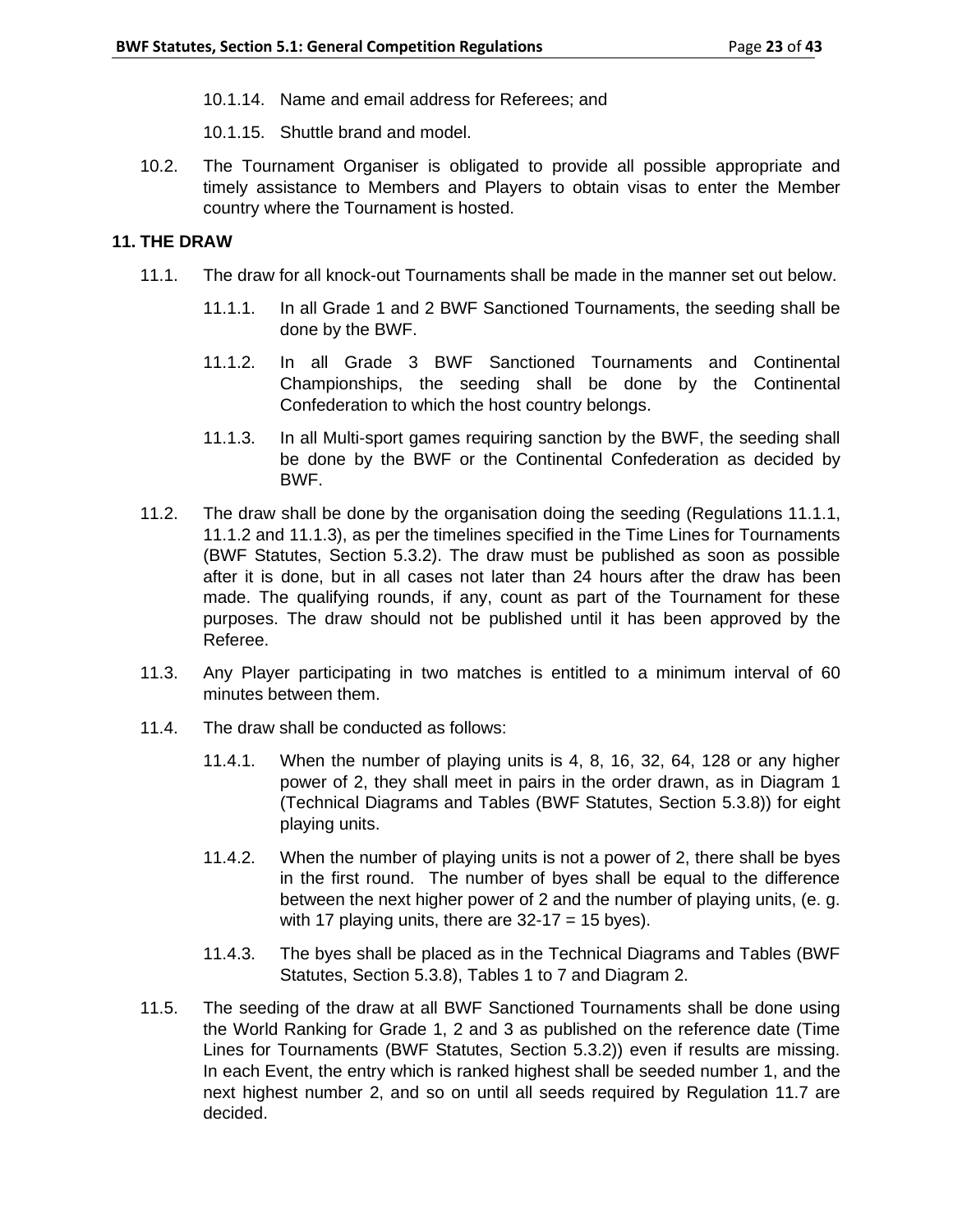- 10.1.14. Name and email address for Referees; and
- 10.1.15. Shuttle brand and model.
- 10.2. The Tournament Organiser is obligated to provide all possible appropriate and timely assistance to Members and Players to obtain visas to enter the Member country where the Tournament is hosted.

## **11. THE DRAW**

- 11.1. The draw for all knock-out Tournaments shall be made in the manner set out below.
	- 11.1.1. In all Grade 1 and 2 BWF Sanctioned Tournaments, the seeding shall be done by the BWF.
	- 11.1.2. In all Grade 3 BWF Sanctioned Tournaments and Continental Championships, the seeding shall be done by the Continental Confederation to which the host country belongs.
	- 11.1.3. In all Multi-sport games requiring sanction by the BWF, the seeding shall be done by the BWF or the Continental Confederation as decided by BWF.
- 11.2. The draw shall be done by the organisation doing the seeding (Regulations 11.1.1, 11.1.2 and 11.1.3), as per the timelines specified in the Time Lines for Tournaments (BWF Statutes, Section 5.3.2). The draw must be published as soon as possible after it is done, but in all cases not later than 24 hours after the draw has been made. The qualifying rounds, if any, count as part of the Tournament for these purposes. The draw should not be published until it has been approved by the Referee.
- 11.3. Any Player participating in two matches is entitled to a minimum interval of 60 minutes between them.
- 11.4. The draw shall be conducted as follows:
	- 11.4.1. When the number of playing units is 4, 8, 16, 32, 64, 128 or any higher power of 2, they shall meet in pairs in the order drawn, as in Diagram 1 (Technical Diagrams and Tables (BWF Statutes, Section 5.3.8)) for eight playing units.
	- 11.4.2. When the number of playing units is not a power of 2, there shall be byes in the first round. The number of byes shall be equal to the difference between the next higher power of 2 and the number of playing units, (e. g. with 17 playing units, there are  $32-17 = 15$  byes).
	- 11.4.3. The byes shall be placed as in the Technical Diagrams and Tables (BWF Statutes, Section 5.3.8), Tables 1 to 7 and Diagram 2.
- 11.5. The seeding of the draw at all BWF Sanctioned Tournaments shall be done using the World Ranking for Grade 1, 2 and 3 as published on the reference date (Time Lines for Tournaments (BWF Statutes, Section 5.3.2)) even if results are missing. In each Event, the entry which is ranked highest shall be seeded number 1, and the next highest number 2, and so on until all seeds required by Regulation 11.7 are decided.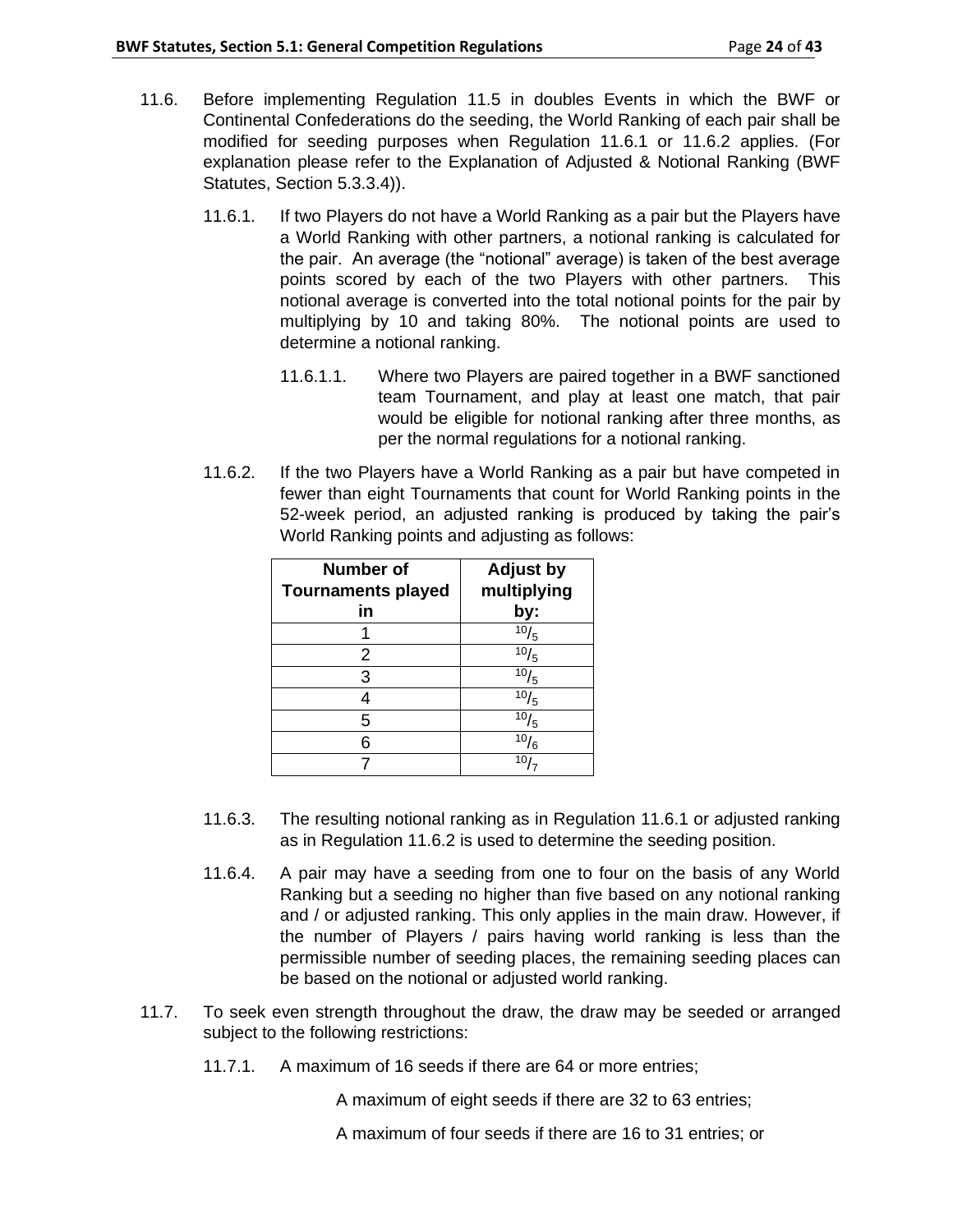- 11.6. Before implementing Regulation 11.5 in doubles Events in which the BWF or Continental Confederations do the seeding, the World Ranking of each pair shall be modified for seeding purposes when Regulation 11.6.1 or 11.6.2 applies. (For explanation please refer to the Explanation of Adjusted & Notional Ranking (BWF Statutes, Section 5.3.3.4)).
	- 11.6.1. If two Players do not have a World Ranking as a pair but the Players have a World Ranking with other partners, a notional ranking is calculated for the pair. An average (the "notional" average) is taken of the best average points scored by each of the two Players with other partners. This notional average is converted into the total notional points for the pair by multiplying by 10 and taking 80%. The notional points are used to determine a notional ranking.
		- 11.6.1.1. Where two Players are paired together in a BWF sanctioned team Tournament, and play at least one match, that pair would be eligible for notional ranking after three months, as per the normal regulations for a notional ranking.
	- 11.6.2. If the two Players have a World Ranking as a pair but have competed in fewer than eight Tournaments that count for World Ranking points in the 52-week period, an adjusted ranking is produced by taking the pair's World Ranking points and adjusting as follows:

| <b>Number of</b><br><b>Tournaments played</b> | <b>Adjust by</b><br>multiplying |
|-----------------------------------------------|---------------------------------|
| in                                            | by:                             |
|                                               | 10/5                            |
| 2                                             | 10/5                            |
| 3                                             | $\frac{10}{5}$                  |
|                                               | $\overline{10}/_5$              |
| 5                                             | $\sqrt{10}/5$                   |
| 6                                             | $\sqrt[10]{6}$                  |
|                                               | 10 <sub>1</sub>                 |

- 11.6.3. The resulting notional ranking as in Regulation 11.6.1 or adjusted ranking as in Regulation 11.6.2 is used to determine the seeding position.
- 11.6.4. A pair may have a seeding from one to four on the basis of any World Ranking but a seeding no higher than five based on any notional ranking and / or adjusted ranking. This only applies in the main draw. However, if the number of Players / pairs having world ranking is less than the permissible number of seeding places, the remaining seeding places can be based on the notional or adjusted world ranking.
- 11.7. To seek even strength throughout the draw, the draw may be seeded or arranged subject to the following restrictions:
	- 11.7.1. A maximum of 16 seeds if there are 64 or more entries;

A maximum of eight seeds if there are 32 to 63 entries;

A maximum of four seeds if there are 16 to 31 entries; or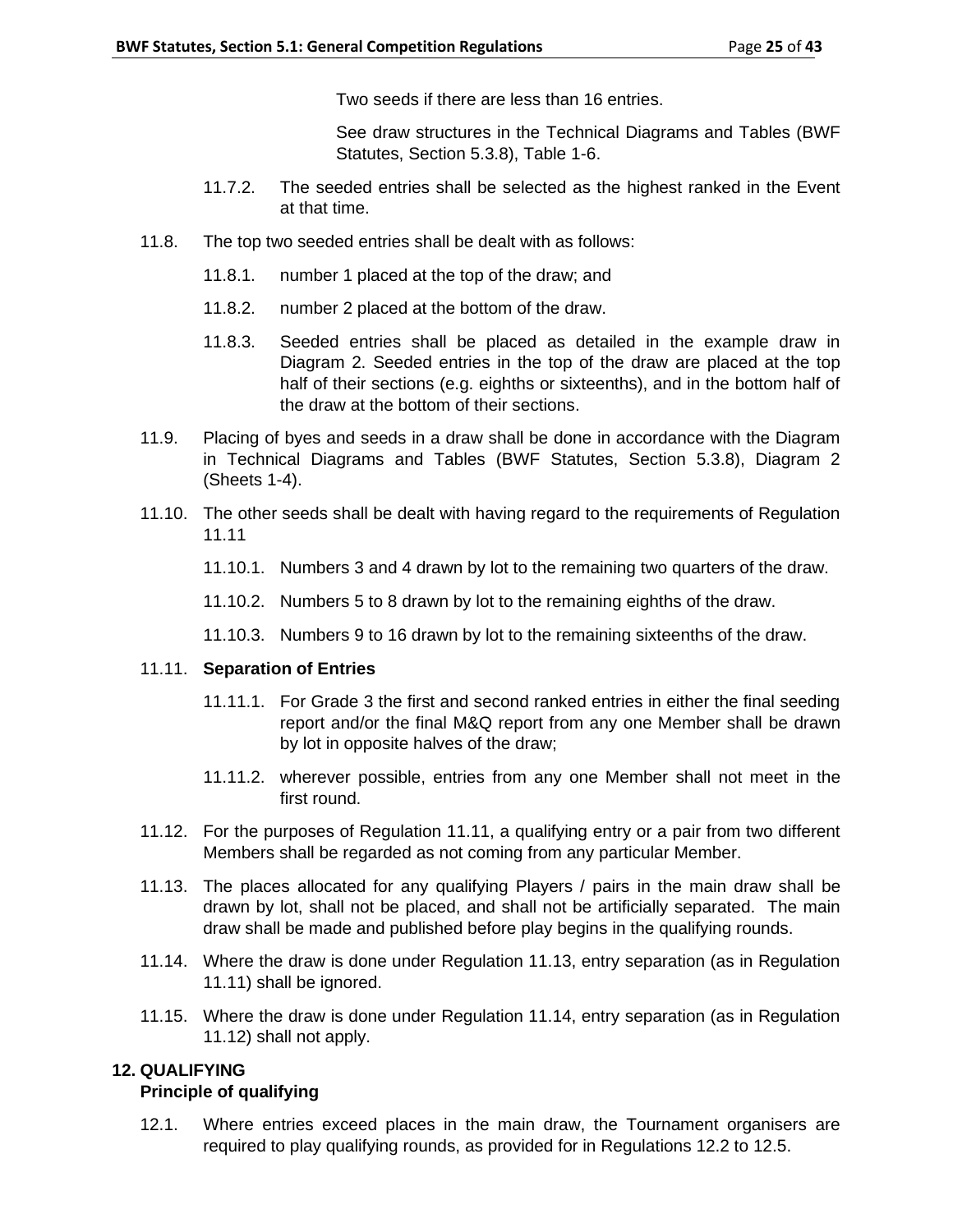Two seeds if there are less than 16 entries.

See draw structures in the Technical Diagrams and Tables (BWF Statutes, Section 5.3.8), Table 1-6.

- 11.7.2. The seeded entries shall be selected as the highest ranked in the Event at that time.
- 11.8. The top two seeded entries shall be dealt with as follows:
	- 11.8.1. number 1 placed at the top of the draw; and
	- 11.8.2. number 2 placed at the bottom of the draw.
	- 11.8.3. Seeded entries shall be placed as detailed in the example draw in Diagram 2. Seeded entries in the top of the draw are placed at the top half of their sections (e.g. eighths or sixteenths), and in the bottom half of the draw at the bottom of their sections.
- 11.9. Placing of byes and seeds in a draw shall be done in accordance with the Diagram in Technical Diagrams and Tables (BWF Statutes, Section 5.3.8), Diagram 2 (Sheets 1-4).
- 11.10. The other seeds shall be dealt with having regard to the requirements of Regulation 11.11
	- 11.10.1. Numbers 3 and 4 drawn by lot to the remaining two quarters of the draw.
	- 11.10.2. Numbers 5 to 8 drawn by lot to the remaining eighths of the draw.
	- 11.10.3. Numbers 9 to 16 drawn by lot to the remaining sixteenths of the draw.

# 11.11. **Separation of Entries**

- 11.11.1. For Grade 3 the first and second ranked entries in either the final seeding report and/or the final M&Q report from any one Member shall be drawn by lot in opposite halves of the draw;
- 11.11.2. wherever possible, entries from any one Member shall not meet in the first round.
- 11.12. For the purposes of Regulation 11.11, a qualifying entry or a pair from two different Members shall be regarded as not coming from any particular Member.
- 11.13. The places allocated for any qualifying Players / pairs in the main draw shall be drawn by lot, shall not be placed, and shall not be artificially separated. The main draw shall be made and published before play begins in the qualifying rounds.
- 11.14. Where the draw is done under Regulation 11.13, entry separation (as in Regulation 11.11) shall be ignored.
- 11.15. Where the draw is done under Regulation 11.14, entry separation (as in Regulation 11.12) shall not apply.

# **12. QUALIFYING**

### **Principle of qualifying**

12.1. Where entries exceed places in the main draw, the Tournament organisers are required to play qualifying rounds, as provided for in Regulations 12.2 to 12.5.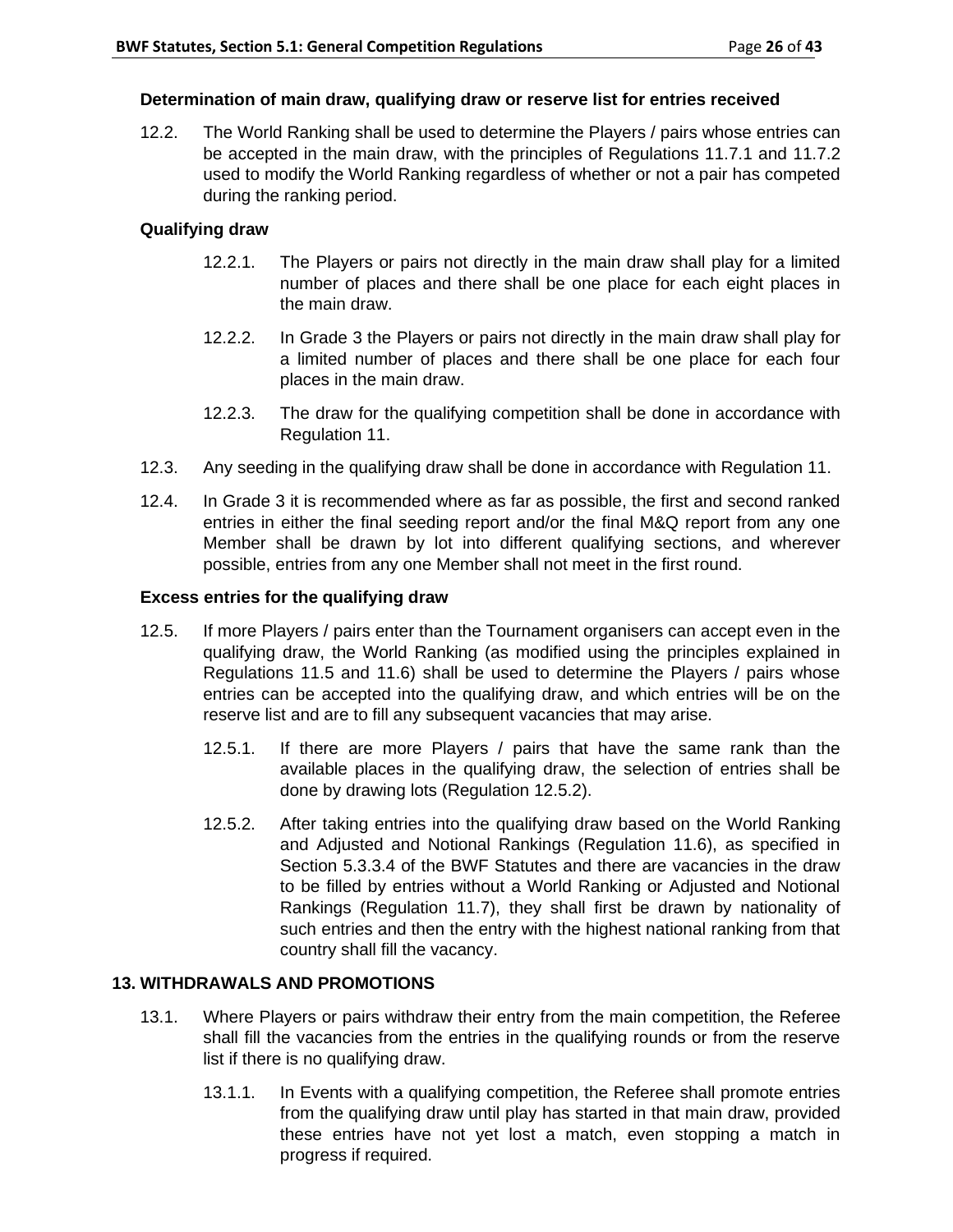# **Determination of main draw, qualifying draw or reserve list for entries received**

12.2. The World Ranking shall be used to determine the Players / pairs whose entries can be accepted in the main draw, with the principles of Regulations 11.7.1 and 11.7.2 used to modify the World Ranking regardless of whether or not a pair has competed during the ranking period.

# **Qualifying draw**

- 12.2.1. The Players or pairs not directly in the main draw shall play for a limited number of places and there shall be one place for each eight places in the main draw.
- 12.2.2. In Grade 3 the Players or pairs not directly in the main draw shall play for a limited number of places and there shall be one place for each four places in the main draw.
- 12.2.3. The draw for the qualifying competition shall be done in accordance with Regulation 11.
- 12.3. Any seeding in the qualifying draw shall be done in accordance with Regulation 11.
- 12.4. In Grade 3 it is recommended where as far as possible, the first and second ranked entries in either the final seeding report and/or the final M&Q report from any one Member shall be drawn by lot into different qualifying sections, and wherever possible, entries from any one Member shall not meet in the first round.

## **Excess entries for the qualifying draw**

- 12.5. If more Players / pairs enter than the Tournament organisers can accept even in the qualifying draw, the World Ranking (as modified using the principles explained in Regulations 11.5 and 11.6) shall be used to determine the Players / pairs whose entries can be accepted into the qualifying draw, and which entries will be on the reserve list and are to fill any subsequent vacancies that may arise.
	- 12.5.1. If there are more Players / pairs that have the same rank than the available places in the qualifying draw, the selection of entries shall be done by drawing lots (Regulation 12.5.2).
	- 12.5.2. After taking entries into the qualifying draw based on the World Ranking and Adjusted and Notional Rankings (Regulation 11.6), as specified in Section 5.3.3.4 of the BWF Statutes and there are vacancies in the draw to be filled by entries without a World Ranking or Adjusted and Notional Rankings (Regulation 11.7), they shall first be drawn by nationality of such entries and then the entry with the highest national ranking from that country shall fill the vacancy.

# **13. WITHDRAWALS AND PROMOTIONS**

- 13.1. Where Players or pairs withdraw their entry from the main competition, the Referee shall fill the vacancies from the entries in the qualifying rounds or from the reserve list if there is no qualifying draw.
	- 13.1.1. In Events with a qualifying competition, the Referee shall promote entries from the qualifying draw until play has started in that main draw, provided these entries have not yet lost a match, even stopping a match in progress if required.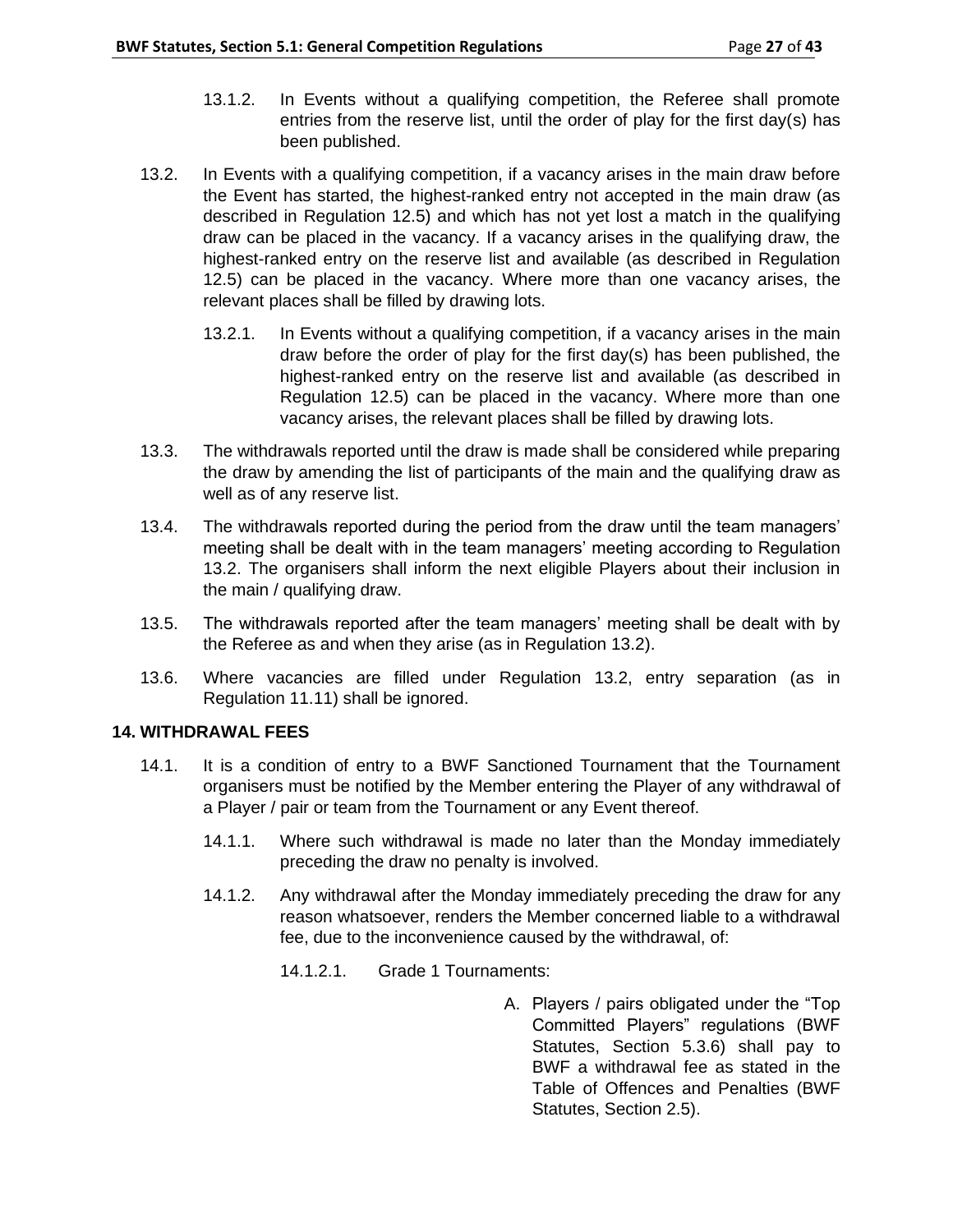- 13.1.2. In Events without a qualifying competition, the Referee shall promote entries from the reserve list, until the order of play for the first day(s) has been published.
- 13.2. In Events with a qualifying competition, if a vacancy arises in the main draw before the Event has started, the highest-ranked entry not accepted in the main draw (as described in Regulation 12.5) and which has not yet lost a match in the qualifying draw can be placed in the vacancy. If a vacancy arises in the qualifying draw, the highest-ranked entry on the reserve list and available (as described in Regulation 12.5) can be placed in the vacancy. Where more than one vacancy arises, the relevant places shall be filled by drawing lots.
	- 13.2.1. In Events without a qualifying competition, if a vacancy arises in the main draw before the order of play for the first day(s) has been published, the highest-ranked entry on the reserve list and available (as described in Regulation 12.5) can be placed in the vacancy. Where more than one vacancy arises, the relevant places shall be filled by drawing lots.
- 13.3. The withdrawals reported until the draw is made shall be considered while preparing the draw by amending the list of participants of the main and the qualifying draw as well as of any reserve list.
- 13.4. The withdrawals reported during the period from the draw until the team managers' meeting shall be dealt with in the team managers' meeting according to Regulation 13.2. The organisers shall inform the next eligible Players about their inclusion in the main / qualifying draw.
- 13.5. The withdrawals reported after the team managers' meeting shall be dealt with by the Referee as and when they arise (as in Regulation 13.2).
- 13.6. Where vacancies are filled under Regulation 13.2, entry separation (as in Regulation 11.11) shall be ignored.

# **14. WITHDRAWAL FEES**

- 14.1. It is a condition of entry to a BWF Sanctioned Tournament that the Tournament organisers must be notified by the Member entering the Player of any withdrawal of a Player / pair or team from the Tournament or any Event thereof.
	- 14.1.1. Where such withdrawal is made no later than the Monday immediately preceding the draw no penalty is involved.
	- 14.1.2. Any withdrawal after the Monday immediately preceding the draw for any reason whatsoever, renders the Member concerned liable to a withdrawal fee, due to the inconvenience caused by the withdrawal, of:
		- 14.1.2.1. Grade 1 Tournaments:
			- A. Players / pairs obligated under the "Top Committed Players" regulations (BWF Statutes, Section 5.3.6) shall pay to BWF a withdrawal fee as stated in the Table of Offences and Penalties (BWF Statutes, Section 2.5).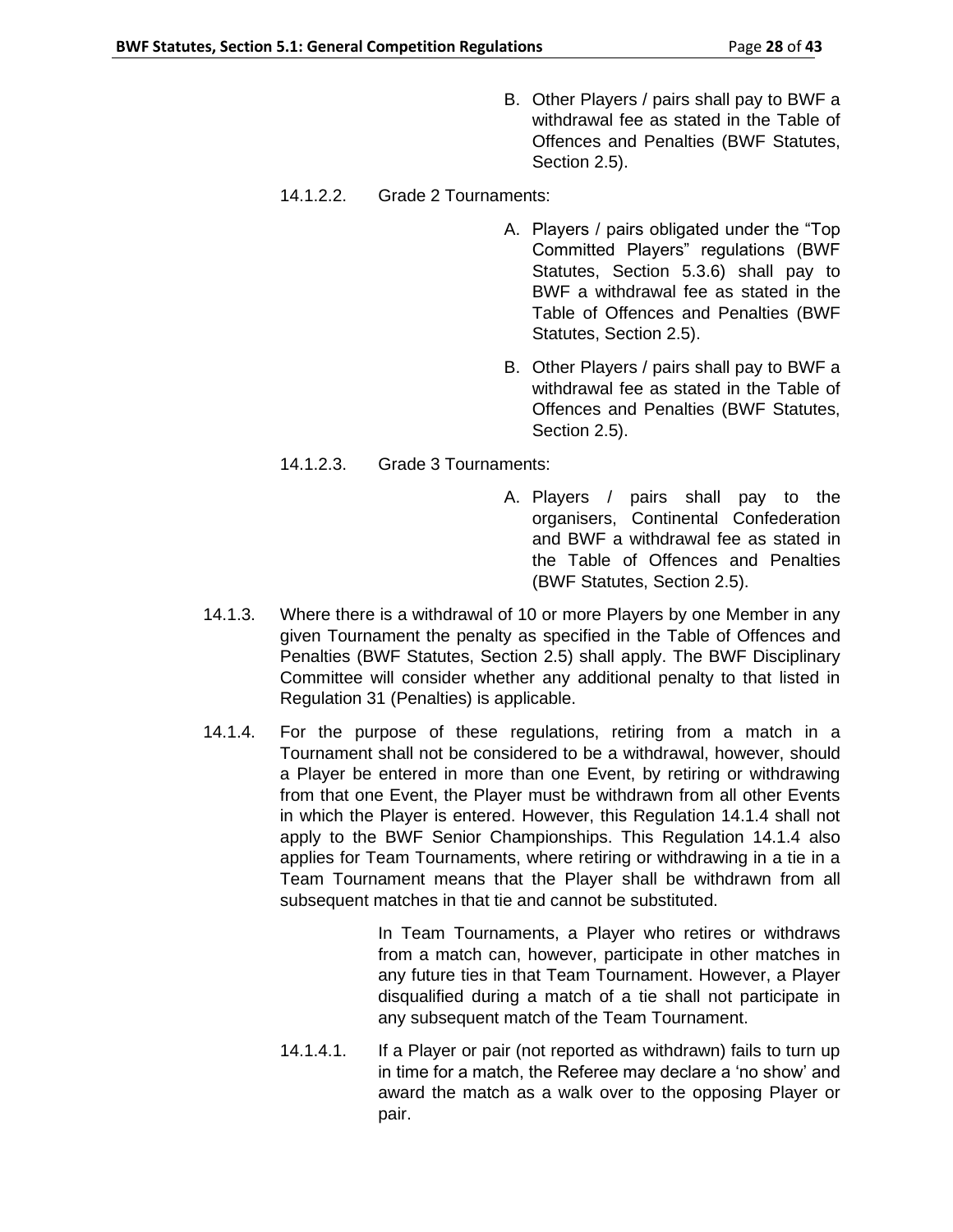- B. Other Players / pairs shall pay to BWF a withdrawal fee as stated in the Table of Offences and Penalties (BWF Statutes, Section 2.5).
- 14.1.2.2. Grade 2 Tournaments:
	- A. Players / pairs obligated under the "Top Committed Players" regulations (BWF Statutes, Section 5.3.6) shall pay to BWF a withdrawal fee as stated in the Table of Offences and Penalties (BWF Statutes, Section 2.5).
	- B. Other Players / pairs shall pay to BWF a withdrawal fee as stated in the Table of Offences and Penalties (BWF Statutes, Section 2.5).
- 14.1.2.3. Grade 3 Tournaments:
	- A. Players / pairs shall pay to the organisers, Continental Confederation and BWF a withdrawal fee as stated in the Table of Offences and Penalties (BWF Statutes, Section 2.5).
- 14.1.3. Where there is a withdrawal of 10 or more Players by one Member in any given Tournament the penalty as specified in the Table of Offences and Penalties (BWF Statutes, Section 2.5) shall apply. The BWF Disciplinary Committee will consider whether any additional penalty to that listed in Regulation 31 (Penalties) is applicable.
- 14.1.4. For the purpose of these regulations, retiring from a match in a Tournament shall not be considered to be a withdrawal, however, should a Player be entered in more than one Event, by retiring or withdrawing from that one Event, the Player must be withdrawn from all other Events in which the Player is entered. However, this Regulation 14.1.4 shall not apply to the BWF Senior Championships. This Regulation 14.1.4 also applies for Team Tournaments, where retiring or withdrawing in a tie in a Team Tournament means that the Player shall be withdrawn from all subsequent matches in that tie and cannot be substituted.

In Team Tournaments, a Player who retires or withdraws from a match can, however, participate in other matches in any future ties in that Team Tournament. However, a Player disqualified during a match of a tie shall not participate in any subsequent match of the Team Tournament.

14.1.4.1. If a Player or pair (not reported as withdrawn) fails to turn up in time for a match, the Referee may declare a 'no show' and award the match as a walk over to the opposing Player or pair.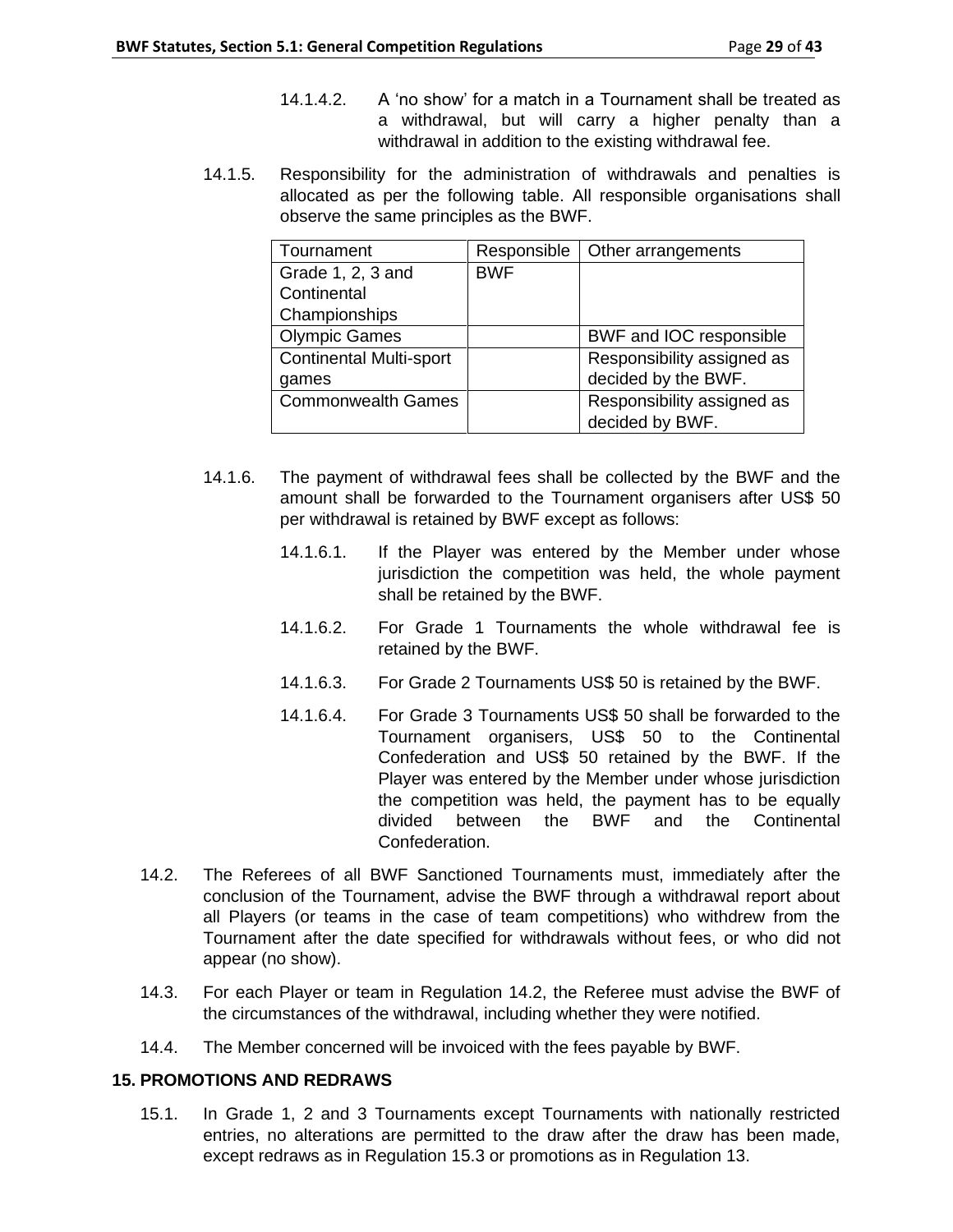- 14.1.4.2. A 'no show' for a match in a Tournament shall be treated as a withdrawal, but will carry a higher penalty than a withdrawal in addition to the existing withdrawal fee.
- 14.1.5. Responsibility for the administration of withdrawals and penalties is allocated as per the following table. All responsible organisations shall observe the same principles as the BWF.

| Tournament                     | Responsible | Other arrangements         |
|--------------------------------|-------------|----------------------------|
| Grade 1, 2, 3 and              | <b>BWF</b>  |                            |
| Continental                    |             |                            |
| Championships                  |             |                            |
| <b>Olympic Games</b>           |             | BWF and IOC responsible    |
| <b>Continental Multi-sport</b> |             | Responsibility assigned as |
| games                          |             | decided by the BWF.        |
| <b>Commonwealth Games</b>      |             | Responsibility assigned as |
|                                |             | decided by BWF.            |

- 14.1.6. The payment of withdrawal fees shall be collected by the BWF and the amount shall be forwarded to the Tournament organisers after US\$ 50 per withdrawal is retained by BWF except as follows:
	- 14.1.6.1. If the Player was entered by the Member under whose jurisdiction the competition was held, the whole payment shall be retained by the BWF.
	- 14.1.6.2. For Grade 1 Tournaments the whole withdrawal fee is retained by the BWF.
	- 14.1.6.3. For Grade 2 Tournaments US\$ 50 is retained by the BWF.
	- 14.1.6.4. For Grade 3 Tournaments US\$ 50 shall be forwarded to the Tournament organisers, US\$ 50 to the Continental Confederation and US\$ 50 retained by the BWF. If the Player was entered by the Member under whose jurisdiction the competition was held, the payment has to be equally divided between the BWF and the Continental Confederation.
- 14.2. The Referees of all BWF Sanctioned Tournaments must, immediately after the conclusion of the Tournament, advise the BWF through a withdrawal report about all Players (or teams in the case of team competitions) who withdrew from the Tournament after the date specified for withdrawals without fees, or who did not appear (no show).
- 14.3. For each Player or team in Regulation 14.2, the Referee must advise the BWF of the circumstances of the withdrawal, including whether they were notified.
- 14.4. The Member concerned will be invoiced with the fees payable by BWF.

### **15. PROMOTIONS AND REDRAWS**

15.1. In Grade 1, 2 and 3 Tournaments except Tournaments with nationally restricted entries, no alterations are permitted to the draw after the draw has been made, except redraws as in Regulation 15.3 or promotions as in Regulation 13.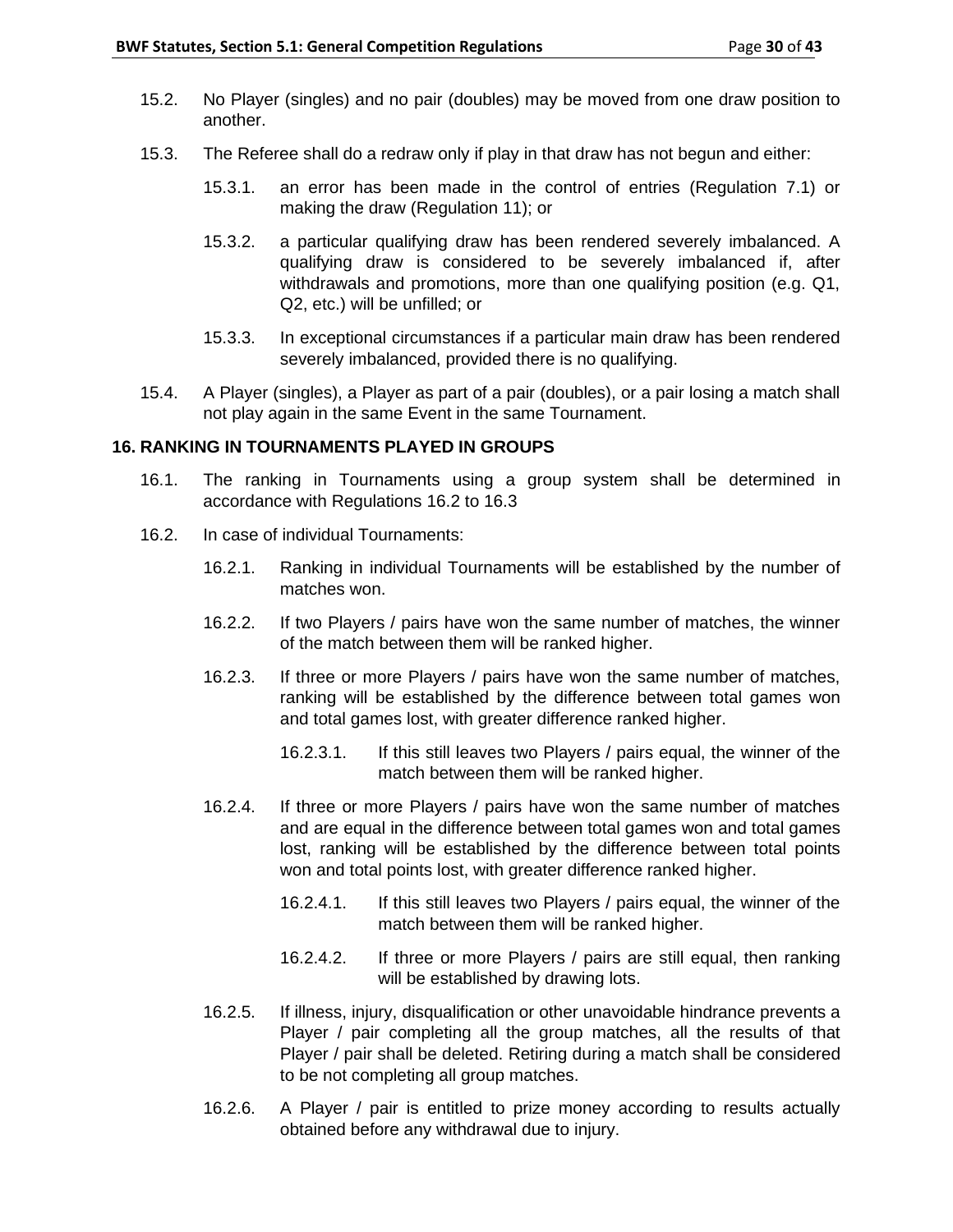- 15.2. No Player (singles) and no pair (doubles) may be moved from one draw position to another.
- 15.3. The Referee shall do a redraw only if play in that draw has not begun and either:
	- 15.3.1. an error has been made in the control of entries (Regulation 7.1) or making the draw (Regulation 11); or
	- 15.3.2. a particular qualifying draw has been rendered severely imbalanced. A qualifying draw is considered to be severely imbalanced if, after withdrawals and promotions, more than one qualifying position (e.g. Q1, Q2, etc.) will be unfilled; or
	- 15.3.3. In exceptional circumstances if a particular main draw has been rendered severely imbalanced, provided there is no qualifying.
- 15.4. A Player (singles), a Player as part of a pair (doubles), or a pair losing a match shall not play again in the same Event in the same Tournament.

### **16. RANKING IN TOURNAMENTS PLAYED IN GROUPS**

- 16.1. The ranking in Tournaments using a group system shall be determined in accordance with Regulations 16.2 to 16.3
- 16.2. In case of individual Tournaments:
	- 16.2.1. Ranking in individual Tournaments will be established by the number of matches won.
	- 16.2.2. If two Players / pairs have won the same number of matches, the winner of the match between them will be ranked higher.
	- 16.2.3. If three or more Players / pairs have won the same number of matches, ranking will be established by the difference between total games won and total games lost, with greater difference ranked higher.
		- 16.2.3.1. If this still leaves two Players / pairs equal, the winner of the match between them will be ranked higher.
	- 16.2.4. If three or more Players / pairs have won the same number of matches and are equal in the difference between total games won and total games lost, ranking will be established by the difference between total points won and total points lost, with greater difference ranked higher.
		- 16.2.4.1. If this still leaves two Players / pairs equal, the winner of the match between them will be ranked higher.
		- 16.2.4.2. If three or more Players / pairs are still equal, then ranking will be established by drawing lots.
	- 16.2.5. If illness, injury, disqualification or other unavoidable hindrance prevents a Player / pair completing all the group matches, all the results of that Player / pair shall be deleted. Retiring during a match shall be considered to be not completing all group matches.
	- 16.2.6. A Player / pair is entitled to prize money according to results actually obtained before any withdrawal due to injury.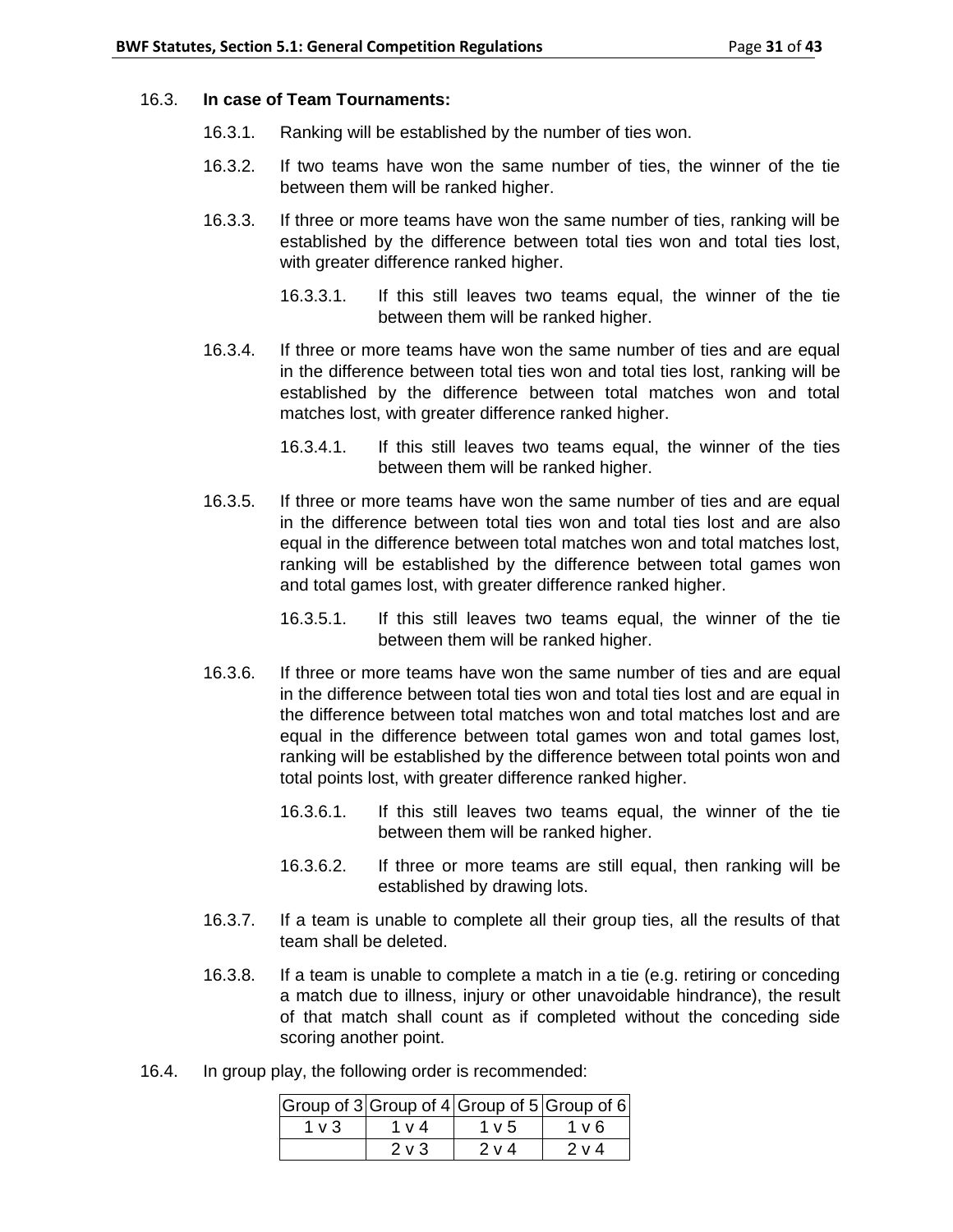### 16.3. **In case of Team Tournaments:**

- 16.3.1. Ranking will be established by the number of ties won.
- 16.3.2. If two teams have won the same number of ties, the winner of the tie between them will be ranked higher.
- 16.3.3. If three or more teams have won the same number of ties, ranking will be established by the difference between total ties won and total ties lost, with greater difference ranked higher.
	- 16.3.3.1. If this still leaves two teams equal, the winner of the tie between them will be ranked higher.
- 16.3.4. If three or more teams have won the same number of ties and are equal in the difference between total ties won and total ties lost, ranking will be established by the difference between total matches won and total matches lost, with greater difference ranked higher.
	- 16.3.4.1. If this still leaves two teams equal, the winner of the ties between them will be ranked higher.
- 16.3.5. If three or more teams have won the same number of ties and are equal in the difference between total ties won and total ties lost and are also equal in the difference between total matches won and total matches lost, ranking will be established by the difference between total games won and total games lost, with greater difference ranked higher.
	- 16.3.5.1. If this still leaves two teams equal, the winner of the tie between them will be ranked higher.
- 16.3.6. If three or more teams have won the same number of ties and are equal in the difference between total ties won and total ties lost and are equal in the difference between total matches won and total matches lost and are equal in the difference between total games won and total games lost, ranking will be established by the difference between total points won and total points lost, with greater difference ranked higher.
	- 16.3.6.1. If this still leaves two teams equal, the winner of the tie between them will be ranked higher.
	- 16.3.6.2. If three or more teams are still equal, then ranking will be established by drawing lots.
- 16.3.7. If a team is unable to complete all their group ties, all the results of that team shall be deleted.
- 16.3.8. If a team is unable to complete a match in a tie (e.g. retiring or conceding a match due to illness, injury or other unavoidable hindrance), the result of that match shall count as if completed without the conceding side scoring another point.
- 16.4. In group play, the following order is recommended:

|            |            |            | Group of $3$ Group of $4$ Group of $5$ Group of 6 |
|------------|------------|------------|---------------------------------------------------|
| $1 \vee 3$ | 1 v 4      | $1 \vee 5$ | 1 v 6                                             |
|            | $2 \vee 3$ | 2 v 4      | 2 v 4                                             |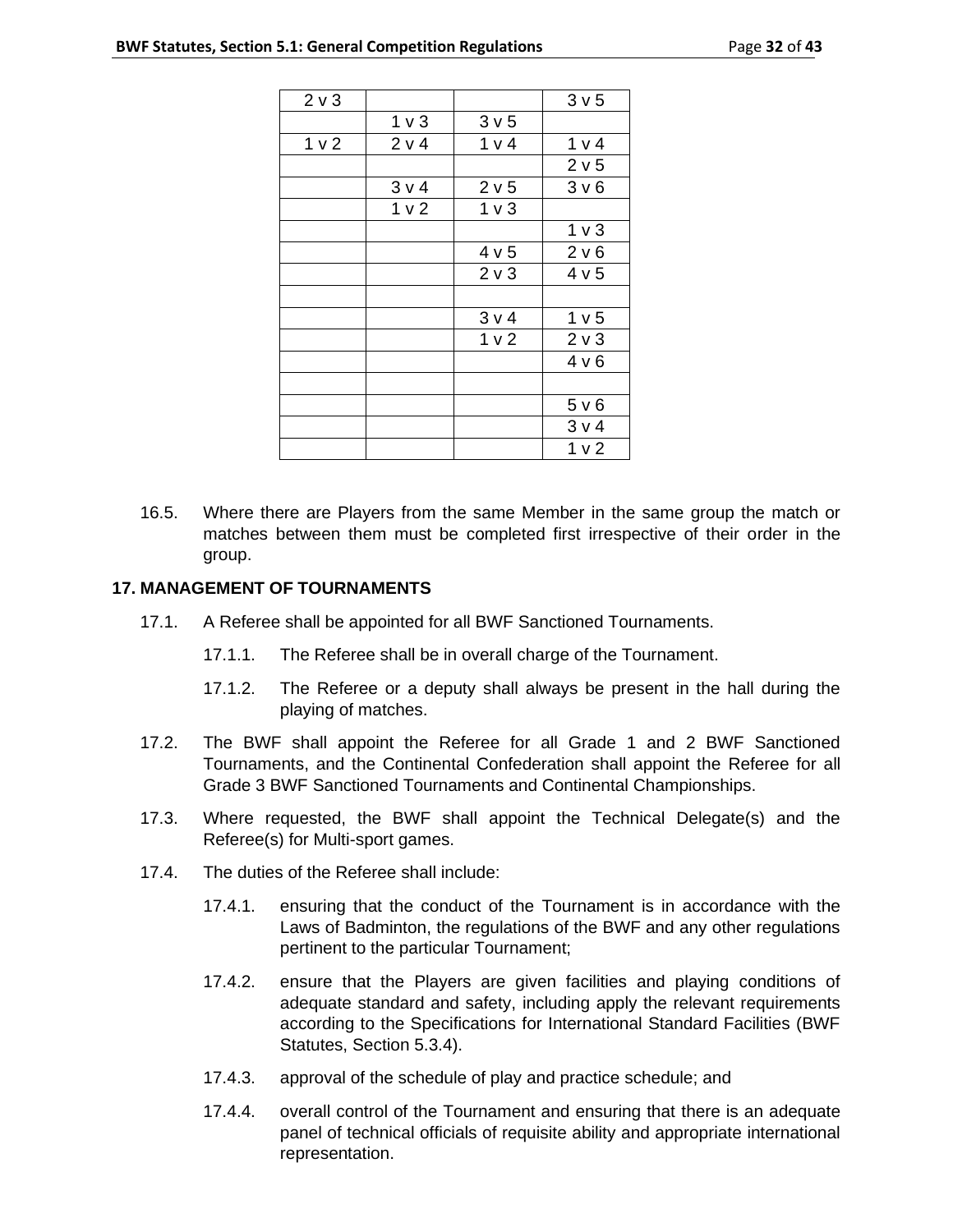| $2 \vee 3$<br>3 <sub>v</sub> 5<br>1 <sub>v</sub><br>3 <sub>v</sub> 5<br>1 <sub>v</sub><br>2 v 4<br>1 v 4<br>1 v 4<br>2 v 5<br>3 v 4<br>2 v 5<br>3 <sub>v</sub> 6<br>1 <sub>v</sub> 2<br>1 <sub>v</sub><br>1 <sub>v</sub><br>4 v 5<br>2 v 6<br>2 <sub>v</sub> 3<br>4 v 5<br>3 v 4<br>1 <sub>v</sub> 5<br>1 <sub>v</sub><br>2 <sub>v</sub><br>4 v 6<br>5 v 6<br>3 v 4<br>1 <sub>v</sub> |  |  |
|---------------------------------------------------------------------------------------------------------------------------------------------------------------------------------------------------------------------------------------------------------------------------------------------------------------------------------------------------------------------------------------|--|--|
|                                                                                                                                                                                                                                                                                                                                                                                       |  |  |
|                                                                                                                                                                                                                                                                                                                                                                                       |  |  |
|                                                                                                                                                                                                                                                                                                                                                                                       |  |  |
|                                                                                                                                                                                                                                                                                                                                                                                       |  |  |
|                                                                                                                                                                                                                                                                                                                                                                                       |  |  |
|                                                                                                                                                                                                                                                                                                                                                                                       |  |  |
|                                                                                                                                                                                                                                                                                                                                                                                       |  |  |
|                                                                                                                                                                                                                                                                                                                                                                                       |  |  |
|                                                                                                                                                                                                                                                                                                                                                                                       |  |  |
|                                                                                                                                                                                                                                                                                                                                                                                       |  |  |
|                                                                                                                                                                                                                                                                                                                                                                                       |  |  |
|                                                                                                                                                                                                                                                                                                                                                                                       |  |  |
|                                                                                                                                                                                                                                                                                                                                                                                       |  |  |
|                                                                                                                                                                                                                                                                                                                                                                                       |  |  |
|                                                                                                                                                                                                                                                                                                                                                                                       |  |  |
|                                                                                                                                                                                                                                                                                                                                                                                       |  |  |
|                                                                                                                                                                                                                                                                                                                                                                                       |  |  |

16.5. Where there are Players from the same Member in the same group the match or matches between them must be completed first irrespective of their order in the group.

## **17. MANAGEMENT OF TOURNAMENTS**

- 17.1. A Referee shall be appointed for all BWF Sanctioned Tournaments.
	- 17.1.1. The Referee shall be in overall charge of the Tournament.
	- 17.1.2. The Referee or a deputy shall always be present in the hall during the playing of matches.
- 17.2. The BWF shall appoint the Referee for all Grade 1 and 2 BWF Sanctioned Tournaments, and the Continental Confederation shall appoint the Referee for all Grade 3 BWF Sanctioned Tournaments and Continental Championships.
- 17.3. Where requested, the BWF shall appoint the Technical Delegate(s) and the Referee(s) for Multi-sport games.
- 17.4. The duties of the Referee shall include:
	- 17.4.1. ensuring that the conduct of the Tournament is in accordance with the Laws of Badminton, the regulations of the BWF and any other regulations pertinent to the particular Tournament;
	- 17.4.2. ensure that the Players are given facilities and playing conditions of adequate standard and safety, including apply the relevant requirements according to the Specifications for International Standard Facilities (BWF Statutes, Section 5.3.4).
	- 17.4.3. approval of the schedule of play and practice schedule; and
	- 17.4.4. overall control of the Tournament and ensuring that there is an adequate panel of technical officials of requisite ability and appropriate international representation.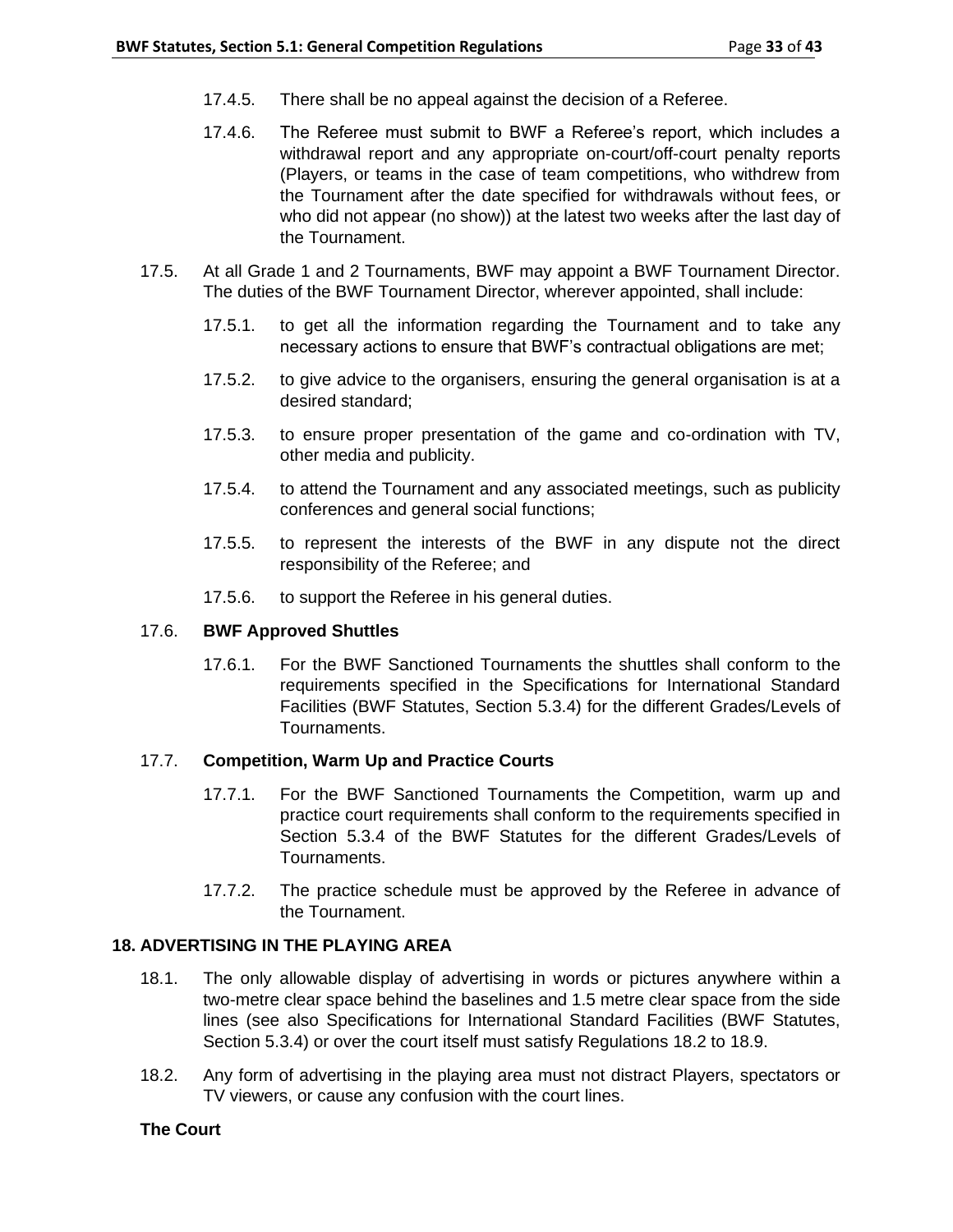- 17.4.5. There shall be no appeal against the decision of a Referee.
- 17.4.6. The Referee must submit to BWF a Referee's report, which includes a withdrawal report and any appropriate on-court/off-court penalty reports (Players, or teams in the case of team competitions, who withdrew from the Tournament after the date specified for withdrawals without fees, or who did not appear (no show)) at the latest two weeks after the last day of the Tournament.
- 17.5. At all Grade 1 and 2 Tournaments, BWF may appoint a BWF Tournament Director. The duties of the BWF Tournament Director, wherever appointed, shall include:
	- 17.5.1. to get all the information regarding the Tournament and to take any necessary actions to ensure that BWF's contractual obligations are met;
	- 17.5.2. to give advice to the organisers, ensuring the general organisation is at a desired standard;
	- 17.5.3. to ensure proper presentation of the game and co-ordination with TV, other media and publicity.
	- 17.5.4. to attend the Tournament and any associated meetings, such as publicity conferences and general social functions;
	- 17.5.5. to represent the interests of the BWF in any dispute not the direct responsibility of the Referee; and
	- 17.5.6. to support the Referee in his general duties.

# 17.6. **BWF Approved Shuttles**

17.6.1. For the BWF Sanctioned Tournaments the shuttles shall conform to the requirements specified in the Specifications for International Standard Facilities (BWF Statutes, Section 5.3.4) for the different Grades/Levels of Tournaments.

# 17.7. **Competition, Warm Up and Practice Courts**

- 17.7.1. For the BWF Sanctioned Tournaments the Competition, warm up and practice court requirements shall conform to the requirements specified in Section 5.3.4 of the BWF Statutes for the different Grades/Levels of Tournaments.
- 17.7.2. The practice schedule must be approved by the Referee in advance of the Tournament.

# **18. ADVERTISING IN THE PLAYING AREA**

- 18.1. The only allowable display of advertising in words or pictures anywhere within a two-metre clear space behind the baselines and 1.5 metre clear space from the side lines (see also Specifications for International Standard Facilities (BWF Statutes, Section 5.3.4) or over the court itself must satisfy Regulations 18.2 to 18.9.
- 18.2. Any form of advertising in the playing area must not distract Players, spectators or TV viewers, or cause any confusion with the court lines.

# **The Court**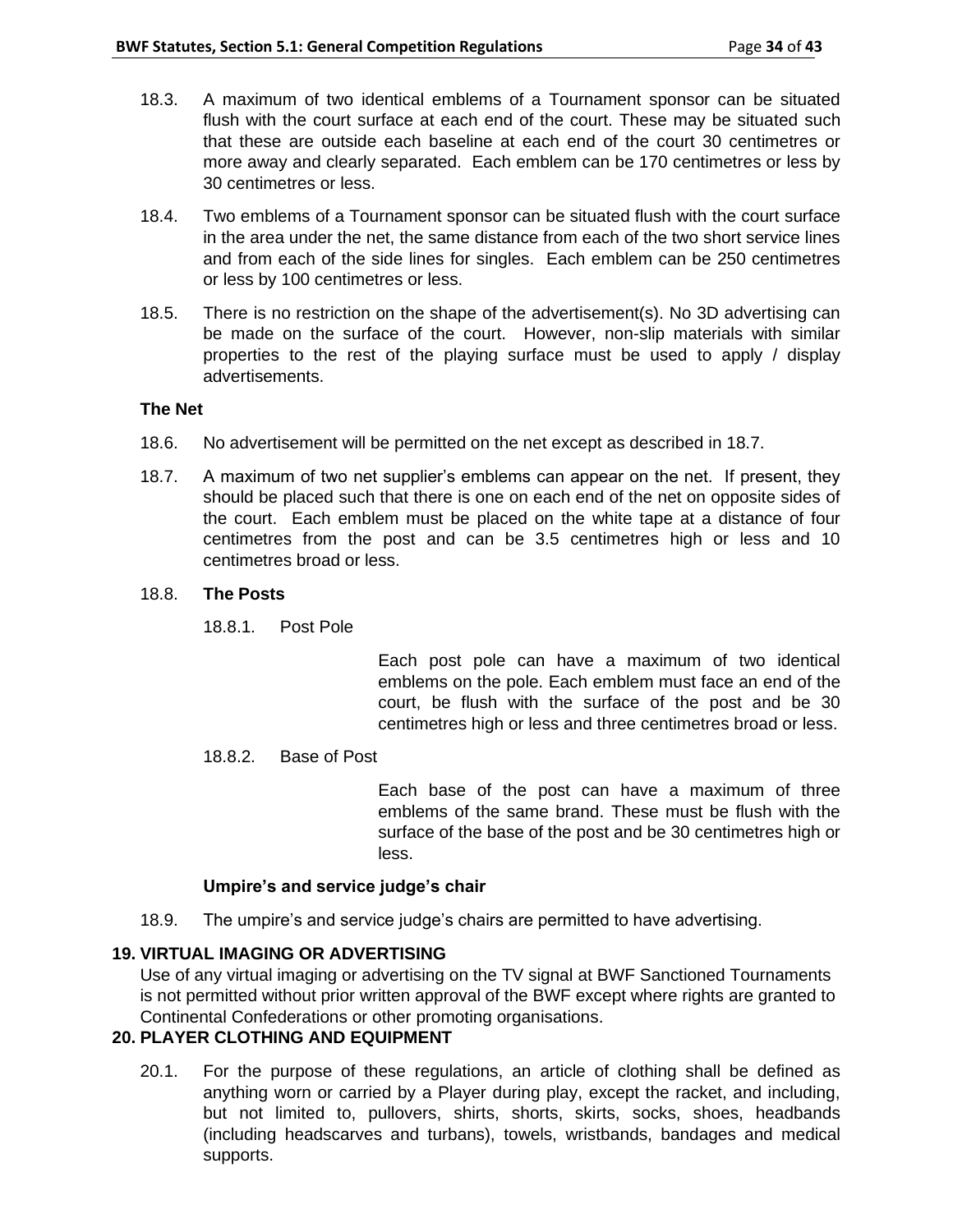- 18.3. A maximum of two identical emblems of a Tournament sponsor can be situated flush with the court surface at each end of the court. These may be situated such that these are outside each baseline at each end of the court 30 centimetres or more away and clearly separated. Each emblem can be 170 centimetres or less by 30 centimetres or less.
- 18.4. Two emblems of a Tournament sponsor can be situated flush with the court surface in the area under the net, the same distance from each of the two short service lines and from each of the side lines for singles. Each emblem can be 250 centimetres or less by 100 centimetres or less.
- 18.5. There is no restriction on the shape of the advertisement(s). No 3D advertising can be made on the surface of the court. However, non-slip materials with similar properties to the rest of the playing surface must be used to apply / display advertisements.

### **The Net**

- 18.6. No advertisement will be permitted on the net except as described in 18.7.
- 18.7. A maximum of two net supplier's emblems can appear on the net. If present, they should be placed such that there is one on each end of the net on opposite sides of the court. Each emblem must be placed on the white tape at a distance of four centimetres from the post and can be 3.5 centimetres high or less and 10 centimetres broad or less.

### 18.8. **The Posts**

18.8.1. Post Pole

Each post pole can have a maximum of two identical emblems on the pole. Each emblem must face an end of the court, be flush with the surface of the post and be 30 centimetres high or less and three centimetres broad or less.

#### 18.8.2. Base of Post

Each base of the post can have a maximum of three emblems of the same brand. These must be flush with the surface of the base of the post and be 30 centimetres high or less.

#### **Umpire's and service judge's chair**

18.9. The umpire's and service judge's chairs are permitted to have advertising.

### **19. VIRTUAL IMAGING OR ADVERTISING**

Use of any virtual imaging or advertising on the TV signal at BWF Sanctioned Tournaments is not permitted without prior written approval of the BWF except where rights are granted to Continental Confederations or other promoting organisations.

## **20. PLAYER CLOTHING AND EQUIPMENT**

20.1. For the purpose of these regulations, an article of clothing shall be defined as anything worn or carried by a Player during play, except the racket, and including, but not limited to, pullovers, shirts, shorts, skirts, socks, shoes, headbands (including headscarves and turbans), towels, wristbands, bandages and medical supports.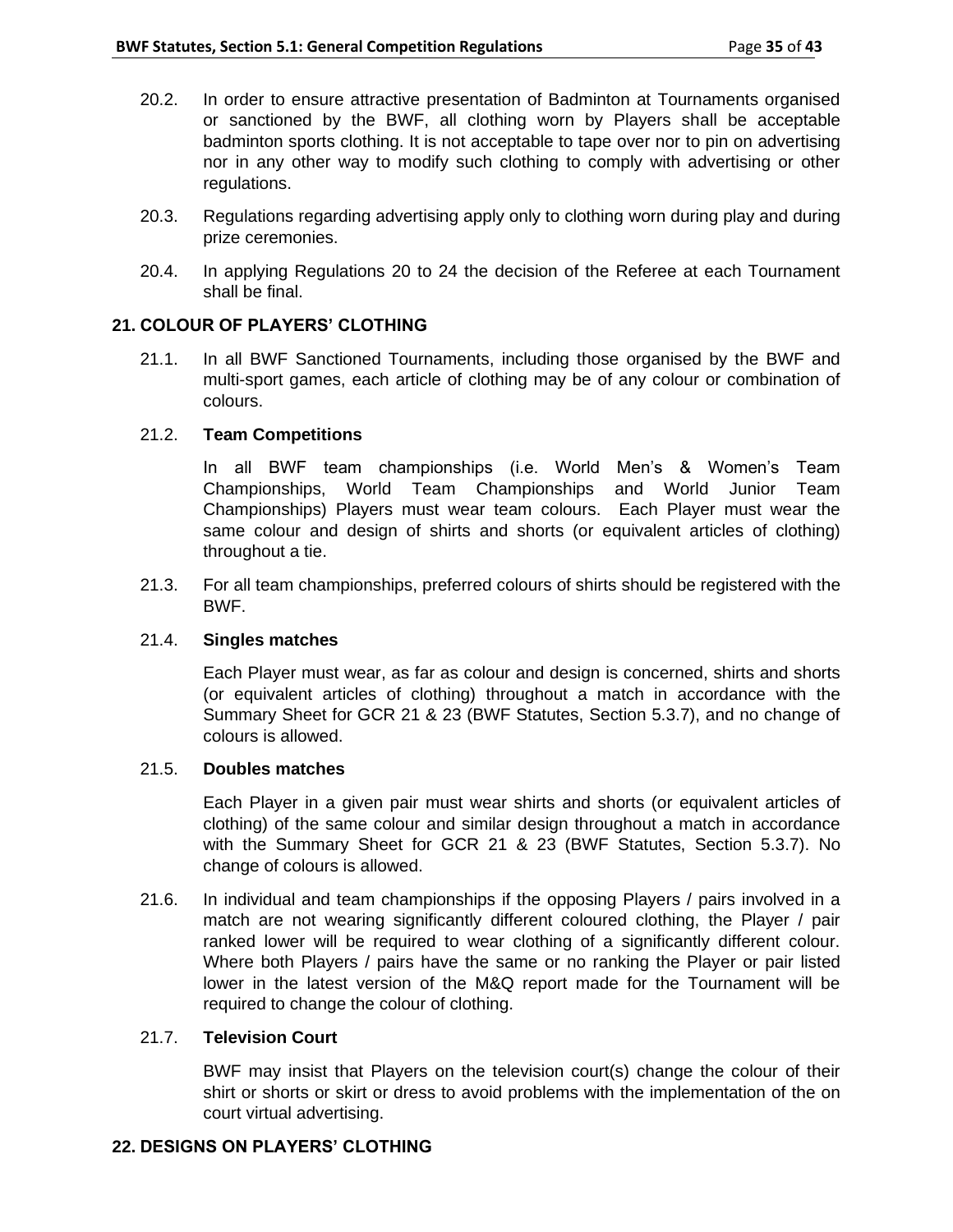- 20.2. In order to ensure attractive presentation of Badminton at Tournaments organised or sanctioned by the BWF, all clothing worn by Players shall be acceptable badminton sports clothing. It is not acceptable to tape over nor to pin on advertising nor in any other way to modify such clothing to comply with advertising or other regulations.
- 20.3. Regulations regarding advertising apply only to clothing worn during play and during prize ceremonies.
- 20.4. In applying Regulations 20 to 24 the decision of the Referee at each Tournament shall be final.

## **21. COLOUR OF PLAYERS' CLOTHING**

21.1. In all BWF Sanctioned Tournaments, including those organised by the BWF and multi-sport games, each article of clothing may be of any colour or combination of colours.

## 21.2. **Team Competitions**

In all BWF team championships (i.e. World Men's & Women's Team Championships, World Team Championships and World Junior Team Championships) Players must wear team colours. Each Player must wear the same colour and design of shirts and shorts (or equivalent articles of clothing) throughout a tie.

21.3. For all team championships, preferred colours of shirts should be registered with the BWF.

### 21.4. **Singles matches**

Each Player must wear, as far as colour and design is concerned, shirts and shorts (or equivalent articles of clothing) throughout a match in accordance with the Summary Sheet for GCR 21 & 23 (BWF Statutes, Section 5.3.7), and no change of colours is allowed.

## 21.5. **Doubles matches**

Each Player in a given pair must wear shirts and shorts (or equivalent articles of clothing) of the same colour and similar design throughout a match in accordance with the Summary Sheet for GCR 21 & 23 (BWF Statutes, Section 5.3.7). No change of colours is allowed.

21.6. In individual and team championships if the opposing Players / pairs involved in a match are not wearing significantly different coloured clothing, the Player / pair ranked lower will be required to wear clothing of a significantly different colour. Where both Players / pairs have the same or no ranking the Player or pair listed lower in the latest version of the M&Q report made for the Tournament will be required to change the colour of clothing.

### 21.7. **Television Court**

BWF may insist that Players on the television court(s) change the colour of their shirt or shorts or skirt or dress to avoid problems with the implementation of the on court virtual advertising.

### **22. DESIGNS ON PLAYERS' CLOTHING**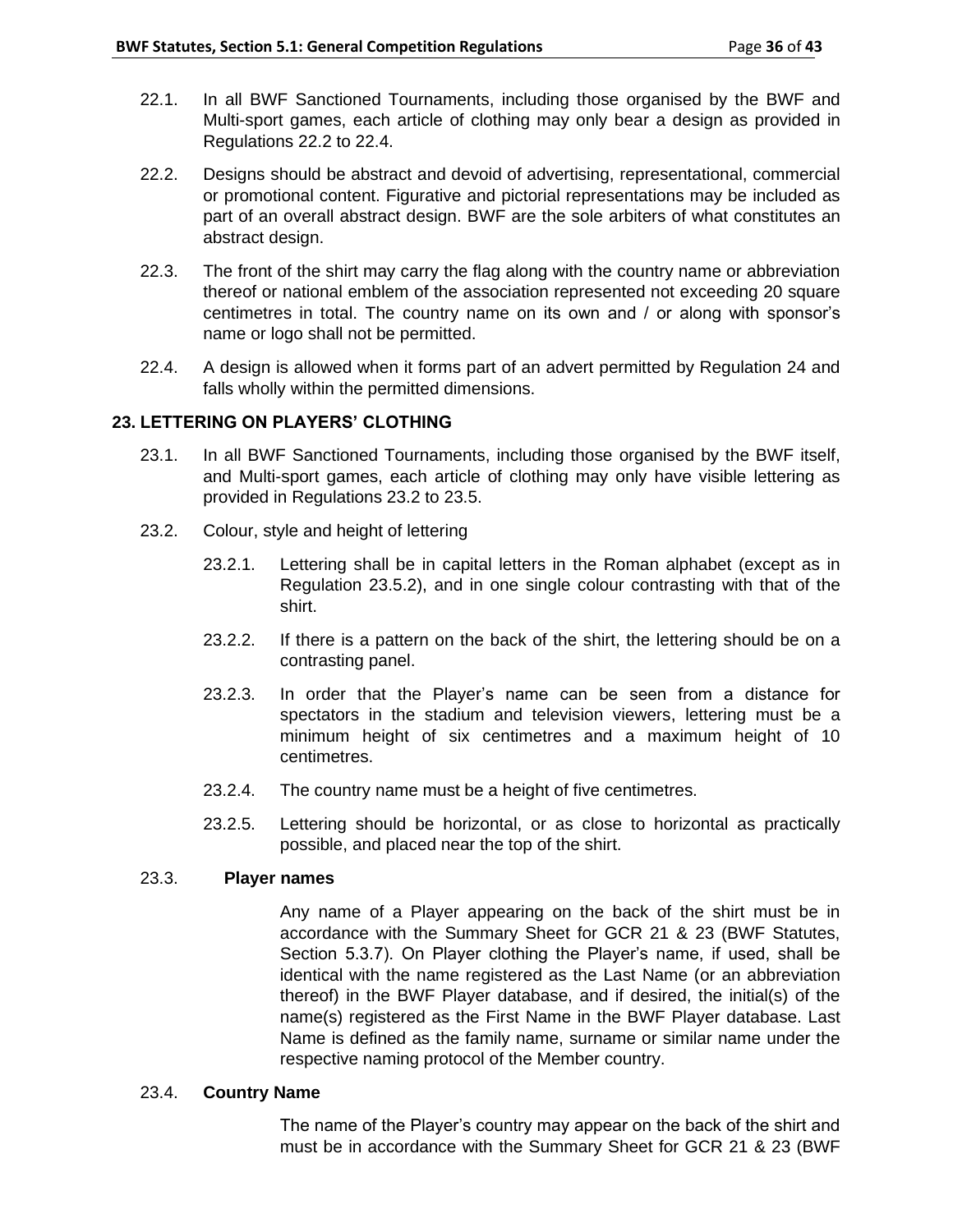- 22.1. In all BWF Sanctioned Tournaments, including those organised by the BWF and Multi-sport games, each article of clothing may only bear a design as provided in Regulations 22.2 to 22.4.
- 22.2. Designs should be abstract and devoid of advertising, representational, commercial or promotional content. Figurative and pictorial representations may be included as part of an overall abstract design. BWF are the sole arbiters of what constitutes an abstract design.
- 22.3. The front of the shirt may carry the flag along with the country name or abbreviation thereof or national emblem of the association represented not exceeding 20 square centimetres in total. The country name on its own and / or along with sponsor's name or logo shall not be permitted.
- 22.4. A design is allowed when it forms part of an advert permitted by Regulation 24 and falls wholly within the permitted dimensions.

## **23. LETTERING ON PLAYERS' CLOTHING**

- 23.1. In all BWF Sanctioned Tournaments, including those organised by the BWF itself, and Multi-sport games, each article of clothing may only have visible lettering as provided in Regulations 23.2 to 23.5.
- 23.2. Colour, style and height of lettering
	- 23.2.1. Lettering shall be in capital letters in the Roman alphabet (except as in Regulation 23.5.2), and in one single colour contrasting with that of the shirt.
	- 23.2.2. If there is a pattern on the back of the shirt, the lettering should be on a contrasting panel.
	- 23.2.3. In order that the Player's name can be seen from a distance for spectators in the stadium and television viewers, lettering must be a minimum height of six centimetres and a maximum height of 10 centimetres.
	- 23.2.4. The country name must be a height of five centimetres.
	- 23.2.5. Lettering should be horizontal, or as close to horizontal as practically possible, and placed near the top of the shirt.

### 23.3. **Player names**

Any name of a Player appearing on the back of the shirt must be in accordance with the Summary Sheet for GCR 21 & 23 (BWF Statutes, Section 5.3.7). On Player clothing the Player's name, if used, shall be identical with the name registered as the Last Name (or an abbreviation thereof) in the BWF Player database, and if desired, the initial(s) of the name(s) registered as the First Name in the BWF Player database. Last Name is defined as the family name, surname or similar name under the respective naming protocol of the Member country.

### 23.4. **Country Name**

The name of the Player's country may appear on the back of the shirt and must be in accordance with the Summary Sheet for GCR 21 & 23 (BWF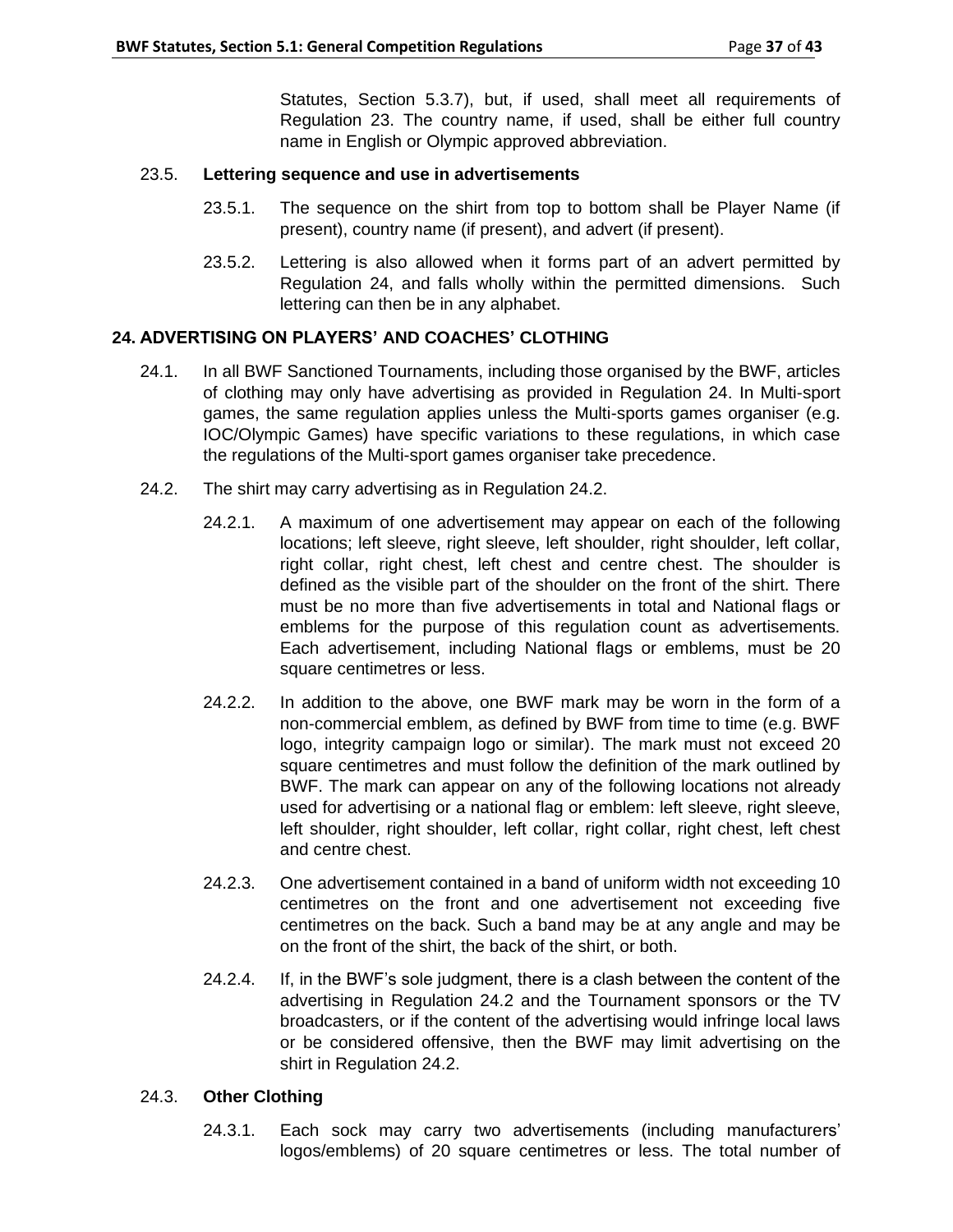Statutes, Section 5.3.7), but, if used, shall meet all requirements of Regulation 23. The country name, if used, shall be either full country name in English or Olympic approved abbreviation.

## 23.5. **Lettering sequence and use in advertisements**

- 23.5.1. The sequence on the shirt from top to bottom shall be Player Name (if present), country name (if present), and advert (if present).
- 23.5.2. Lettering is also allowed when it forms part of an advert permitted by Regulation 24, and falls wholly within the permitted dimensions. Such lettering can then be in any alphabet.

# **24. ADVERTISING ON PLAYERS' AND COACHES' CLOTHING**

- 24.1. In all BWF Sanctioned Tournaments, including those organised by the BWF, articles of clothing may only have advertising as provided in Regulation 24. In Multi-sport games, the same regulation applies unless the Multi-sports games organiser (e.g. IOC/Olympic Games) have specific variations to these regulations, in which case the regulations of the Multi-sport games organiser take precedence.
- 24.2. The shirt may carry advertising as in Regulation 24.2.
	- 24.2.1. A maximum of one advertisement may appear on each of the following locations; left sleeve, right sleeve, left shoulder, right shoulder, left collar, right collar, right chest, left chest and centre chest. The shoulder is defined as the visible part of the shoulder on the front of the shirt. There must be no more than five advertisements in total and National flags or emblems for the purpose of this regulation count as advertisements. Each advertisement, including National flags or emblems, must be 20 square centimetres or less.
	- 24.2.2. In addition to the above, one BWF mark may be worn in the form of a non-commercial emblem, as defined by BWF from time to time (e.g. BWF logo, integrity campaign logo or similar). The mark must not exceed 20 square centimetres and must follow the definition of the mark outlined by BWF. The mark can appear on any of the following locations not already used for advertising or a national flag or emblem: left sleeve, right sleeve, left shoulder, right shoulder, left collar, right collar, right chest, left chest and centre chest.
	- 24.2.3. One advertisement contained in a band of uniform width not exceeding 10 centimetres on the front and one advertisement not exceeding five centimetres on the back. Such a band may be at any angle and may be on the front of the shirt, the back of the shirt, or both.
	- 24.2.4. If, in the BWF's sole judgment, there is a clash between the content of the advertising in Regulation 24.2 and the Tournament sponsors or the TV broadcasters, or if the content of the advertising would infringe local laws or be considered offensive, then the BWF may limit advertising on the shirt in Regulation 24.2.

### 24.3. **Other Clothing**

24.3.1. Each sock may carry two advertisements (including manufacturers' logos/emblems) of 20 square centimetres or less. The total number of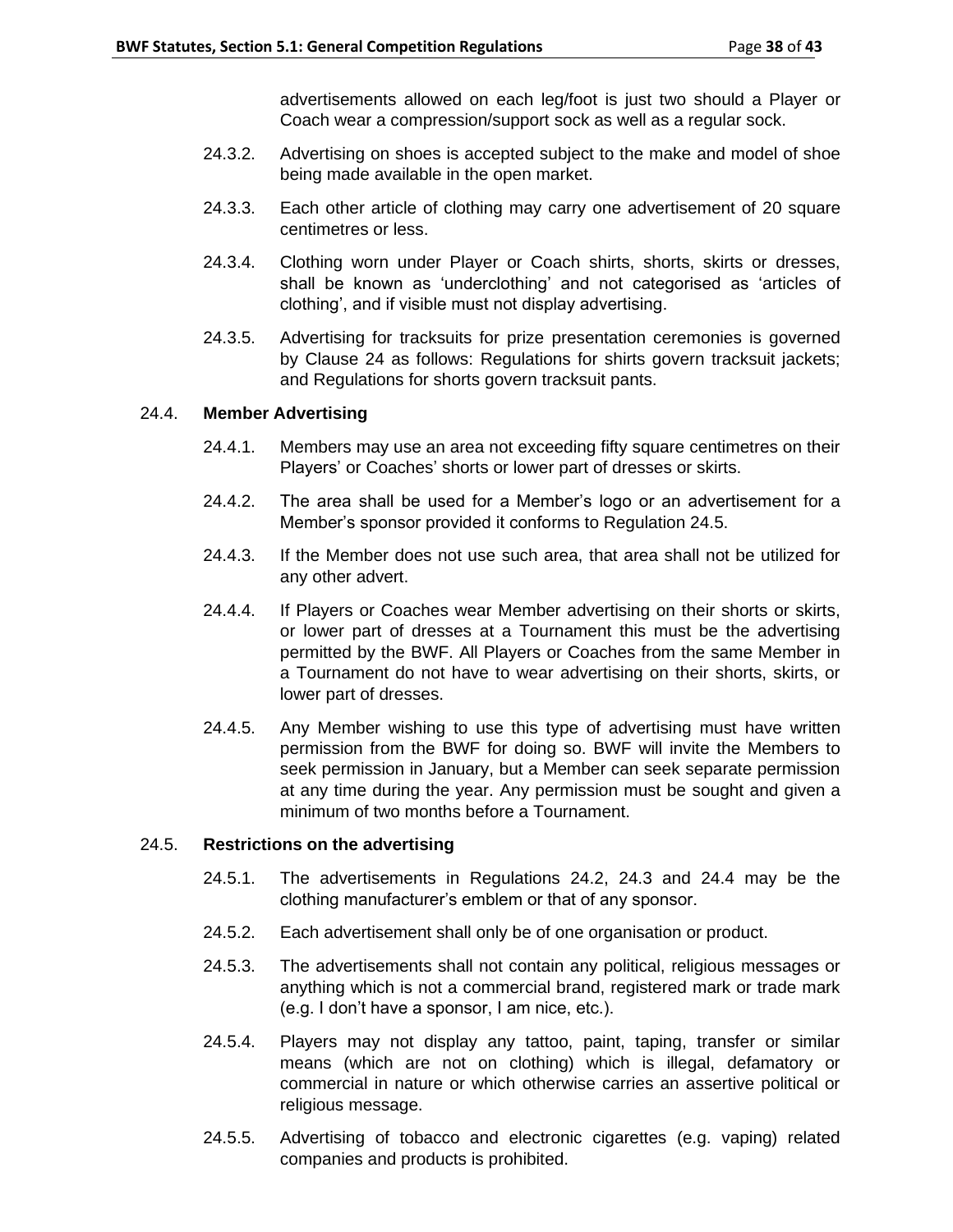advertisements allowed on each leg/foot is just two should a Player or Coach wear a compression/support sock as well as a regular sock.

- 24.3.2. Advertising on shoes is accepted subject to the make and model of shoe being made available in the open market.
- 24.3.3. Each other article of clothing may carry one advertisement of 20 square centimetres or less.
- 24.3.4. Clothing worn under Player or Coach shirts, shorts, skirts or dresses, shall be known as 'underclothing' and not categorised as 'articles of clothing', and if visible must not display advertising.
- 24.3.5. Advertising for tracksuits for prize presentation ceremonies is governed by Clause 24 as follows: Regulations for shirts govern tracksuit jackets; and Regulations for shorts govern tracksuit pants.

### 24.4. **Member Advertising**

- 24.4.1. Members may use an area not exceeding fifty square centimetres on their Players' or Coaches' shorts or lower part of dresses or skirts.
- 24.4.2. The area shall be used for a Member's logo or an advertisement for a Member's sponsor provided it conforms to Regulation 24.5.
- 24.4.3. If the Member does not use such area, that area shall not be utilized for any other advert.
- 24.4.4. If Players or Coaches wear Member advertising on their shorts or skirts, or lower part of dresses at a Tournament this must be the advertising permitted by the BWF. All Players or Coaches from the same Member in a Tournament do not have to wear advertising on their shorts, skirts, or lower part of dresses.
- 24.4.5. Any Member wishing to use this type of advertising must have written permission from the BWF for doing so. BWF will invite the Members to seek permission in January, but a Member can seek separate permission at any time during the year. Any permission must be sought and given a minimum of two months before a Tournament.

### 24.5. **Restrictions on the advertising**

- 24.5.1. The advertisements in Regulations 24.2, 24.3 and 24.4 may be the clothing manufacturer's emblem or that of any sponsor.
- 24.5.2. Each advertisement shall only be of one organisation or product.
- 24.5.3. The advertisements shall not contain any political, religious messages or anything which is not a commercial brand, registered mark or trade mark (e.g. I don't have a sponsor, I am nice, etc.).
- 24.5.4. Players may not display any tattoo, paint, taping, transfer or similar means (which are not on clothing) which is illegal, defamatory or commercial in nature or which otherwise carries an assertive political or religious message.
- 24.5.5. Advertising of tobacco and electronic cigarettes (e.g. vaping) related companies and products is prohibited.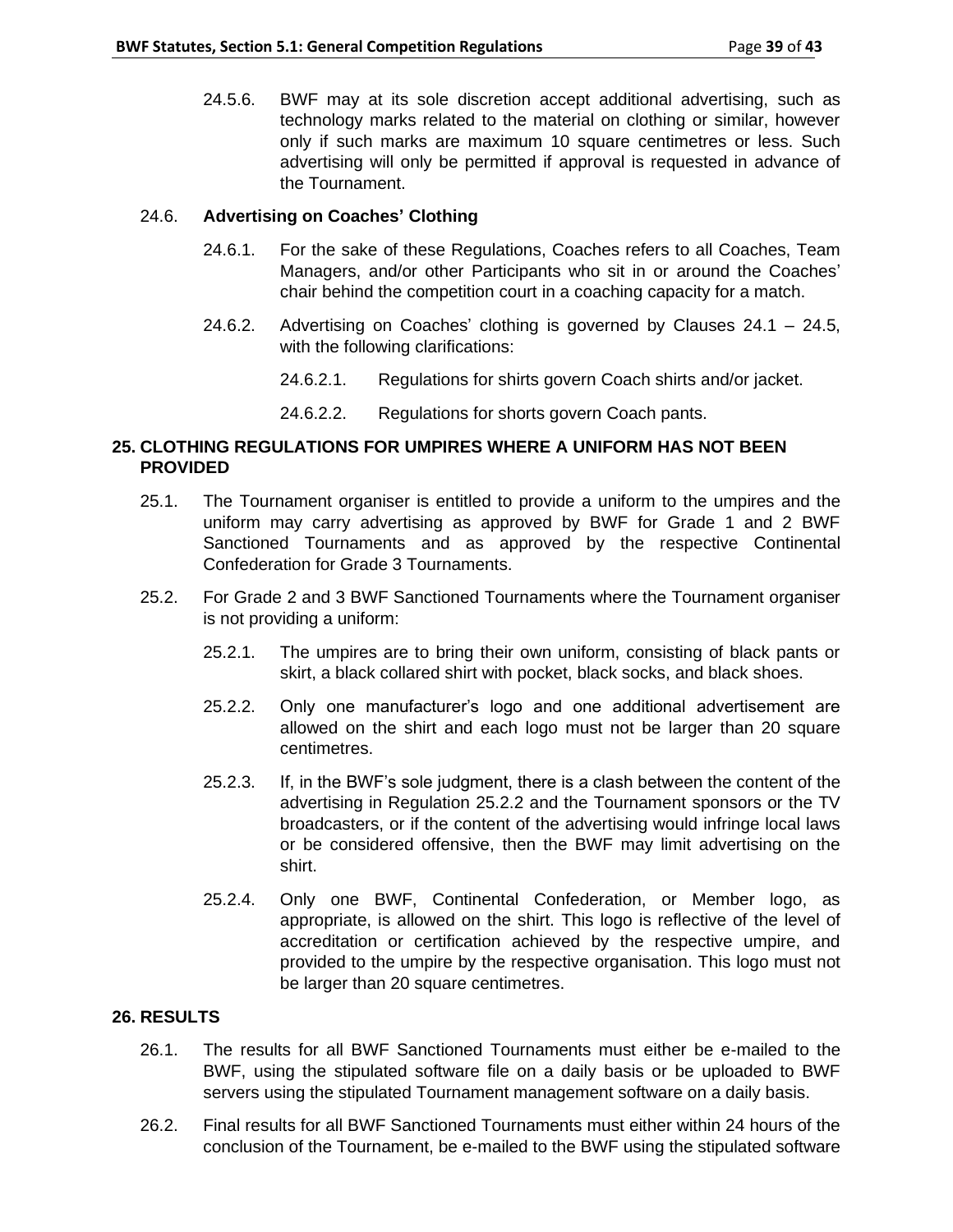24.5.6. BWF may at its sole discretion accept additional advertising, such as technology marks related to the material on clothing or similar, however only if such marks are maximum 10 square centimetres or less. Such advertising will only be permitted if approval is requested in advance of the Tournament.

### 24.6. **Advertising on Coaches' Clothing**

- 24.6.1. For the sake of these Regulations, Coaches refers to all Coaches, Team Managers, and/or other Participants who sit in or around the Coaches' chair behind the competition court in a coaching capacity for a match.
- 24.6.2. Advertising on Coaches' clothing is governed by Clauses 24.1 24.5, with the following clarifications:
	- 24.6.2.1. Regulations for shirts govern Coach shirts and/or jacket.
	- 24.6.2.2. Regulations for shorts govern Coach pants.

# **25. CLOTHING REGULATIONS FOR UMPIRES WHERE A UNIFORM HAS NOT BEEN PROVIDED**

- 25.1. The Tournament organiser is entitled to provide a uniform to the umpires and the uniform may carry advertising as approved by BWF for Grade 1 and 2 BWF Sanctioned Tournaments and as approved by the respective Continental Confederation for Grade 3 Tournaments.
- 25.2. For Grade 2 and 3 BWF Sanctioned Tournaments where the Tournament organiser is not providing a uniform:
	- 25.2.1. The umpires are to bring their own uniform, consisting of black pants or skirt, a black collared shirt with pocket, black socks, and black shoes.
	- 25.2.2. Only one manufacturer's logo and one additional advertisement are allowed on the shirt and each logo must not be larger than 20 square centimetres.
	- 25.2.3. If, in the BWF's sole judgment, there is a clash between the content of the advertising in Regulation 25.2.2 and the Tournament sponsors or the TV broadcasters, or if the content of the advertising would infringe local laws or be considered offensive, then the BWF may limit advertising on the shirt.
	- 25.2.4. Only one BWF, Continental Confederation, or Member logo, as appropriate, is allowed on the shirt. This logo is reflective of the level of accreditation or certification achieved by the respective umpire, and provided to the umpire by the respective organisation. This logo must not be larger than 20 square centimetres.

### **26. RESULTS**

- 26.1. The results for all BWF Sanctioned Tournaments must either be e-mailed to the BWF, using the stipulated software file on a daily basis or be uploaded to BWF servers using the stipulated Tournament management software on a daily basis.
- 26.2. Final results for all BWF Sanctioned Tournaments must either within 24 hours of the conclusion of the Tournament, be e-mailed to the BWF using the stipulated software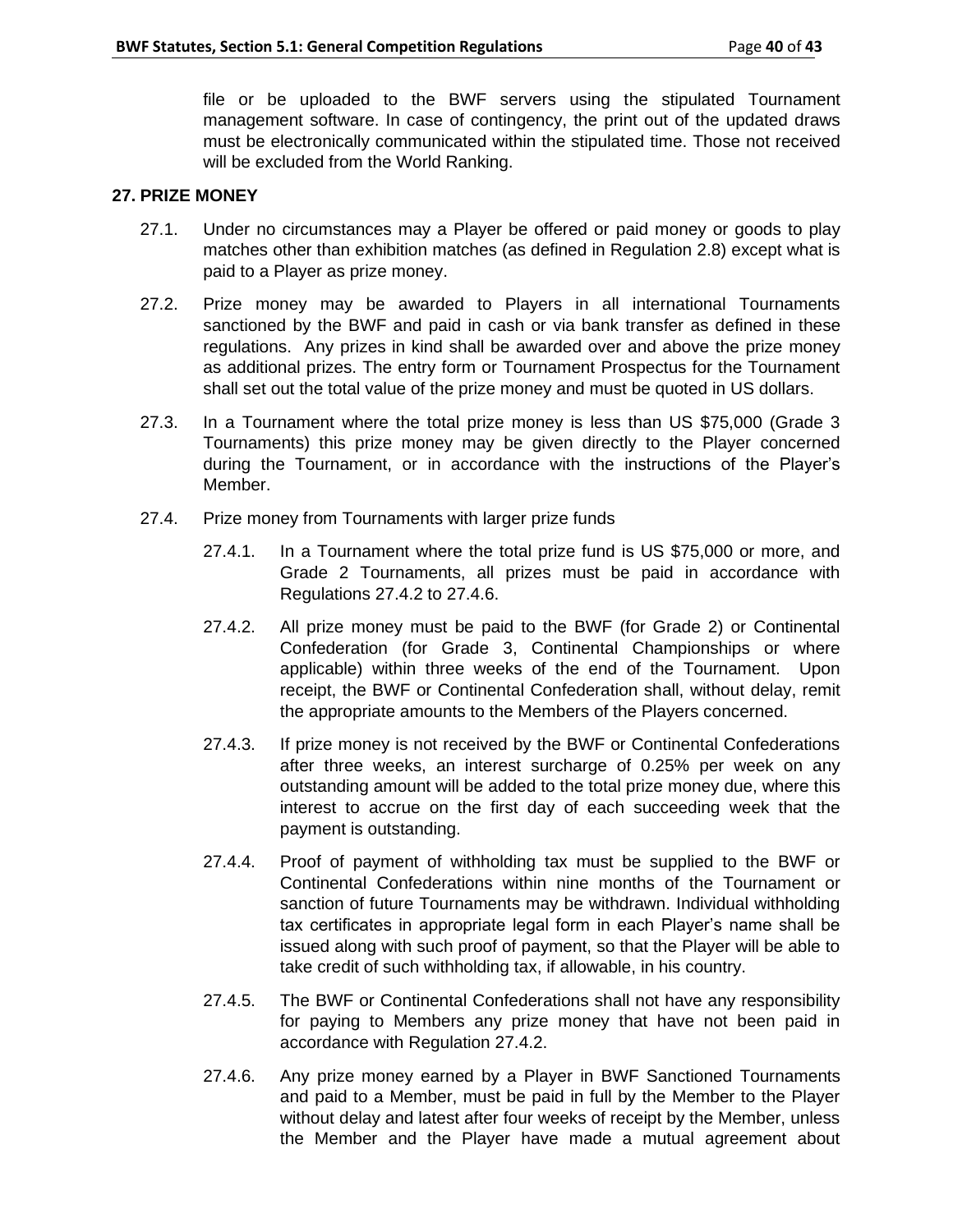file or be uploaded to the BWF servers using the stipulated Tournament management software. In case of contingency, the print out of the updated draws must be electronically communicated within the stipulated time. Those not received will be excluded from the World Ranking.

### **27. PRIZE MONEY**

- 27.1. Under no circumstances may a Player be offered or paid money or goods to play matches other than exhibition matches (as defined in Regulation 2.8) except what is paid to a Player as prize money.
- 27.2. Prize money may be awarded to Players in all international Tournaments sanctioned by the BWF and paid in cash or via bank transfer as defined in these regulations. Any prizes in kind shall be awarded over and above the prize money as additional prizes. The entry form or Tournament Prospectus for the Tournament shall set out the total value of the prize money and must be quoted in US dollars.
- 27.3. In a Tournament where the total prize money is less than US \$75,000 (Grade 3 Tournaments) this prize money may be given directly to the Player concerned during the Tournament, or in accordance with the instructions of the Player's Member.
- 27.4. Prize money from Tournaments with larger prize funds
	- 27.4.1. In a Tournament where the total prize fund is US \$75,000 or more, and Grade 2 Tournaments, all prizes must be paid in accordance with Regulations 27.4.2 to 27.4.6.
	- 27.4.2. All prize money must be paid to the BWF (for Grade 2) or Continental Confederation (for Grade 3, Continental Championships or where applicable) within three weeks of the end of the Tournament. Upon receipt, the BWF or Continental Confederation shall, without delay, remit the appropriate amounts to the Members of the Players concerned.
	- 27.4.3. If prize money is not received by the BWF or Continental Confederations after three weeks, an interest surcharge of 0.25% per week on any outstanding amount will be added to the total prize money due, where this interest to accrue on the first day of each succeeding week that the payment is outstanding.
	- 27.4.4. Proof of payment of withholding tax must be supplied to the BWF or Continental Confederations within nine months of the Tournament or sanction of future Tournaments may be withdrawn. Individual withholding tax certificates in appropriate legal form in each Player's name shall be issued along with such proof of payment, so that the Player will be able to take credit of such withholding tax, if allowable, in his country.
	- 27.4.5. The BWF or Continental Confederations shall not have any responsibility for paying to Members any prize money that have not been paid in accordance with Regulation 27.4.2.
	- 27.4.6. Any prize money earned by a Player in BWF Sanctioned Tournaments and paid to a Member, must be paid in full by the Member to the Player without delay and latest after four weeks of receipt by the Member, unless the Member and the Player have made a mutual agreement about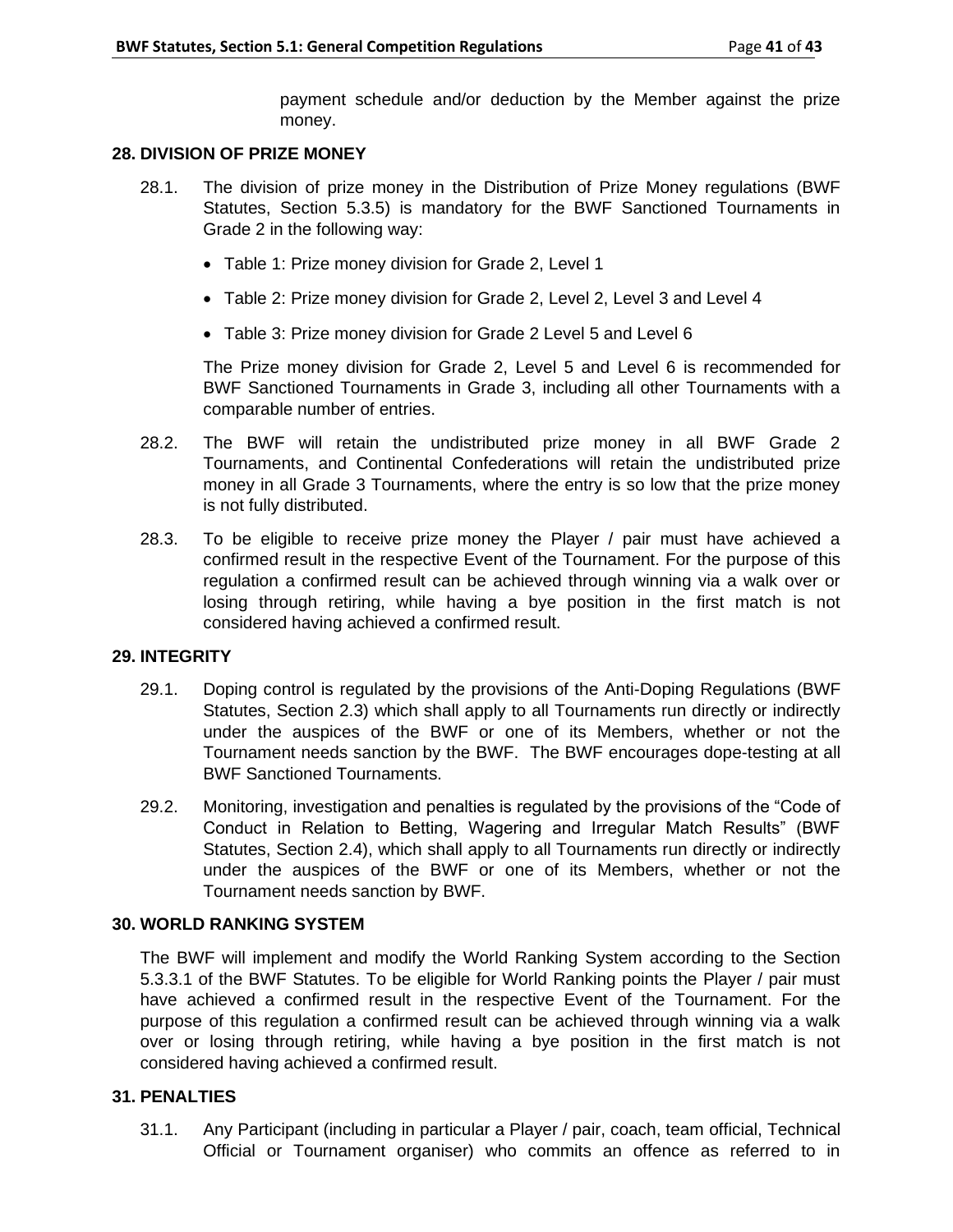payment schedule and/or deduction by the Member against the prize money.

# **28. DIVISION OF PRIZE MONEY**

- 28.1. The division of prize money in the Distribution of Prize Money regulations (BWF Statutes, Section 5.3.5) is mandatory for the BWF Sanctioned Tournaments in Grade 2 in the following way:
	- Table 1: Prize money division for Grade 2, Level 1
	- Table 2: Prize money division for Grade 2, Level 2, Level 3 and Level 4
	- Table 3: Prize money division for Grade 2 Level 5 and Level 6

The Prize money division for Grade 2, Level 5 and Level 6 is recommended for BWF Sanctioned Tournaments in Grade 3, including all other Tournaments with a comparable number of entries.

- 28.2. The BWF will retain the undistributed prize money in all BWF Grade 2 Tournaments, and Continental Confederations will retain the undistributed prize money in all Grade 3 Tournaments, where the entry is so low that the prize money is not fully distributed.
- 28.3. To be eligible to receive prize money the Player / pair must have achieved a confirmed result in the respective Event of the Tournament. For the purpose of this regulation a confirmed result can be achieved through winning via a walk over or losing through retiring, while having a bye position in the first match is not considered having achieved a confirmed result.

### **29. INTEGRITY**

- 29.1. Doping control is regulated by the provisions of the Anti-Doping Regulations (BWF Statutes, Section 2.3) which shall apply to all Tournaments run directly or indirectly under the auspices of the BWF or one of its Members, whether or not the Tournament needs sanction by the BWF. The BWF encourages dope-testing at all BWF Sanctioned Tournaments.
- 29.2. Monitoring, investigation and penalties is regulated by the provisions of the "Code of Conduct in Relation to Betting, Wagering and Irregular Match Results" (BWF Statutes, Section 2.4), which shall apply to all Tournaments run directly or indirectly under the auspices of the BWF or one of its Members, whether or not the Tournament needs sanction by BWF.

### **30. WORLD RANKING SYSTEM**

The BWF will implement and modify the World Ranking System according to the Section 5.3.3.1 of the BWF Statutes. To be eligible for World Ranking points the Player / pair must have achieved a confirmed result in the respective Event of the Tournament. For the purpose of this regulation a confirmed result can be achieved through winning via a walk over or losing through retiring, while having a bye position in the first match is not considered having achieved a confirmed result.

### **31. PENALTIES**

31.1. Any Participant (including in particular a Player / pair, coach, team official, Technical Official or Tournament organiser) who commits an offence as referred to in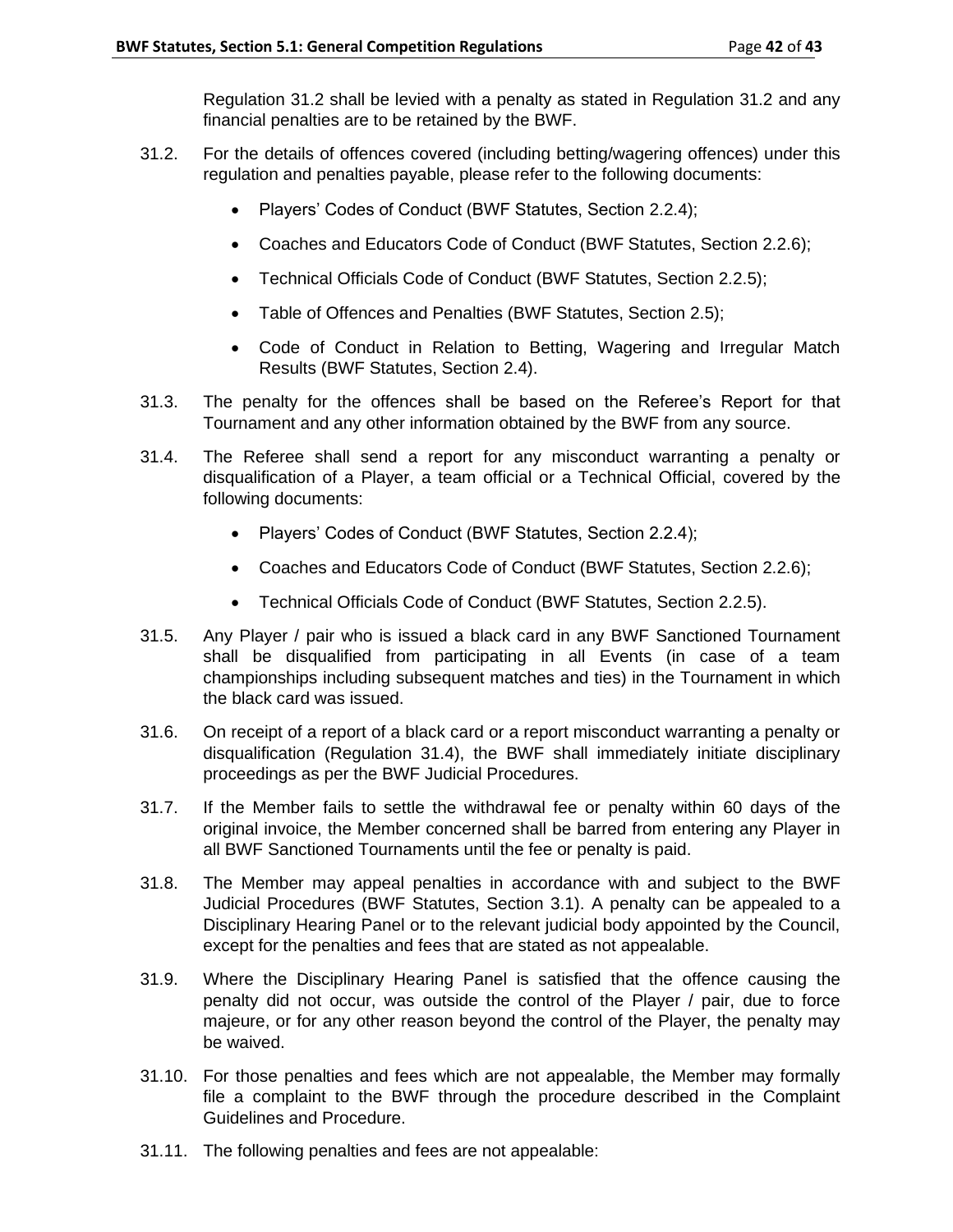Regulation 31.2 shall be levied with a penalty as stated in Regulation 31.2 and any financial penalties are to be retained by the BWF.

- 31.2. For the details of offences covered (including betting/wagering offences) under this regulation and penalties payable, please refer to the following documents:
	- Players' Codes of Conduct (BWF Statutes, Section 2.2.4);
	- Coaches and Educators Code of Conduct (BWF Statutes, Section 2.2.6);
	- Technical Officials Code of Conduct (BWF Statutes, Section 2.2.5);
	- Table of Offences and Penalties (BWF Statutes, Section 2.5);
	- Code of Conduct in Relation to Betting, Wagering and Irregular Match Results (BWF Statutes, Section 2.4).
- 31.3. The penalty for the offences shall be based on the Referee's Report for that Tournament and any other information obtained by the BWF from any source.
- 31.4. The Referee shall send a report for any misconduct warranting a penalty or disqualification of a Player, a team official or a Technical Official, covered by the following documents:
	- Players' Codes of Conduct (BWF Statutes, Section 2.2.4);
	- Coaches and Educators Code of Conduct (BWF Statutes, Section 2.2.6);
	- Technical Officials Code of Conduct (BWF Statutes, Section 2.2.5).
- 31.5. Any Player / pair who is issued a black card in any BWF Sanctioned Tournament shall be disqualified from participating in all Events (in case of a team championships including subsequent matches and ties) in the Tournament in which the black card was issued.
- 31.6. On receipt of a report of a black card or a report misconduct warranting a penalty or disqualification (Regulation 31.4), the BWF shall immediately initiate disciplinary proceedings as per the BWF Judicial Procedures.
- 31.7. If the Member fails to settle the withdrawal fee or penalty within 60 days of the original invoice, the Member concerned shall be barred from entering any Player in all BWF Sanctioned Tournaments until the fee or penalty is paid.
- 31.8. The Member may appeal penalties in accordance with and subject to the BWF Judicial Procedures (BWF Statutes, Section 3.1). A penalty can be appealed to a Disciplinary Hearing Panel or to the relevant judicial body appointed by the Council, except for the penalties and fees that are stated as not appealable.
- 31.9. Where the Disciplinary Hearing Panel is satisfied that the offence causing the penalty did not occur, was outside the control of the Player / pair, due to force majeure, or for any other reason beyond the control of the Player, the penalty may be waived.
- 31.10. For those penalties and fees which are not appealable, the Member may formally file a complaint to the BWF through the procedure described in the Complaint Guidelines and Procedure.
- 31.11. The following penalties and fees are not appealable: